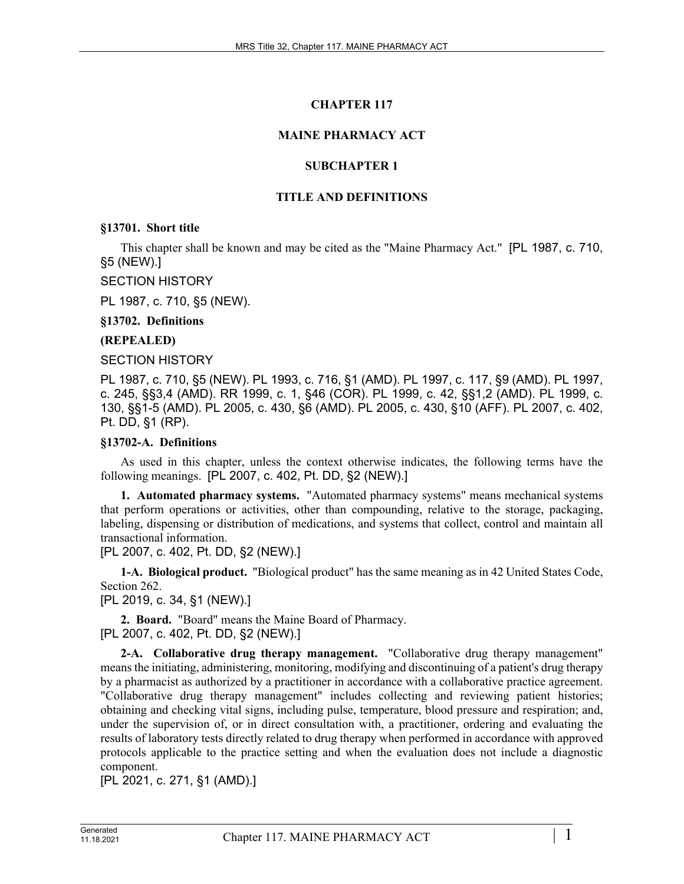# **CHAPTER 117**

# **MAINE PHARMACY ACT**

# **SUBCHAPTER 1**

# **TITLE AND DEFINITIONS**

**§13701. Short title**

This chapter shall be known and may be cited as the "Maine Pharmacy Act." [PL 1987, c. 710, §5 (NEW).]

SECTION HISTORY

PL 1987, c. 710, §5 (NEW).

**§13702. Definitions**

**(REPEALED)**

SECTION HISTORY

PL 1987, c. 710, §5 (NEW). PL 1993, c. 716, §1 (AMD). PL 1997, c. 117, §9 (AMD). PL 1997, c. 245, §§3,4 (AMD). RR 1999, c. 1, §46 (COR). PL 1999, c. 42, §§1,2 (AMD). PL 1999, c. 130, §§1-5 (AMD). PL 2005, c. 430, §6 (AMD). PL 2005, c. 430, §10 (AFF). PL 2007, c. 402, Pt. DD, §1 (RP).

# **§13702-A. Definitions**

As used in this chapter, unless the context otherwise indicates, the following terms have the following meanings. [PL 2007, c. 402, Pt. DD, §2 (NEW).]

**1. Automated pharmacy systems.** "Automated pharmacy systems" means mechanical systems that perform operations or activities, other than compounding, relative to the storage, packaging, labeling, dispensing or distribution of medications, and systems that collect, control and maintain all transactional information.

[PL 2007, c. 402, Pt. DD, §2 (NEW).]

**1-A. Biological product.** "Biological product" has the same meaning as in 42 United States Code, Section 262.

[PL 2019, c. 34, §1 (NEW).]

**2. Board.** "Board" means the Maine Board of Pharmacy. [PL 2007, c. 402, Pt. DD, §2 (NEW).]

**2-A. Collaborative drug therapy management.** "Collaborative drug therapy management" means the initiating, administering, monitoring, modifying and discontinuing of a patient's drug therapy by a pharmacist as authorized by a practitioner in accordance with a collaborative practice agreement. "Collaborative drug therapy management" includes collecting and reviewing patient histories; obtaining and checking vital signs, including pulse, temperature, blood pressure and respiration; and, under the supervision of, or in direct consultation with, a practitioner, ordering and evaluating the results of laboratory tests directly related to drug therapy when performed in accordance with approved protocols applicable to the practice setting and when the evaluation does not include a diagnostic component.

[PL 2021, c. 271, §1 (AMD).]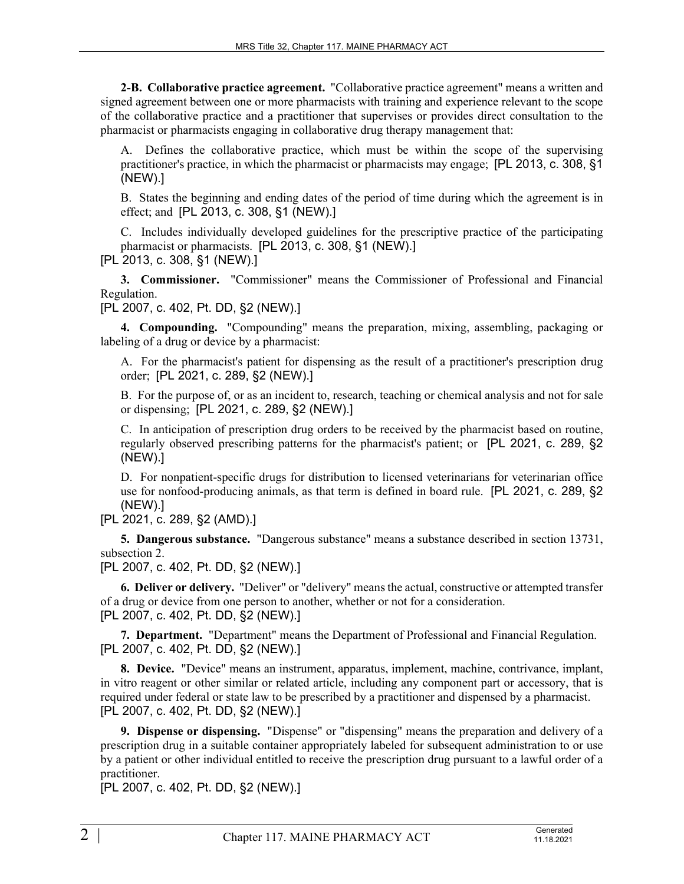**2-B. Collaborative practice agreement.** "Collaborative practice agreement" means a written and signed agreement between one or more pharmacists with training and experience relevant to the scope of the collaborative practice and a practitioner that supervises or provides direct consultation to the pharmacist or pharmacists engaging in collaborative drug therapy management that:

A. Defines the collaborative practice, which must be within the scope of the supervising practitioner's practice, in which the pharmacist or pharmacists may engage; [PL 2013, c. 308, §1 (NEW).]

B. States the beginning and ending dates of the period of time during which the agreement is in effect; and [PL 2013, c. 308, §1 (NEW).]

C. Includes individually developed guidelines for the prescriptive practice of the participating pharmacist or pharmacists. [PL 2013, c. 308, §1 (NEW).] [PL 2013, c. 308, §1 (NEW).]

**3. Commissioner.** "Commissioner" means the Commissioner of Professional and Financial Regulation.

[PL 2007, c. 402, Pt. DD, §2 (NEW).]

**4. Compounding.** "Compounding" means the preparation, mixing, assembling, packaging or labeling of a drug or device by a pharmacist:

A. For the pharmacist's patient for dispensing as the result of a practitioner's prescription drug order; [PL 2021, c. 289, §2 (NEW).]

B. For the purpose of, or as an incident to, research, teaching or chemical analysis and not for sale or dispensing; [PL 2021, c. 289, §2 (NEW).]

C. In anticipation of prescription drug orders to be received by the pharmacist based on routine, regularly observed prescribing patterns for the pharmacist's patient; or [PL 2021, c. 289, §2 (NEW).]

D. For nonpatient-specific drugs for distribution to licensed veterinarians for veterinarian office use for nonfood-producing animals, as that term is defined in board rule. [PL 2021, c. 289, §2 (NEW).]

[PL 2021, c. 289, §2 (AMD).]

**5. Dangerous substance.** "Dangerous substance" means a substance described in section 13731, subsection 2.

[PL 2007, c. 402, Pt. DD, §2 (NEW).]

**6. Deliver or delivery.** "Deliver" or "delivery" means the actual, constructive or attempted transfer of a drug or device from one person to another, whether or not for a consideration. [PL 2007, c. 402, Pt. DD, §2 (NEW).]

**7. Department.** "Department" means the Department of Professional and Financial Regulation. [PL 2007, c. 402, Pt. DD, §2 (NEW).]

**8. Device.** "Device" means an instrument, apparatus, implement, machine, contrivance, implant, in vitro reagent or other similar or related article, including any component part or accessory, that is required under federal or state law to be prescribed by a practitioner and dispensed by a pharmacist. [PL 2007, c. 402, Pt. DD, §2 (NEW).]

**9. Dispense or dispensing.** "Dispense" or "dispensing" means the preparation and delivery of a prescription drug in a suitable container appropriately labeled for subsequent administration to or use by a patient or other individual entitled to receive the prescription drug pursuant to a lawful order of a practitioner.

[PL 2007, c. 402, Pt. DD, §2 (NEW).]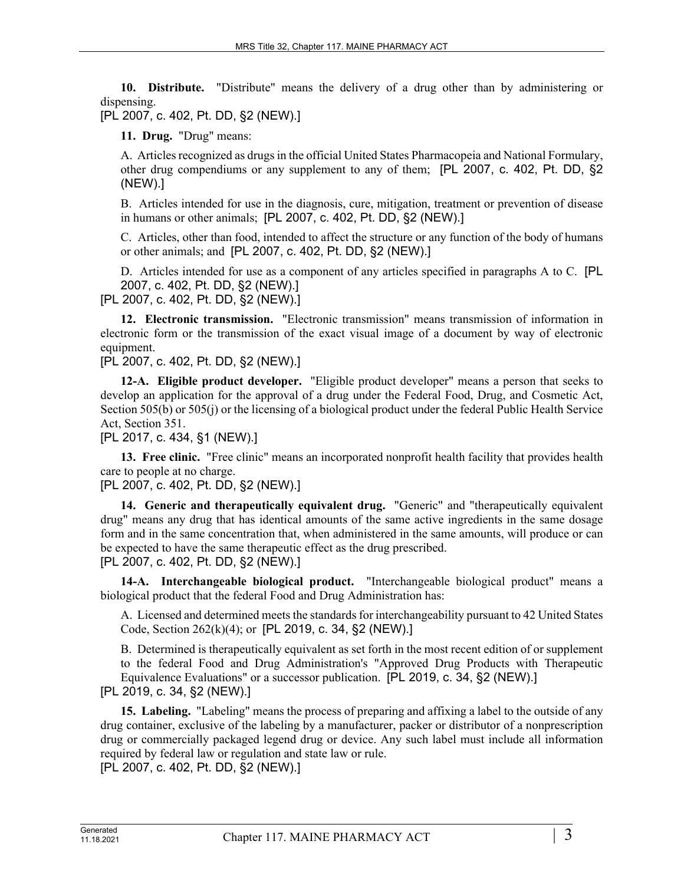**10. Distribute.** "Distribute" means the delivery of a drug other than by administering or dispensing.

[PL 2007, c. 402, Pt. DD, §2 (NEW).]

**11. Drug.** "Drug" means:

A. Articles recognized as drugs in the official United States Pharmacopeia and National Formulary, other drug compendiums or any supplement to any of them; [PL 2007, c. 402, Pt. DD, §2 (NEW).]

B. Articles intended for use in the diagnosis, cure, mitigation, treatment or prevention of disease in humans or other animals; [PL 2007, c. 402, Pt. DD, §2 (NEW).]

C. Articles, other than food, intended to affect the structure or any function of the body of humans or other animals; and [PL 2007, c. 402, Pt. DD, §2 (NEW).]

D. Articles intended for use as a component of any articles specified in paragraphs A to C. [PL 2007, c. 402, Pt. DD, §2 (NEW).]

[PL 2007, c. 402, Pt. DD, §2 (NEW).]

**12. Electronic transmission.** "Electronic transmission" means transmission of information in electronic form or the transmission of the exact visual image of a document by way of electronic equipment.

[PL 2007, c. 402, Pt. DD, §2 (NEW).]

**12-A. Eligible product developer.** "Eligible product developer" means a person that seeks to develop an application for the approval of a drug under the Federal Food, Drug, and Cosmetic Act, Section 505(b) or 505(j) or the licensing of a biological product under the federal Public Health Service Act, Section 351.

[PL 2017, c. 434, §1 (NEW).]

**13. Free clinic.** "Free clinic" means an incorporated nonprofit health facility that provides health care to people at no charge.

[PL 2007, c. 402, Pt. DD, §2 (NEW).]

**14. Generic and therapeutically equivalent drug.** "Generic" and "therapeutically equivalent drug" means any drug that has identical amounts of the same active ingredients in the same dosage form and in the same concentration that, when administered in the same amounts, will produce or can be expected to have the same therapeutic effect as the drug prescribed. [PL 2007, c. 402, Pt. DD, §2 (NEW).]

**14-A. Interchangeable biological product.** "Interchangeable biological product" means a biological product that the federal Food and Drug Administration has:

A. Licensed and determined meets the standards for interchangeability pursuant to 42 United States Code, Section 262(k)(4); or [PL 2019, c. 34, §2 (NEW).]

B. Determined is therapeutically equivalent as set forth in the most recent edition of or supplement to the federal Food and Drug Administration's "Approved Drug Products with Therapeutic Equivalence Evaluations" or a successor publication. [PL 2019, c. 34, §2 (NEW).] [PL 2019, c. 34, §2 (NEW).]

**15. Labeling.** "Labeling" means the process of preparing and affixing a label to the outside of any drug container, exclusive of the labeling by a manufacturer, packer or distributor of a nonprescription drug or commercially packaged legend drug or device. Any such label must include all information required by federal law or regulation and state law or rule. [PL 2007, c. 402, Pt. DD, §2 (NEW).]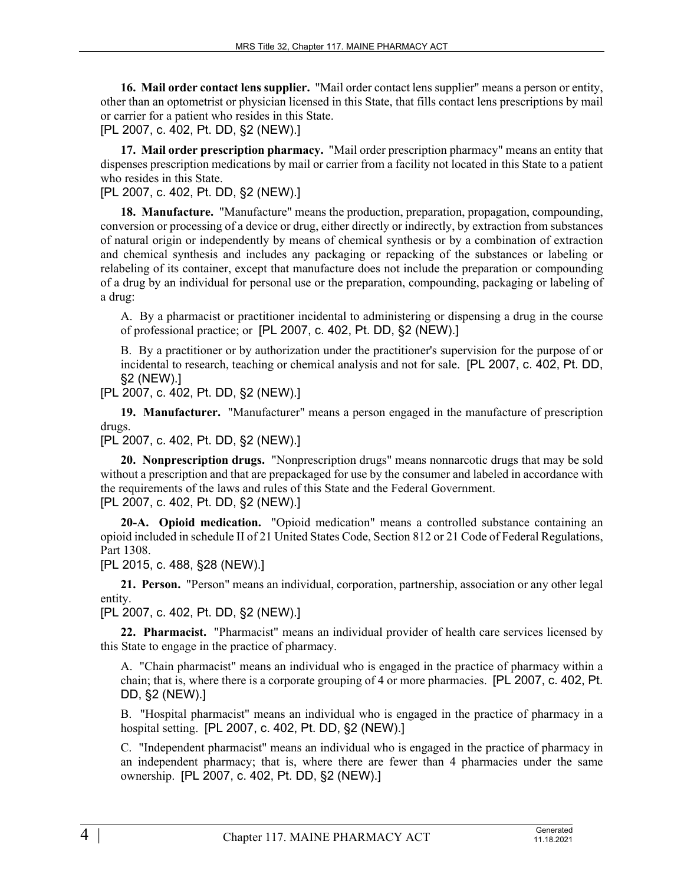**16. Mail order contact lens supplier.** "Mail order contact lens supplier" means a person or entity, other than an optometrist or physician licensed in this State, that fills contact lens prescriptions by mail or carrier for a patient who resides in this State.

[PL 2007, c. 402, Pt. DD, §2 (NEW).]

**17. Mail order prescription pharmacy.** "Mail order prescription pharmacy" means an entity that dispenses prescription medications by mail or carrier from a facility not located in this State to a patient who resides in this State.

# [PL 2007, c. 402, Pt. DD, §2 (NEW).]

**18. Manufacture.** "Manufacture" means the production, preparation, propagation, compounding, conversion or processing of a device or drug, either directly or indirectly, by extraction from substances of natural origin or independently by means of chemical synthesis or by a combination of extraction and chemical synthesis and includes any packaging or repacking of the substances or labeling or relabeling of its container, except that manufacture does not include the preparation or compounding of a drug by an individual for personal use or the preparation, compounding, packaging or labeling of a drug:

A. By a pharmacist or practitioner incidental to administering or dispensing a drug in the course of professional practice; or [PL 2007, c. 402, Pt. DD, §2 (NEW).]

B. By a practitioner or by authorization under the practitioner's supervision for the purpose of or incidental to research, teaching or chemical analysis and not for sale. [PL 2007, c. 402, Pt. DD, §2 (NEW).]

[PL 2007, c. 402, Pt. DD, §2 (NEW).]

**19. Manufacturer.** "Manufacturer" means a person engaged in the manufacture of prescription drugs.

[PL 2007, c. 402, Pt. DD, §2 (NEW).]

**20. Nonprescription drugs.** "Nonprescription drugs" means nonnarcotic drugs that may be sold without a prescription and that are prepackaged for use by the consumer and labeled in accordance with the requirements of the laws and rules of this State and the Federal Government. [PL 2007, c. 402, Pt. DD, §2 (NEW).]

**20-A. Opioid medication.** "Opioid medication" means a controlled substance containing an opioid included in schedule II of 21 United States Code, Section 812 or 21 Code of Federal Regulations, Part 1308.

[PL 2015, c. 488, §28 (NEW).]

**21. Person.** "Person" means an individual, corporation, partnership, association or any other legal entity.

[PL 2007, c. 402, Pt. DD, §2 (NEW).]

**22. Pharmacist.** "Pharmacist" means an individual provider of health care services licensed by this State to engage in the practice of pharmacy.

A. "Chain pharmacist" means an individual who is engaged in the practice of pharmacy within a chain; that is, where there is a corporate grouping of 4 or more pharmacies. [PL 2007, c. 402, Pt. DD, §2 (NEW).]

B. "Hospital pharmacist" means an individual who is engaged in the practice of pharmacy in a hospital setting. [PL 2007, c. 402, Pt. DD, §2 (NEW).]

C. "Independent pharmacist" means an individual who is engaged in the practice of pharmacy in an independent pharmacy; that is, where there are fewer than 4 pharmacies under the same ownership. [PL 2007, c. 402, Pt. DD, §2 (NEW).]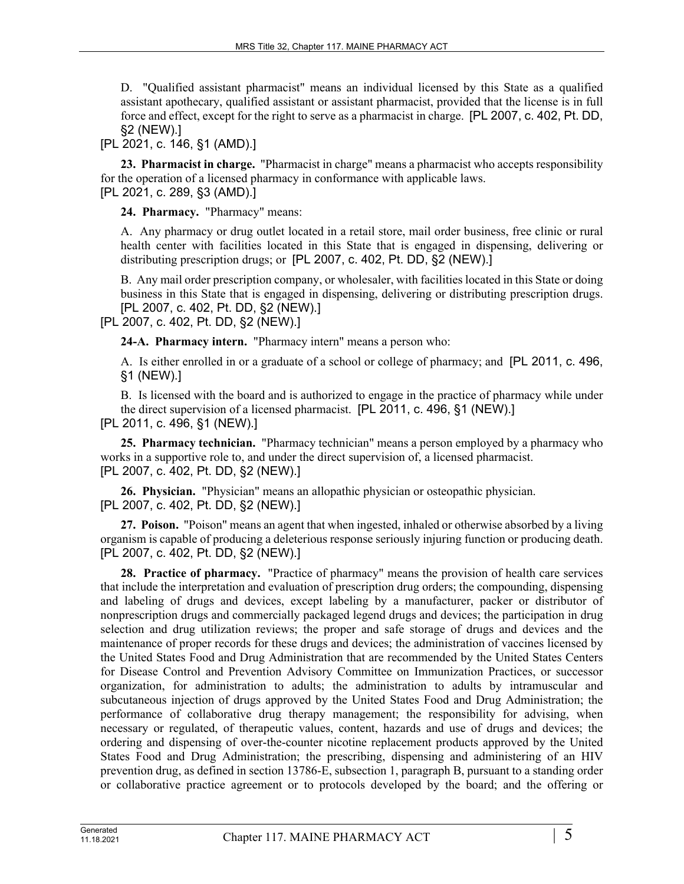D. "Qualified assistant pharmacist" means an individual licensed by this State as a qualified assistant apothecary, qualified assistant or assistant pharmacist, provided that the license is in full force and effect, except for the right to serve as a pharmacist in charge. [PL 2007, c. 402, Pt. DD, §2 (NEW).]

# [PL 2021, c. 146, §1 (AMD).]

**23. Pharmacist in charge.** "Pharmacist in charge" means a pharmacist who accepts responsibility for the operation of a licensed pharmacy in conformance with applicable laws. [PL 2021, c. 289, §3 (AMD).]

**24. Pharmacy.** "Pharmacy" means:

A. Any pharmacy or drug outlet located in a retail store, mail order business, free clinic or rural health center with facilities located in this State that is engaged in dispensing, delivering or distributing prescription drugs; or [PL 2007, c. 402, Pt. DD, §2 (NEW).]

B. Any mail order prescription company, or wholesaler, with facilities located in this State or doing business in this State that is engaged in dispensing, delivering or distributing prescription drugs. [PL 2007, c. 402, Pt. DD, §2 (NEW).]

[PL 2007, c. 402, Pt. DD, §2 (NEW).]

**24-A. Pharmacy intern.** "Pharmacy intern" means a person who:

A. Is either enrolled in or a graduate of a school or college of pharmacy; and [PL 2011, c. 496, §1 (NEW).]

B. Is licensed with the board and is authorized to engage in the practice of pharmacy while under the direct supervision of a licensed pharmacist. [PL 2011, c. 496, §1 (NEW).]

[PL 2011, c. 496, §1 (NEW).]

**25. Pharmacy technician.** "Pharmacy technician" means a person employed by a pharmacy who works in a supportive role to, and under the direct supervision of, a licensed pharmacist. [PL 2007, c. 402, Pt. DD, §2 (NEW).]

**26. Physician.** "Physician" means an allopathic physician or osteopathic physician. [PL 2007, c. 402, Pt. DD, §2 (NEW).]

**27. Poison.** "Poison" means an agent that when ingested, inhaled or otherwise absorbed by a living organism is capable of producing a deleterious response seriously injuring function or producing death. [PL 2007, c. 402, Pt. DD, §2 (NEW).]

**28. Practice of pharmacy.** "Practice of pharmacy" means the provision of health care services that include the interpretation and evaluation of prescription drug orders; the compounding, dispensing and labeling of drugs and devices, except labeling by a manufacturer, packer or distributor of nonprescription drugs and commercially packaged legend drugs and devices; the participation in drug selection and drug utilization reviews; the proper and safe storage of drugs and devices and the maintenance of proper records for these drugs and devices; the administration of vaccines licensed by the United States Food and Drug Administration that are recommended by the United States Centers for Disease Control and Prevention Advisory Committee on Immunization Practices, or successor organization, for administration to adults; the administration to adults by intramuscular and subcutaneous injection of drugs approved by the United States Food and Drug Administration; the performance of collaborative drug therapy management; the responsibility for advising, when necessary or regulated, of therapeutic values, content, hazards and use of drugs and devices; the ordering and dispensing of over-the-counter nicotine replacement products approved by the United States Food and Drug Administration; the prescribing, dispensing and administering of an HIV prevention drug, as defined in section 13786-E, subsection 1, paragraph B, pursuant to a standing order or collaborative practice agreement or to protocols developed by the board; and the offering or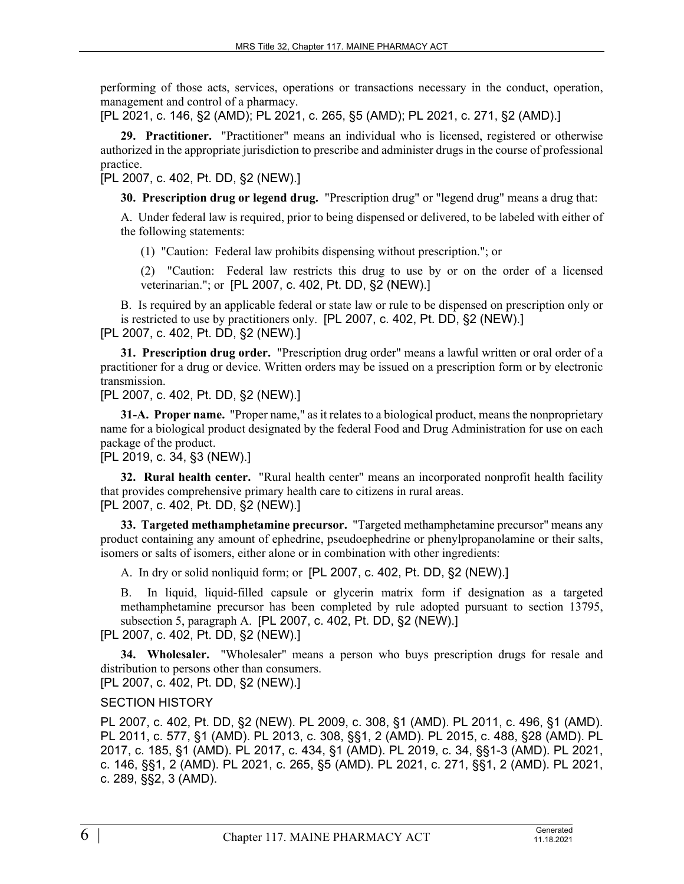performing of those acts, services, operations or transactions necessary in the conduct, operation, management and control of a pharmacy.

[PL 2021, c. 146, §2 (AMD); PL 2021, c. 265, §5 (AMD); PL 2021, c. 271, §2 (AMD).]

**29. Practitioner.** "Practitioner" means an individual who is licensed, registered or otherwise authorized in the appropriate jurisdiction to prescribe and administer drugs in the course of professional practice.

[PL 2007, c. 402, Pt. DD, §2 (NEW).]

**30. Prescription drug or legend drug.** "Prescription drug" or "legend drug" means a drug that:

A. Under federal law is required, prior to being dispensed or delivered, to be labeled with either of the following statements:

(1) "Caution: Federal law prohibits dispensing without prescription."; or

(2) "Caution: Federal law restricts this drug to use by or on the order of a licensed veterinarian."; or [PL 2007, c. 402, Pt. DD, §2 (NEW).]

B. Is required by an applicable federal or state law or rule to be dispensed on prescription only or is restricted to use by practitioners only. [PL 2007, c. 402, Pt. DD, §2 (NEW).] [PL 2007, c. 402, Pt. DD, §2 (NEW).]

**31. Prescription drug order.** "Prescription drug order" means a lawful written or oral order of a practitioner for a drug or device. Written orders may be issued on a prescription form or by electronic transmission.

[PL 2007, c. 402, Pt. DD, §2 (NEW).]

**31-A. Proper name.** "Proper name," as it relates to a biological product, means the nonproprietary name for a biological product designated by the federal Food and Drug Administration for use on each package of the product.

[PL 2019, c. 34, §3 (NEW).]

**32. Rural health center.** "Rural health center" means an incorporated nonprofit health facility that provides comprehensive primary health care to citizens in rural areas. [PL 2007, c. 402, Pt. DD, §2 (NEW).]

**33. Targeted methamphetamine precursor.** "Targeted methamphetamine precursor" means any product containing any amount of ephedrine, pseudoephedrine or phenylpropanolamine or their salts, isomers or salts of isomers, either alone or in combination with other ingredients:

A. In dry or solid nonliquid form; or [PL 2007, c. 402, Pt. DD, §2 (NEW).]

B. In liquid, liquid-filled capsule or glycerin matrix form if designation as a targeted methamphetamine precursor has been completed by rule adopted pursuant to section 13795, subsection 5, paragraph A. [PL 2007, c. 402, Pt. DD, §2 (NEW).]

[PL 2007, c. 402, Pt. DD, §2 (NEW).]

**34. Wholesaler.** "Wholesaler" means a person who buys prescription drugs for resale and distribution to persons other than consumers.

[PL 2007, c. 402, Pt. DD, §2 (NEW).]

# SECTION HISTORY

PL 2007, c. 402, Pt. DD, §2 (NEW). PL 2009, c. 308, §1 (AMD). PL 2011, c. 496, §1 (AMD). PL 2011, c. 577, §1 (AMD). PL 2013, c. 308, §§1, 2 (AMD). PL 2015, c. 488, §28 (AMD). PL 2017, c. 185, §1 (AMD). PL 2017, c. 434, §1 (AMD). PL 2019, c. 34, §§1-3 (AMD). PL 2021, c. 146, §§1, 2 (AMD). PL 2021, c. 265, §5 (AMD). PL 2021, c. 271, §§1, 2 (AMD). PL 2021, c. 289, §§2, 3 (AMD).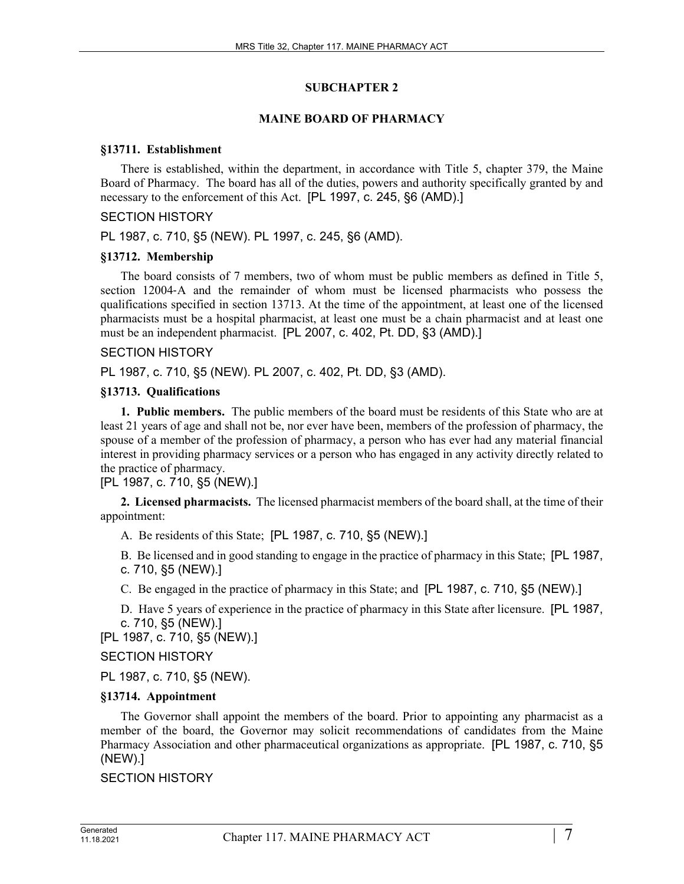### **SUBCHAPTER 2**

## **MAINE BOARD OF PHARMACY**

### **§13711. Establishment**

There is established, within the department, in accordance with Title 5, chapter 379, the Maine Board of Pharmacy. The board has all of the duties, powers and authority specifically granted by and necessary to the enforcement of this Act. [PL 1997, c. 245, §6 (AMD).]

### SECTION HISTORY

PL 1987, c. 710, §5 (NEW). PL 1997, c. 245, §6 (AMD).

## **§13712. Membership**

The board consists of 7 members, two of whom must be public members as defined in Title 5, section 12004-A and the remainder of whom must be licensed pharmacists who possess the qualifications specified in section 13713. At the time of the appointment, at least one of the licensed pharmacists must be a hospital pharmacist, at least one must be a chain pharmacist and at least one must be an independent pharmacist. [PL 2007, c. 402, Pt. DD, §3 (AMD).]

## SECTION HISTORY

PL 1987, c. 710, §5 (NEW). PL 2007, c. 402, Pt. DD, §3 (AMD).

## **§13713. Qualifications**

**1. Public members.** The public members of the board must be residents of this State who are at least 21 years of age and shall not be, nor ever have been, members of the profession of pharmacy, the spouse of a member of the profession of pharmacy, a person who has ever had any material financial interest in providing pharmacy services or a person who has engaged in any activity directly related to the practice of pharmacy.

[PL 1987, c. 710, §5 (NEW).]

**2. Licensed pharmacists.** The licensed pharmacist members of the board shall, at the time of their appointment:

A. Be residents of this State; [PL 1987, c. 710, §5 (NEW).]

B. Be licensed and in good standing to engage in the practice of pharmacy in this State; [PL 1987, c. 710, §5 (NEW).]

C. Be engaged in the practice of pharmacy in this State; and [PL 1987, c. 710, §5 (NEW).]

D. Have 5 years of experience in the practice of pharmacy in this State after licensure. [PL 1987, c. 710, §5 (NEW).]

[PL 1987, c. 710, §5 (NEW).]

# SECTION HISTORY

PL 1987, c. 710, §5 (NEW).

# **§13714. Appointment**

The Governor shall appoint the members of the board. Prior to appointing any pharmacist as a member of the board, the Governor may solicit recommendations of candidates from the Maine Pharmacy Association and other pharmaceutical organizations as appropriate. [PL 1987, c. 710, §5 (NEW).]

#### SECTION HISTORY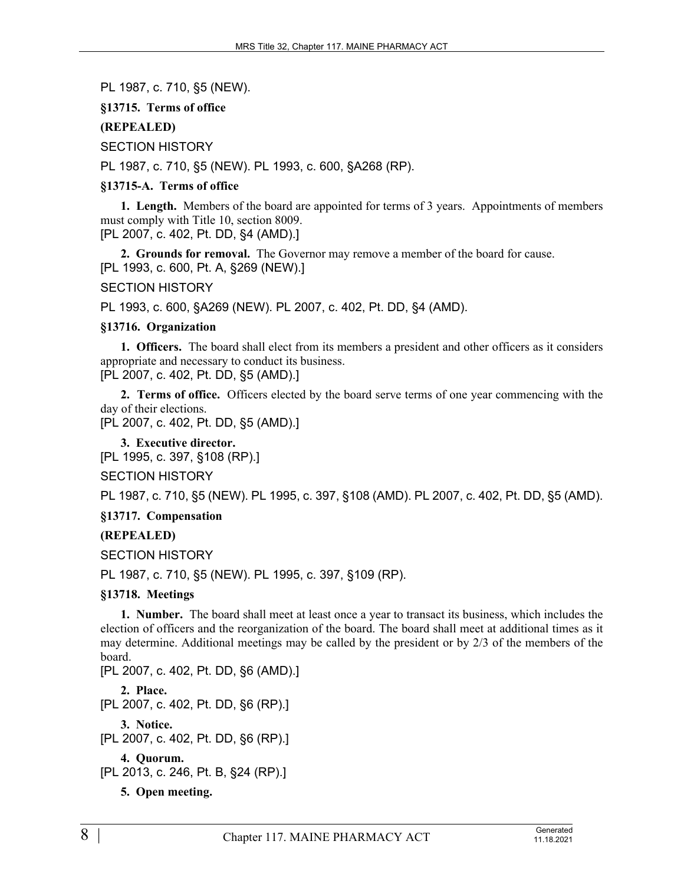PL 1987, c. 710, §5 (NEW).

# **§13715. Terms of office**

# **(REPEALED)**

SECTION HISTORY

PL 1987, c. 710, §5 (NEW). PL 1993, c. 600, §A268 (RP).

# **§13715-A. Terms of office**

**1. Length.** Members of the board are appointed for terms of 3 years. Appointments of members must comply with Title 10, section 8009. [PL 2007, c. 402, Pt. DD, §4 (AMD).]

**2. Grounds for removal.** The Governor may remove a member of the board for cause. [PL 1993, c. 600, Pt. A, §269 (NEW).]

SECTION HISTORY

PL 1993, c. 600, §A269 (NEW). PL 2007, c. 402, Pt. DD, §4 (AMD).

# **§13716. Organization**

**1. Officers.** The board shall elect from its members a president and other officers as it considers appropriate and necessary to conduct its business.

[PL 2007, c. 402, Pt. DD, §5 (AMD).]

**2. Terms of office.** Officers elected by the board serve terms of one year commencing with the day of their elections.

[PL 2007, c. 402, Pt. DD, §5 (AMD).]

**3. Executive director.**  [PL 1995, c. 397, §108 (RP).]

SECTION HISTORY

PL 1987, c. 710, §5 (NEW). PL 1995, c. 397, §108 (AMD). PL 2007, c. 402, Pt. DD, §5 (AMD).

**§13717. Compensation**

# **(REPEALED)**

SECTION HISTORY

PL 1987, c. 710, §5 (NEW). PL 1995, c. 397, §109 (RP).

# **§13718. Meetings**

**1. Number.** The board shall meet at least once a year to transact its business, which includes the election of officers and the reorganization of the board. The board shall meet at additional times as it may determine. Additional meetings may be called by the president or by 2/3 of the members of the board.

[PL 2007, c. 402, Pt. DD, §6 (AMD).]

**2. Place.** 

[PL 2007, c. 402, Pt. DD, §6 (RP).]

**3. Notice.** 

[PL 2007, c. 402, Pt. DD, §6 (RP).]

**4. Quorum.** 

```
[PL 2013, c. 246, Pt. B, §24 (RP).]
```
**5. Open meeting.**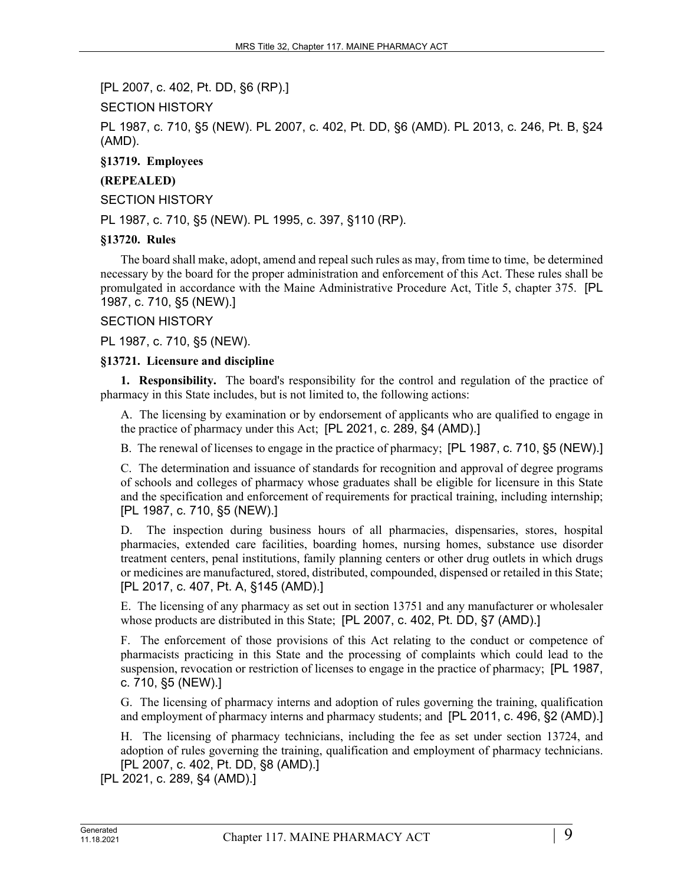[PL 2007, c. 402, Pt. DD, §6 (RP).]

SECTION HISTORY

PL 1987, c. 710, §5 (NEW). PL 2007, c. 402, Pt. DD, §6 (AMD). PL 2013, c. 246, Pt. B, §24 (AMD).

**§13719. Employees**

# **(REPEALED)**

SECTION HISTORY

PL 1987, c. 710, §5 (NEW). PL 1995, c. 397, §110 (RP).

#### **§13720. Rules**

The board shall make, adopt, amend and repeal such rules as may, from time to time, be determined necessary by the board for the proper administration and enforcement of this Act. These rules shall be promulgated in accordance with the Maine Administrative Procedure Act, Title 5, chapter 375. [PL 1987, c. 710, §5 (NEW).]

#### SECTION HISTORY

PL 1987, c. 710, §5 (NEW).

#### **§13721. Licensure and discipline**

**1. Responsibility.** The board's responsibility for the control and regulation of the practice of pharmacy in this State includes, but is not limited to, the following actions:

A. The licensing by examination or by endorsement of applicants who are qualified to engage in the practice of pharmacy under this Act; [PL 2021, c. 289, §4 (AMD).]

B. The renewal of licenses to engage in the practice of pharmacy; [PL 1987, c. 710, §5 (NEW).]

C. The determination and issuance of standards for recognition and approval of degree programs of schools and colleges of pharmacy whose graduates shall be eligible for licensure in this State and the specification and enforcement of requirements for practical training, including internship; [PL 1987, c. 710, §5 (NEW).]

D. The inspection during business hours of all pharmacies, dispensaries, stores, hospital pharmacies, extended care facilities, boarding homes, nursing homes, substance use disorder treatment centers, penal institutions, family planning centers or other drug outlets in which drugs or medicines are manufactured, stored, distributed, compounded, dispensed or retailed in this State; [PL 2017, c. 407, Pt. A, §145 (AMD).]

E. The licensing of any pharmacy as set out in section 13751 and any manufacturer or wholesaler whose products are distributed in this State; [PL 2007, c. 402, Pt. DD, §7 (AMD).]

F. The enforcement of those provisions of this Act relating to the conduct or competence of pharmacists practicing in this State and the processing of complaints which could lead to the suspension, revocation or restriction of licenses to engage in the practice of pharmacy; [PL 1987, c. 710, §5 (NEW).]

G. The licensing of pharmacy interns and adoption of rules governing the training, qualification and employment of pharmacy interns and pharmacy students; and [PL 2011, c. 496, §2 (AMD).]

H. The licensing of pharmacy technicians, including the fee as set under section 13724, and adoption of rules governing the training, qualification and employment of pharmacy technicians. [PL 2007, c. 402, Pt. DD, §8 (AMD).]

[PL 2021, c. 289, §4 (AMD).]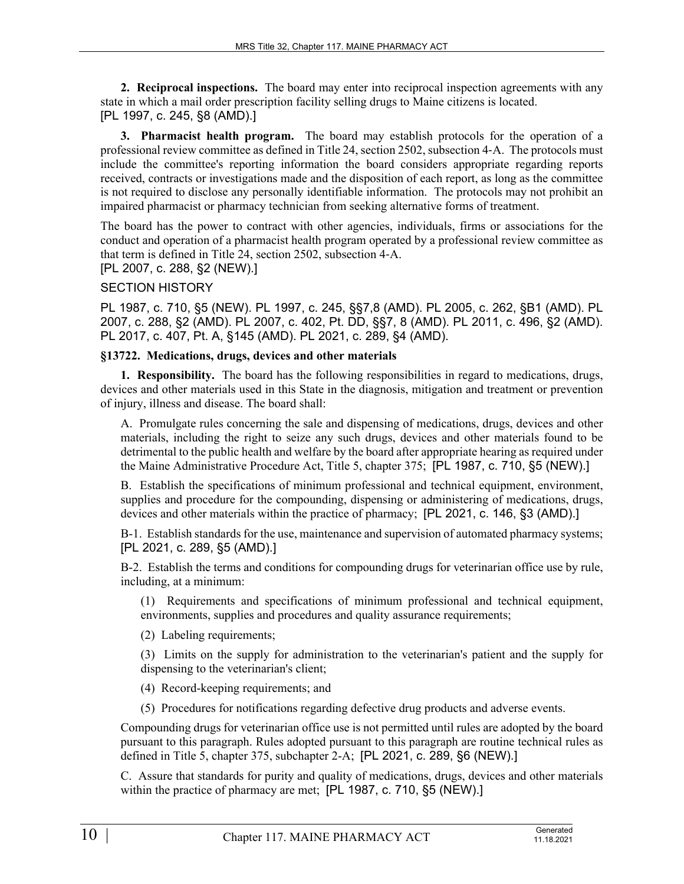**2. Reciprocal inspections.** The board may enter into reciprocal inspection agreements with any state in which a mail order prescription facility selling drugs to Maine citizens is located. [PL 1997, c. 245, §8 (AMD).]

**3. Pharmacist health program.** The board may establish protocols for the operation of a professional review committee as defined in Title 24, section 2502, subsection 4‑A. The protocols must include the committee's reporting information the board considers appropriate regarding reports received, contracts or investigations made and the disposition of each report, as long as the committee is not required to disclose any personally identifiable information. The protocols may not prohibit an impaired pharmacist or pharmacy technician from seeking alternative forms of treatment.

The board has the power to contract with other agencies, individuals, firms or associations for the conduct and operation of a pharmacist health program operated by a professional review committee as that term is defined in Title 24, section 2502, subsection 4‑A. [PL 2007, c. 288, §2 (NEW).]

SECTION HISTORY

PL 1987, c. 710, §5 (NEW). PL 1997, c. 245, §§7,8 (AMD). PL 2005, c. 262, §B1 (AMD). PL 2007, c. 288, §2 (AMD). PL 2007, c. 402, Pt. DD, §§7, 8 (AMD). PL 2011, c. 496, §2 (AMD). PL 2017, c. 407, Pt. A, §145 (AMD). PL 2021, c. 289, §4 (AMD).

#### **§13722. Medications, drugs, devices and other materials**

**1. Responsibility.** The board has the following responsibilities in regard to medications, drugs, devices and other materials used in this State in the diagnosis, mitigation and treatment or prevention of injury, illness and disease. The board shall:

A. Promulgate rules concerning the sale and dispensing of medications, drugs, devices and other materials, including the right to seize any such drugs, devices and other materials found to be detrimental to the public health and welfare by the board after appropriate hearing as required under the Maine Administrative Procedure Act, Title 5, chapter 375; [PL 1987, c. 710, §5 (NEW).]

B. Establish the specifications of minimum professional and technical equipment, environment, supplies and procedure for the compounding, dispensing or administering of medications, drugs, devices and other materials within the practice of pharmacy; [PL 2021, c. 146, §3 (AMD).]

B-1. Establish standards for the use, maintenance and supervision of automated pharmacy systems; [PL 2021, c. 289, §5 (AMD).]

B-2. Establish the terms and conditions for compounding drugs for veterinarian office use by rule, including, at a minimum:

(1) Requirements and specifications of minimum professional and technical equipment, environments, supplies and procedures and quality assurance requirements;

(2) Labeling requirements;

(3) Limits on the supply for administration to the veterinarian's patient and the supply for dispensing to the veterinarian's client;

(4) Record-keeping requirements; and

(5) Procedures for notifications regarding defective drug products and adverse events.

Compounding drugs for veterinarian office use is not permitted until rules are adopted by the board pursuant to this paragraph. Rules adopted pursuant to this paragraph are routine technical rules as defined in Title 5, chapter 375, subchapter 2-A; [PL 2021, c. 289, §6 (NEW).]

C. Assure that standards for purity and quality of medications, drugs, devices and other materials within the practice of pharmacy are met; [PL 1987, c. 710, §5 (NEW).]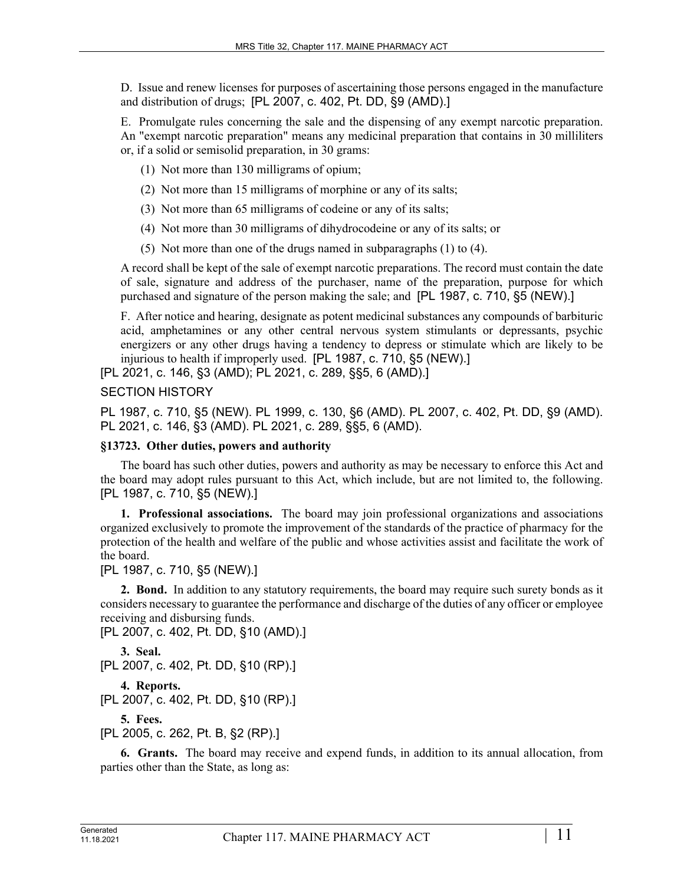D. Issue and renew licenses for purposes of ascertaining those persons engaged in the manufacture and distribution of drugs; [PL 2007, c. 402, Pt. DD, §9 (AMD).]

E. Promulgate rules concerning the sale and the dispensing of any exempt narcotic preparation. An "exempt narcotic preparation" means any medicinal preparation that contains in 30 milliliters or, if a solid or semisolid preparation, in 30 grams:

- (1) Not more than 130 milligrams of opium;
- (2) Not more than 15 milligrams of morphine or any of its salts;
- (3) Not more than 65 milligrams of codeine or any of its salts;
- (4) Not more than 30 milligrams of dihydrocodeine or any of its salts; or
- (5) Not more than one of the drugs named in subparagraphs (1) to (4).

A record shall be kept of the sale of exempt narcotic preparations. The record must contain the date of sale, signature and address of the purchaser, name of the preparation, purpose for which purchased and signature of the person making the sale; and [PL 1987, c. 710, §5 (NEW).]

F. After notice and hearing, designate as potent medicinal substances any compounds of barbituric acid, amphetamines or any other central nervous system stimulants or depressants, psychic energizers or any other drugs having a tendency to depress or stimulate which are likely to be injurious to health if improperly used. [PL 1987, c. 710, §5 (NEW).]

[PL 2021, c. 146, §3 (AMD); PL 2021, c. 289, §§5, 6 (AMD).]

# SECTION HISTORY

PL 1987, c. 710, §5 (NEW). PL 1999, c. 130, §6 (AMD). PL 2007, c. 402, Pt. DD, §9 (AMD). PL 2021, c. 146, §3 (AMD). PL 2021, c. 289, §§5, 6 (AMD).

### **§13723. Other duties, powers and authority**

The board has such other duties, powers and authority as may be necessary to enforce this Act and the board may adopt rules pursuant to this Act, which include, but are not limited to, the following. [PL 1987, c. 710, §5 (NEW).]

**1. Professional associations.** The board may join professional organizations and associations organized exclusively to promote the improvement of the standards of the practice of pharmacy for the protection of the health and welfare of the public and whose activities assist and facilitate the work of the board.

[PL 1987, c. 710, §5 (NEW).]

**2. Bond.** In addition to any statutory requirements, the board may require such surety bonds as it considers necessary to guarantee the performance and discharge of the duties of any officer or employee receiving and disbursing funds.

```
[PL 2007, c. 402, Pt. DD, §10 (AMD).]
```

```
3. Seal. 
[PL 2007, c. 402, Pt. DD, §10 (RP).]
```

```
4. Reports.
```

```
[PL 2007, c. 402, Pt. DD, §10 (RP).]
```
**5. Fees.** 

[PL 2005, c. 262, Pt. B, §2 (RP).]

**6. Grants.** The board may receive and expend funds, in addition to its annual allocation, from parties other than the State, as long as: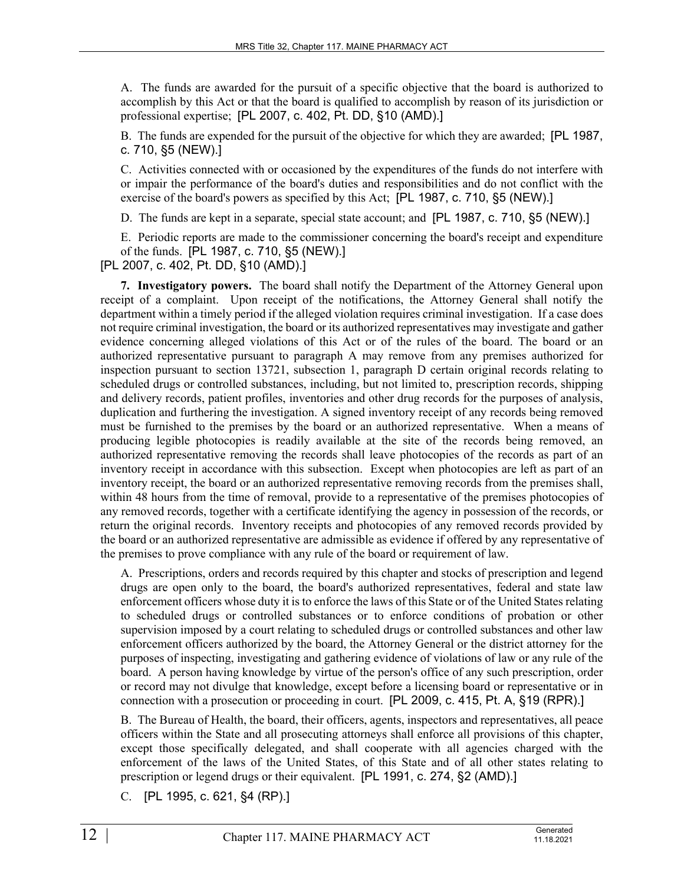A. The funds are awarded for the pursuit of a specific objective that the board is authorized to accomplish by this Act or that the board is qualified to accomplish by reason of its jurisdiction or professional expertise; [PL 2007, c. 402, Pt. DD, §10 (AMD).]

B. The funds are expended for the pursuit of the objective for which they are awarded; [PL 1987, c. 710, §5 (NEW).]

C. Activities connected with or occasioned by the expenditures of the funds do not interfere with or impair the performance of the board's duties and responsibilities and do not conflict with the exercise of the board's powers as specified by this Act; [PL 1987, c. 710, §5 (NEW).]

D. The funds are kept in a separate, special state account; and [PL 1987, c. 710, §5 (NEW).]

E. Periodic reports are made to the commissioner concerning the board's receipt and expenditure of the funds. [PL 1987, c. 710, §5 (NEW).]

[PL 2007, c. 402, Pt. DD, §10 (AMD).]

**7. Investigatory powers.** The board shall notify the Department of the Attorney General upon receipt of a complaint. Upon receipt of the notifications, the Attorney General shall notify the department within a timely period if the alleged violation requires criminal investigation. If a case does not require criminal investigation, the board or its authorized representatives may investigate and gather evidence concerning alleged violations of this Act or of the rules of the board. The board or an authorized representative pursuant to paragraph A may remove from any premises authorized for inspection pursuant to section 13721, subsection 1, paragraph D certain original records relating to scheduled drugs or controlled substances, including, but not limited to, prescription records, shipping and delivery records, patient profiles, inventories and other drug records for the purposes of analysis, duplication and furthering the investigation. A signed inventory receipt of any records being removed must be furnished to the premises by the board or an authorized representative. When a means of producing legible photocopies is readily available at the site of the records being removed, an authorized representative removing the records shall leave photocopies of the records as part of an inventory receipt in accordance with this subsection. Except when photocopies are left as part of an inventory receipt, the board or an authorized representative removing records from the premises shall, within 48 hours from the time of removal, provide to a representative of the premises photocopies of any removed records, together with a certificate identifying the agency in possession of the records, or return the original records. Inventory receipts and photocopies of any removed records provided by the board or an authorized representative are admissible as evidence if offered by any representative of the premises to prove compliance with any rule of the board or requirement of law.

A. Prescriptions, orders and records required by this chapter and stocks of prescription and legend drugs are open only to the board, the board's authorized representatives, federal and state law enforcement officers whose duty it is to enforce the laws of this State or of the United States relating to scheduled drugs or controlled substances or to enforce conditions of probation or other supervision imposed by a court relating to scheduled drugs or controlled substances and other law enforcement officers authorized by the board, the Attorney General or the district attorney for the purposes of inspecting, investigating and gathering evidence of violations of law or any rule of the board. A person having knowledge by virtue of the person's office of any such prescription, order or record may not divulge that knowledge, except before a licensing board or representative or in connection with a prosecution or proceeding in court. [PL 2009, c. 415, Pt. A, §19 (RPR).]

B. The Bureau of Health, the board, their officers, agents, inspectors and representatives, all peace officers within the State and all prosecuting attorneys shall enforce all provisions of this chapter, except those specifically delegated, and shall cooperate with all agencies charged with the enforcement of the laws of the United States, of this State and of all other states relating to prescription or legend drugs or their equivalent. [PL 1991, c. 274, §2 (AMD).]

C. [PL 1995, c. 621, §4 (RP).]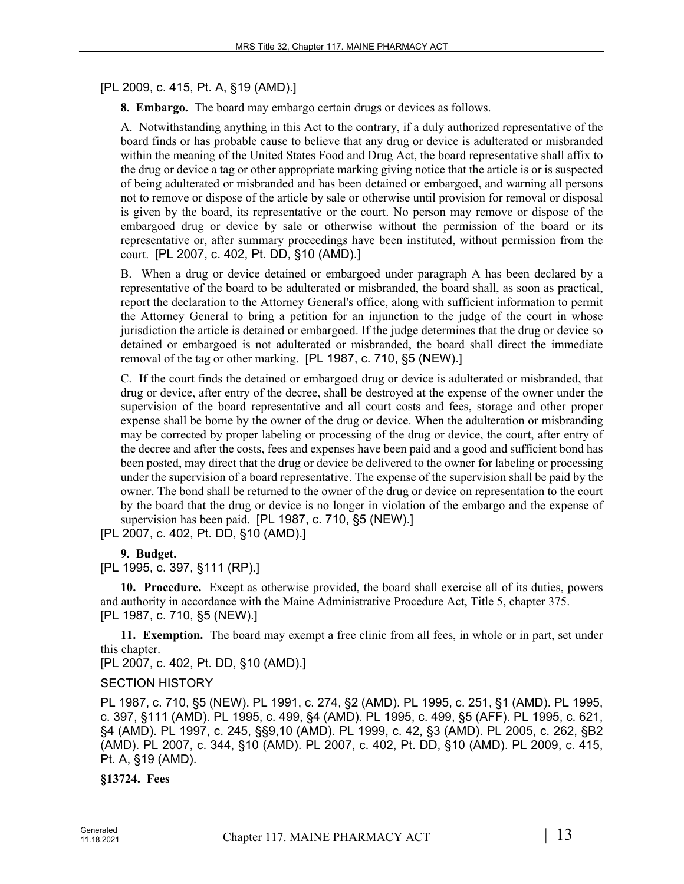# [PL 2009, c. 415, Pt. A, §19 (AMD).]

**8. Embargo.** The board may embargo certain drugs or devices as follows.

A. Notwithstanding anything in this Act to the contrary, if a duly authorized representative of the board finds or has probable cause to believe that any drug or device is adulterated or misbranded within the meaning of the United States Food and Drug Act, the board representative shall affix to the drug or device a tag or other appropriate marking giving notice that the article is or is suspected of being adulterated or misbranded and has been detained or embargoed, and warning all persons not to remove or dispose of the article by sale or otherwise until provision for removal or disposal is given by the board, its representative or the court. No person may remove or dispose of the embargoed drug or device by sale or otherwise without the permission of the board or its representative or, after summary proceedings have been instituted, without permission from the court. [PL 2007, c. 402, Pt. DD, §10 (AMD).]

B. When a drug or device detained or embargoed under paragraph A has been declared by a representative of the board to be adulterated or misbranded, the board shall, as soon as practical, report the declaration to the Attorney General's office, along with sufficient information to permit the Attorney General to bring a petition for an injunction to the judge of the court in whose jurisdiction the article is detained or embargoed. If the judge determines that the drug or device so detained or embargoed is not adulterated or misbranded, the board shall direct the immediate removal of the tag or other marking. [PL 1987, c. 710, §5 (NEW).]

C. If the court finds the detained or embargoed drug or device is adulterated or misbranded, that drug or device, after entry of the decree, shall be destroyed at the expense of the owner under the supervision of the board representative and all court costs and fees, storage and other proper expense shall be borne by the owner of the drug or device. When the adulteration or misbranding may be corrected by proper labeling or processing of the drug or device, the court, after entry of the decree and after the costs, fees and expenses have been paid and a good and sufficient bond has been posted, may direct that the drug or device be delivered to the owner for labeling or processing under the supervision of a board representative. The expense of the supervision shall be paid by the owner. The bond shall be returned to the owner of the drug or device on representation to the court by the board that the drug or device is no longer in violation of the embargo and the expense of supervision has been paid. [PL 1987, c. 710, §5 (NEW).]

[PL 2007, c. 402, Pt. DD, §10 (AMD).]

**9. Budget.** 

[PL 1995, c. 397, §111 (RP).]

**10. Procedure.** Except as otherwise provided, the board shall exercise all of its duties, powers and authority in accordance with the Maine Administrative Procedure Act, Title 5, chapter 375. [PL 1987, c. 710, §5 (NEW).]

**11. Exemption.** The board may exempt a free clinic from all fees, in whole or in part, set under this chapter.

[PL 2007, c. 402, Pt. DD, §10 (AMD).]

# SECTION HISTORY

PL 1987, c. 710, §5 (NEW). PL 1991, c. 274, §2 (AMD). PL 1995, c. 251, §1 (AMD). PL 1995, c. 397, §111 (AMD). PL 1995, c. 499, §4 (AMD). PL 1995, c. 499, §5 (AFF). PL 1995, c. 621, §4 (AMD). PL 1997, c. 245, §§9,10 (AMD). PL 1999, c. 42, §3 (AMD). PL 2005, c. 262, §B2 (AMD). PL 2007, c. 344, §10 (AMD). PL 2007, c. 402, Pt. DD, §10 (AMD). PL 2009, c. 415, Pt. A, §19 (AMD).

**§13724. Fees**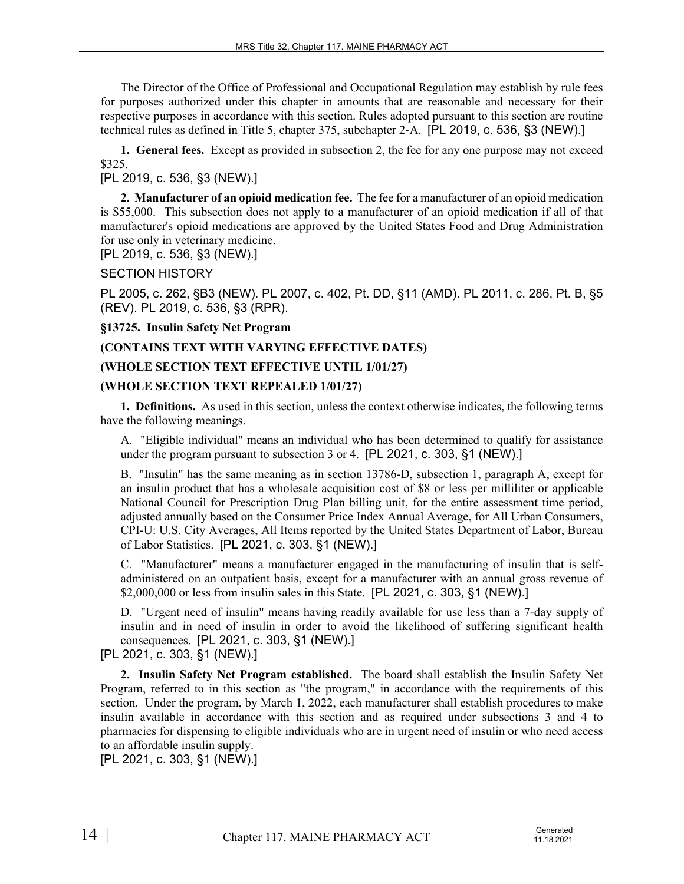The Director of the Office of Professional and Occupational Regulation may establish by rule fees for purposes authorized under this chapter in amounts that are reasonable and necessary for their respective purposes in accordance with this section. Rules adopted pursuant to this section are routine technical rules as defined in Title 5, chapter 375, subchapter 2‑A. [PL 2019, c. 536, §3 (NEW).]

**1. General fees.** Except as provided in subsection 2, the fee for any one purpose may not exceed \$325.

# [PL 2019, c. 536, §3 (NEW).]

**2. Manufacturer of an opioid medication fee.** The fee for a manufacturer of an opioid medication is \$55,000. This subsection does not apply to a manufacturer of an opioid medication if all of that manufacturer's opioid medications are approved by the United States Food and Drug Administration for use only in veterinary medicine.

[PL 2019, c. 536, §3 (NEW).]

SECTION HISTORY

PL 2005, c. 262, §B3 (NEW). PL 2007, c. 402, Pt. DD, §11 (AMD). PL 2011, c. 286, Pt. B, §5 (REV). PL 2019, c. 536, §3 (RPR).

**§13725. Insulin Safety Net Program**

# **(CONTAINS TEXT WITH VARYING EFFECTIVE DATES)**

# **(WHOLE SECTION TEXT EFFECTIVE UNTIL 1/01/27)**

# **(WHOLE SECTION TEXT REPEALED 1/01/27)**

**1. Definitions.** As used in this section, unless the context otherwise indicates, the following terms have the following meanings.

A. "Eligible individual" means an individual who has been determined to qualify for assistance under the program pursuant to subsection 3 or 4. [PL 2021, c. 303, §1 (NEW).]

B. "Insulin" has the same meaning as in section 13786-D, subsection 1, paragraph A, except for an insulin product that has a wholesale acquisition cost of \$8 or less per milliliter or applicable National Council for Prescription Drug Plan billing unit, for the entire assessment time period, adjusted annually based on the Consumer Price Index Annual Average, for All Urban Consumers, CPI-U: U.S. City Averages, All Items reported by the United States Department of Labor, Bureau of Labor Statistics. [PL 2021, c. 303, §1 (NEW).]

C. "Manufacturer" means a manufacturer engaged in the manufacturing of insulin that is selfadministered on an outpatient basis, except for a manufacturer with an annual gross revenue of \$2,000,000 or less from insulin sales in this State. [PL 2021, c. 303, §1 (NEW).]

D. "Urgent need of insulin" means having readily available for use less than a 7-day supply of insulin and in need of insulin in order to avoid the likelihood of suffering significant health consequences. [PL 2021, c. 303, §1 (NEW).]

[PL 2021, c. 303, §1 (NEW).]

**2. Insulin Safety Net Program established.** The board shall establish the Insulin Safety Net Program, referred to in this section as "the program," in accordance with the requirements of this section. Under the program, by March 1, 2022, each manufacturer shall establish procedures to make insulin available in accordance with this section and as required under subsections 3 and 4 to pharmacies for dispensing to eligible individuals who are in urgent need of insulin or who need access to an affordable insulin supply.

[PL 2021, c. 303, §1 (NEW).]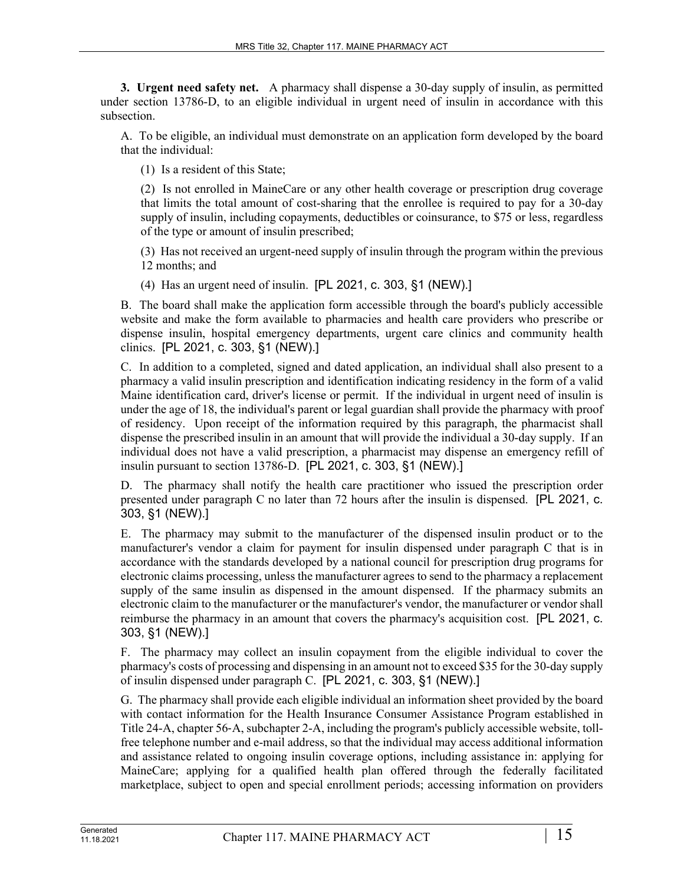**3. Urgent need safety net.** A pharmacy shall dispense a 30-day supply of insulin, as permitted under section 13786-D, to an eligible individual in urgent need of insulin in accordance with this subsection.

A. To be eligible, an individual must demonstrate on an application form developed by the board that the individual:

(1) Is a resident of this State;

(2) Is not enrolled in MaineCare or any other health coverage or prescription drug coverage that limits the total amount of cost-sharing that the enrollee is required to pay for a 30-day supply of insulin, including copayments, deductibles or coinsurance, to \$75 or less, regardless of the type or amount of insulin prescribed;

(3) Has not received an urgent-need supply of insulin through the program within the previous 12 months; and

(4) Has an urgent need of insulin. [PL 2021, c. 303, §1 (NEW).]

B. The board shall make the application form accessible through the board's publicly accessible website and make the form available to pharmacies and health care providers who prescribe or dispense insulin, hospital emergency departments, urgent care clinics and community health clinics. [PL 2021, c. 303, §1 (NEW).]

C. In addition to a completed, signed and dated application, an individual shall also present to a pharmacy a valid insulin prescription and identification indicating residency in the form of a valid Maine identification card, driver's license or permit. If the individual in urgent need of insulin is under the age of 18, the individual's parent or legal guardian shall provide the pharmacy with proof of residency. Upon receipt of the information required by this paragraph, the pharmacist shall dispense the prescribed insulin in an amount that will provide the individual a 30-day supply. If an individual does not have a valid prescription, a pharmacist may dispense an emergency refill of insulin pursuant to section 13786-D. [PL 2021, c. 303, §1 (NEW).]

D. The pharmacy shall notify the health care practitioner who issued the prescription order presented under paragraph C no later than 72 hours after the insulin is dispensed. [PL 2021, c. 303, §1 (NEW).]

E. The pharmacy may submit to the manufacturer of the dispensed insulin product or to the manufacturer's vendor a claim for payment for insulin dispensed under paragraph C that is in accordance with the standards developed by a national council for prescription drug programs for electronic claims processing, unless the manufacturer agrees to send to the pharmacy a replacement supply of the same insulin as dispensed in the amount dispensed. If the pharmacy submits an electronic claim to the manufacturer or the manufacturer's vendor, the manufacturer or vendor shall reimburse the pharmacy in an amount that covers the pharmacy's acquisition cost. [PL 2021, c. 303, §1 (NEW).]

F. The pharmacy may collect an insulin copayment from the eligible individual to cover the pharmacy's costs of processing and dispensing in an amount not to exceed \$35 for the 30-day supply of insulin dispensed under paragraph C. [PL 2021, c. 303, §1 (NEW).]

G. The pharmacy shall provide each eligible individual an information sheet provided by the board with contact information for the Health Insurance Consumer Assistance Program established in Title 24-A, chapter 56‑A, subchapter 2-A, including the program's publicly accessible website, tollfree telephone number and e-mail address, so that the individual may access additional information and assistance related to ongoing insulin coverage options, including assistance in: applying for MaineCare; applying for a qualified health plan offered through the federally facilitated marketplace, subject to open and special enrollment periods; accessing information on providers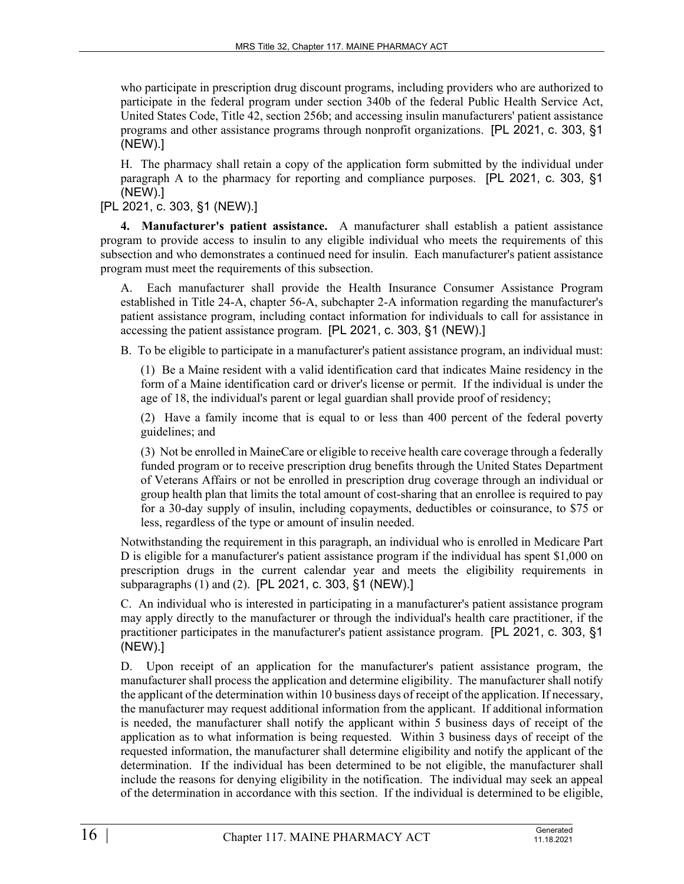who participate in prescription drug discount programs, including providers who are authorized to participate in the federal program under section 340b of the federal Public Health Service Act, United States Code, Title 42, section 256b; and accessing insulin manufacturers' patient assistance programs and other assistance programs through nonprofit organizations. [PL 2021, c. 303, §1 (NEW).]

H. The pharmacy shall retain a copy of the application form submitted by the individual under paragraph A to the pharmacy for reporting and compliance purposes. [PL 2021, c. 303, §1 (NEW).]

[PL 2021, c. 303, §1 (NEW).]

**4. Manufacturer's patient assistance.** A manufacturer shall establish a patient assistance program to provide access to insulin to any eligible individual who meets the requirements of this subsection and who demonstrates a continued need for insulin. Each manufacturer's patient assistance program must meet the requirements of this subsection.

A. Each manufacturer shall provide the Health Insurance Consumer Assistance Program established in Title 24-A, chapter 56-A, subchapter 2-A information regarding the manufacturer's patient assistance program, including contact information for individuals to call for assistance in accessing the patient assistance program. [PL 2021, c. 303, §1 (NEW).]

B. To be eligible to participate in a manufacturer's patient assistance program, an individual must:

(1) Be a Maine resident with a valid identification card that indicates Maine residency in the form of a Maine identification card or driver's license or permit. If the individual is under the age of 18, the individual's parent or legal guardian shall provide proof of residency;

(2) Have a family income that is equal to or less than 400 percent of the federal poverty guidelines; and

(3) Not be enrolled in MaineCare or eligible to receive health care coverage through a federally funded program or to receive prescription drug benefits through the United States Department of Veterans Affairs or not be enrolled in prescription drug coverage through an individual or group health plan that limits the total amount of cost-sharing that an enrollee is required to pay for a 30-day supply of insulin, including copayments, deductibles or coinsurance, to \$75 or less, regardless of the type or amount of insulin needed.

Notwithstanding the requirement in this paragraph, an individual who is enrolled in Medicare Part D is eligible for a manufacturer's patient assistance program if the individual has spent \$1,000 on prescription drugs in the current calendar year and meets the eligibility requirements in subparagraphs (1) and (2). [PL 2021, c. 303, §1 (NEW).]

C. An individual who is interested in participating in a manufacturer's patient assistance program may apply directly to the manufacturer or through the individual's health care practitioner, if the practitioner participates in the manufacturer's patient assistance program. [PL 2021, c. 303, §1 (NEW).]

D. Upon receipt of an application for the manufacturer's patient assistance program, the manufacturer shall process the application and determine eligibility. The manufacturer shall notify the applicant of the determination within 10 business days of receipt of the application. If necessary, the manufacturer may request additional information from the applicant. If additional information is needed, the manufacturer shall notify the applicant within 5 business days of receipt of the application as to what information is being requested. Within 3 business days of receipt of the requested information, the manufacturer shall determine eligibility and notify the applicant of the determination. If the individual has been determined to be not eligible, the manufacturer shall include the reasons for denying eligibility in the notification. The individual may seek an appeal of the determination in accordance with this section. If the individual is determined to be eligible,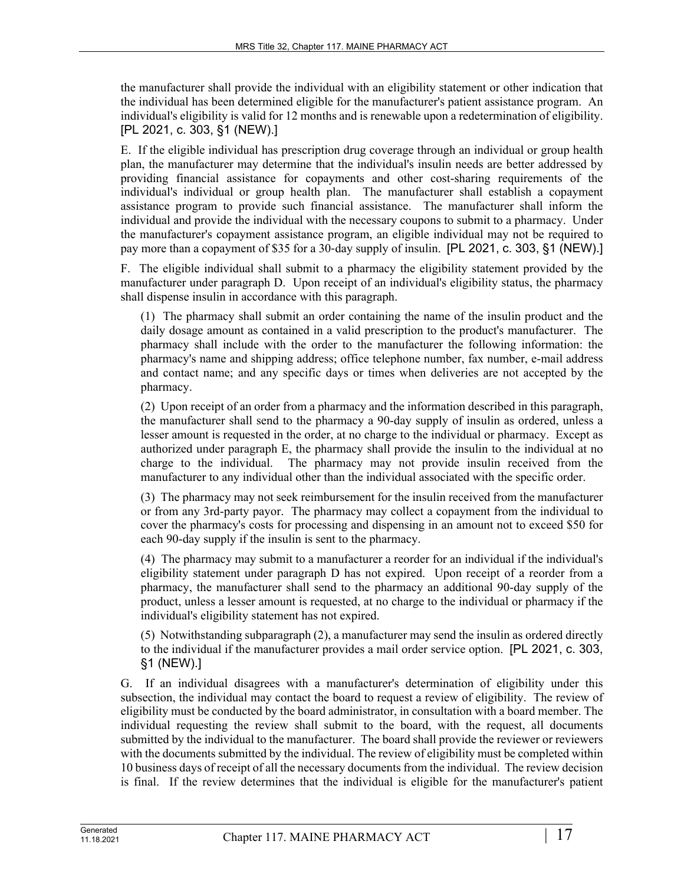the manufacturer shall provide the individual with an eligibility statement or other indication that the individual has been determined eligible for the manufacturer's patient assistance program. An individual's eligibility is valid for 12 months and is renewable upon a redetermination of eligibility. [PL 2021, c. 303, §1 (NEW).]

E. If the eligible individual has prescription drug coverage through an individual or group health plan, the manufacturer may determine that the individual's insulin needs are better addressed by providing financial assistance for copayments and other cost-sharing requirements of the individual's individual or group health plan. The manufacturer shall establish a copayment assistance program to provide such financial assistance. The manufacturer shall inform the individual and provide the individual with the necessary coupons to submit to a pharmacy. Under the manufacturer's copayment assistance program, an eligible individual may not be required to pay more than a copayment of \$35 for a 30-day supply of insulin. [PL 2021, c. 303, §1 (NEW).]

F. The eligible individual shall submit to a pharmacy the eligibility statement provided by the manufacturer under paragraph D. Upon receipt of an individual's eligibility status, the pharmacy shall dispense insulin in accordance with this paragraph.

(1) The pharmacy shall submit an order containing the name of the insulin product and the daily dosage amount as contained in a valid prescription to the product's manufacturer. The pharmacy shall include with the order to the manufacturer the following information: the pharmacy's name and shipping address; office telephone number, fax number, e-mail address and contact name; and any specific days or times when deliveries are not accepted by the pharmacy.

(2) Upon receipt of an order from a pharmacy and the information described in this paragraph, the manufacturer shall send to the pharmacy a 90-day supply of insulin as ordered, unless a lesser amount is requested in the order, at no charge to the individual or pharmacy. Except as authorized under paragraph E, the pharmacy shall provide the insulin to the individual at no charge to the individual. The pharmacy may not provide insulin received from the manufacturer to any individual other than the individual associated with the specific order.

(3) The pharmacy may not seek reimbursement for the insulin received from the manufacturer or from any 3rd-party payor. The pharmacy may collect a copayment from the individual to cover the pharmacy's costs for processing and dispensing in an amount not to exceed \$50 for each 90-day supply if the insulin is sent to the pharmacy.

(4) The pharmacy may submit to a manufacturer a reorder for an individual if the individual's eligibility statement under paragraph D has not expired. Upon receipt of a reorder from a pharmacy, the manufacturer shall send to the pharmacy an additional 90-day supply of the product, unless a lesser amount is requested, at no charge to the individual or pharmacy if the individual's eligibility statement has not expired.

(5) Notwithstanding subparagraph (2), a manufacturer may send the insulin as ordered directly to the individual if the manufacturer provides a mail order service option. [PL 2021, c. 303, §1 (NEW).]

G. If an individual disagrees with a manufacturer's determination of eligibility under this subsection, the individual may contact the board to request a review of eligibility. The review of eligibility must be conducted by the board administrator, in consultation with a board member. The individual requesting the review shall submit to the board, with the request, all documents submitted by the individual to the manufacturer. The board shall provide the reviewer or reviewers with the documents submitted by the individual. The review of eligibility must be completed within 10 business days of receipt of all the necessary documents from the individual. The review decision is final. If the review determines that the individual is eligible for the manufacturer's patient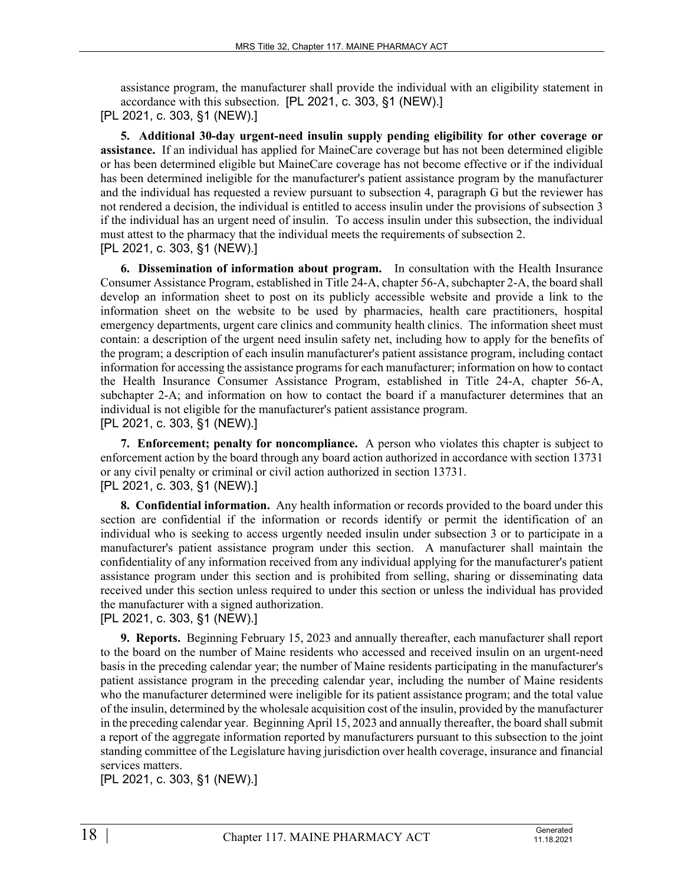assistance program, the manufacturer shall provide the individual with an eligibility statement in accordance with this subsection. [PL 2021, c. 303, §1 (NEW).]

[PL 2021, c. 303, §1 (NEW).]

**5. Additional 30-day urgent-need insulin supply pending eligibility for other coverage or assistance.** If an individual has applied for MaineCare coverage but has not been determined eligible or has been determined eligible but MaineCare coverage has not become effective or if the individual has been determined ineligible for the manufacturer's patient assistance program by the manufacturer and the individual has requested a review pursuant to subsection 4, paragraph G but the reviewer has not rendered a decision, the individual is entitled to access insulin under the provisions of subsection 3 if the individual has an urgent need of insulin. To access insulin under this subsection, the individual must attest to the pharmacy that the individual meets the requirements of subsection 2. [PL 2021, c. 303, §1 (NEW).]

**6. Dissemination of information about program.** In consultation with the Health Insurance Consumer Assistance Program, established in Title 24-A, chapter 56-A, subchapter 2-A, the board shall develop an information sheet to post on its publicly accessible website and provide a link to the information sheet on the website to be used by pharmacies, health care practitioners, hospital emergency departments, urgent care clinics and community health clinics. The information sheet must contain: a description of the urgent need insulin safety net, including how to apply for the benefits of the program; a description of each insulin manufacturer's patient assistance program, including contact information for accessing the assistance programs for each manufacturer; information on how to contact the Health Insurance Consumer Assistance Program, established in Title 24-A, chapter 56‑A, subchapter 2-A; and information on how to contact the board if a manufacturer determines that an individual is not eligible for the manufacturer's patient assistance program. [PL 2021, c. 303, §1 (NEW).]

**7. Enforcement; penalty for noncompliance.** A person who violates this chapter is subject to enforcement action by the board through any board action authorized in accordance with section 13731 or any civil penalty or criminal or civil action authorized in section 13731. [PL 2021, c. 303, §1 (NEW).]

**8. Confidential information.** Any health information or records provided to the board under this section are confidential if the information or records identify or permit the identification of an individual who is seeking to access urgently needed insulin under subsection 3 or to participate in a manufacturer's patient assistance program under this section. A manufacturer shall maintain the confidentiality of any information received from any individual applying for the manufacturer's patient assistance program under this section and is prohibited from selling, sharing or disseminating data received under this section unless required to under this section or unless the individual has provided the manufacturer with a signed authorization.

[PL 2021, c. 303, §1 (NEW).]

**9. Reports.** Beginning February 15, 2023 and annually thereafter, each manufacturer shall report to the board on the number of Maine residents who accessed and received insulin on an urgent-need basis in the preceding calendar year; the number of Maine residents participating in the manufacturer's patient assistance program in the preceding calendar year, including the number of Maine residents who the manufacturer determined were ineligible for its patient assistance program; and the total value of the insulin, determined by the wholesale acquisition cost of the insulin, provided by the manufacturer in the preceding calendar year. Beginning April 15, 2023 and annually thereafter, the board shall submit a report of the aggregate information reported by manufacturers pursuant to this subsection to the joint standing committee of the Legislature having jurisdiction over health coverage, insurance and financial services matters.

[PL 2021, c. 303, §1 (NEW).]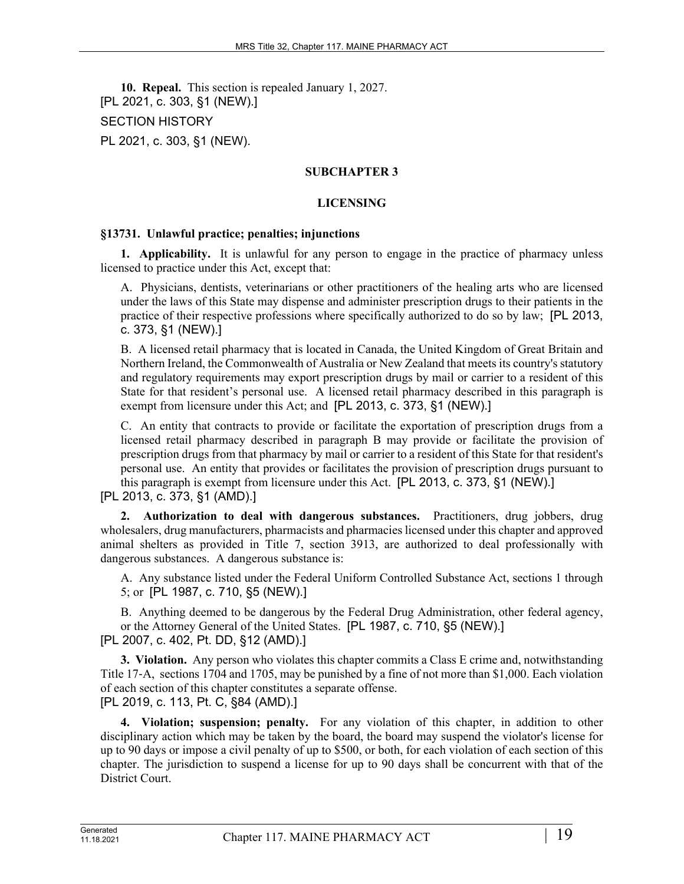**10. Repeal.** This section is repealed January 1, 2027. [PL 2021, c. 303, §1 (NEW).] SECTION HISTORY PL 2021, c. 303, §1 (NEW).

### **SUBCHAPTER 3**

### **LICENSING**

#### **§13731. Unlawful practice; penalties; injunctions**

**1. Applicability.** It is unlawful for any person to engage in the practice of pharmacy unless licensed to practice under this Act, except that:

A. Physicians, dentists, veterinarians or other practitioners of the healing arts who are licensed under the laws of this State may dispense and administer prescription drugs to their patients in the practice of their respective professions where specifically authorized to do so by law; [PL 2013, c. 373, §1 (NEW).]

B. A licensed retail pharmacy that is located in Canada, the United Kingdom of Great Britain and Northern Ireland, the Commonwealth of Australia or New Zealand that meets its country's statutory and regulatory requirements may export prescription drugs by mail or carrier to a resident of this State for that resident's personal use. A licensed retail pharmacy described in this paragraph is exempt from licensure under this Act; and [PL 2013, c. 373, §1 (NEW).]

C. An entity that contracts to provide or facilitate the exportation of prescription drugs from a licensed retail pharmacy described in paragraph B may provide or facilitate the provision of prescription drugs from that pharmacy by mail or carrier to a resident of this State for that resident's personal use. An entity that provides or facilitates the provision of prescription drugs pursuant to this paragraph is exempt from licensure under this Act. [PL 2013, c. 373, §1 (NEW).]

[PL 2013, c. 373, §1 (AMD).]

**2. Authorization to deal with dangerous substances.** Practitioners, drug jobbers, drug wholesalers, drug manufacturers, pharmacists and pharmacies licensed under this chapter and approved animal shelters as provided in Title 7, section 3913, are authorized to deal professionally with dangerous substances. A dangerous substance is:

A. Any substance listed under the Federal Uniform Controlled Substance Act, sections 1 through 5; or [PL 1987, c. 710, §5 (NEW).]

B. Anything deemed to be dangerous by the Federal Drug Administration, other federal agency, or the Attorney General of the United States. [PL 1987, c. 710, §5 (NEW).] [PL 2007, c. 402, Pt. DD, §12 (AMD).]

**3. Violation.** Any person who violates this chapter commits a Class E crime and, notwithstanding Title 17‑A, sections 1704 and 1705, may be punished by a fine of not more than \$1,000. Each violation of each section of this chapter constitutes a separate offense. [PL 2019, c. 113, Pt. C, §84 (AMD).]

**4. Violation; suspension; penalty.** For any violation of this chapter, in addition to other disciplinary action which may be taken by the board, the board may suspend the violator's license for up to 90 days or impose a civil penalty of up to \$500, or both, for each violation of each section of this chapter. The jurisdiction to suspend a license for up to 90 days shall be concurrent with that of the District Court.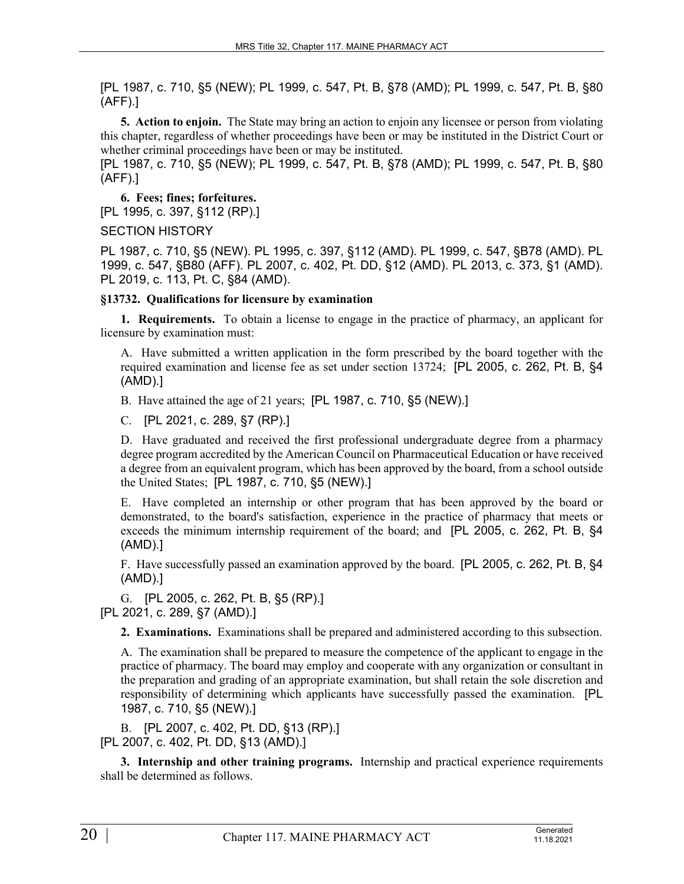[PL 1987, c. 710, §5 (NEW); PL 1999, c. 547, Pt. B, §78 (AMD); PL 1999, c. 547, Pt. B, §80 (AFF).]

**5. Action to enjoin.** The State may bring an action to enjoin any licensee or person from violating this chapter, regardless of whether proceedings have been or may be instituted in the District Court or whether criminal proceedings have been or may be instituted.

[PL 1987, c. 710, §5 (NEW); PL 1999, c. 547, Pt. B, §78 (AMD); PL 1999, c. 547, Pt. B, §80 (AFF).]

**6. Fees; fines; forfeitures.**  [PL 1995, c. 397, §112 (RP).]

SECTION HISTORY

PL 1987, c. 710, §5 (NEW). PL 1995, c. 397, §112 (AMD). PL 1999, c. 547, §B78 (AMD). PL 1999, c. 547, §B80 (AFF). PL 2007, c. 402, Pt. DD, §12 (AMD). PL 2013, c. 373, §1 (AMD). PL 2019, c. 113, Pt. C, §84 (AMD).

## **§13732. Qualifications for licensure by examination**

**1. Requirements.** To obtain a license to engage in the practice of pharmacy, an applicant for licensure by examination must:

A. Have submitted a written application in the form prescribed by the board together with the required examination and license fee as set under section 13724; [PL 2005, c. 262, Pt. B, §4 (AMD).]

B. Have attained the age of 21 years; [PL 1987, c. 710, §5 (NEW).]

C. [PL 2021, c. 289, §7 (RP).]

D. Have graduated and received the first professional undergraduate degree from a pharmacy degree program accredited by the American Council on Pharmaceutical Education or have received a degree from an equivalent program, which has been approved by the board, from a school outside the United States; [PL 1987, c. 710, §5 (NEW).]

E. Have completed an internship or other program that has been approved by the board or demonstrated, to the board's satisfaction, experience in the practice of pharmacy that meets or exceeds the minimum internship requirement of the board; and [PL 2005, c. 262, Pt. B, §4 (AMD).]

F. Have successfully passed an examination approved by the board. [PL 2005, c. 262, Pt. B, §4 (AMD).]

G. [PL 2005, c. 262, Pt. B, §5 (RP).] [PL 2021, c. 289, §7 (AMD).]

**2. Examinations.** Examinations shall be prepared and administered according to this subsection.

A. The examination shall be prepared to measure the competence of the applicant to engage in the practice of pharmacy. The board may employ and cooperate with any organization or consultant in the preparation and grading of an appropriate examination, but shall retain the sole discretion and responsibility of determining which applicants have successfully passed the examination. [PL 1987, c. 710, §5 (NEW).]

B. [PL 2007, c. 402, Pt. DD, §13 (RP).] [PL 2007, c. 402, Pt. DD, §13 (AMD).]

**3. Internship and other training programs.** Internship and practical experience requirements shall be determined as follows.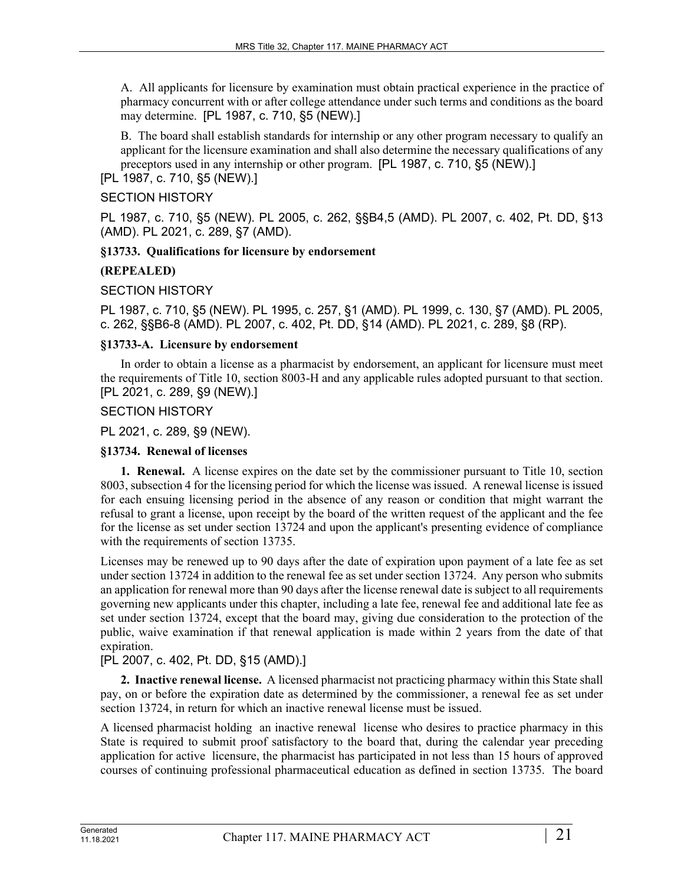A. All applicants for licensure by examination must obtain practical experience in the practice of pharmacy concurrent with or after college attendance under such terms and conditions as the board may determine. [PL 1987, c. 710, §5 (NEW).]

B. The board shall establish standards for internship or any other program necessary to qualify an applicant for the licensure examination and shall also determine the necessary qualifications of any preceptors used in any internship or other program. [PL 1987, c. 710, §5 (NEW).]

# [PL 1987, c. 710, §5 (NEW).]

### SECTION HISTORY

PL 1987, c. 710, §5 (NEW). PL 2005, c. 262, §§B4,5 (AMD). PL 2007, c. 402, Pt. DD, §13 (AMD). PL 2021, c. 289, §7 (AMD).

## **§13733. Qualifications for licensure by endorsement**

## **(REPEALED)**

SECTION HISTORY

PL 1987, c. 710, §5 (NEW). PL 1995, c. 257, §1 (AMD). PL 1999, c. 130, §7 (AMD). PL 2005, c. 262, §§B6-8 (AMD). PL 2007, c. 402, Pt. DD, §14 (AMD). PL 2021, c. 289, §8 (RP).

## **§13733-A. Licensure by endorsement**

In order to obtain a license as a pharmacist by endorsement, an applicant for licensure must meet the requirements of Title 10, section 8003-H and any applicable rules adopted pursuant to that section. [PL 2021, c. 289, §9 (NEW).]

## SECTION HISTORY

PL 2021, c. 289, §9 (NEW).

# **§13734. Renewal of licenses**

**1. Renewal.** A license expires on the date set by the commissioner pursuant to Title 10, section 8003, subsection 4 for the licensing period for which the license was issued. A renewal license is issued for each ensuing licensing period in the absence of any reason or condition that might warrant the refusal to grant a license, upon receipt by the board of the written request of the applicant and the fee for the license as set under section 13724 and upon the applicant's presenting evidence of compliance with the requirements of section 13735.

Licenses may be renewed up to 90 days after the date of expiration upon payment of a late fee as set under section 13724 in addition to the renewal fee as set under section 13724. Any person who submits an application for renewal more than 90 days after the license renewal date is subject to all requirements governing new applicants under this chapter, including a late fee, renewal fee and additional late fee as set under section 13724, except that the board may, giving due consideration to the protection of the public, waive examination if that renewal application is made within 2 years from the date of that expiration.

# [PL 2007, c. 402, Pt. DD, §15 (AMD).]

**2. Inactive renewal license.** A licensed pharmacist not practicing pharmacy within this State shall pay, on or before the expiration date as determined by the commissioner, a renewal fee as set under section 13724, in return for which an inactive renewal license must be issued.

A licensed pharmacist holding an inactive renewal license who desires to practice pharmacy in this State is required to submit proof satisfactory to the board that, during the calendar year preceding application for active licensure, the pharmacist has participated in not less than 15 hours of approved courses of continuing professional pharmaceutical education as defined in section 13735. The board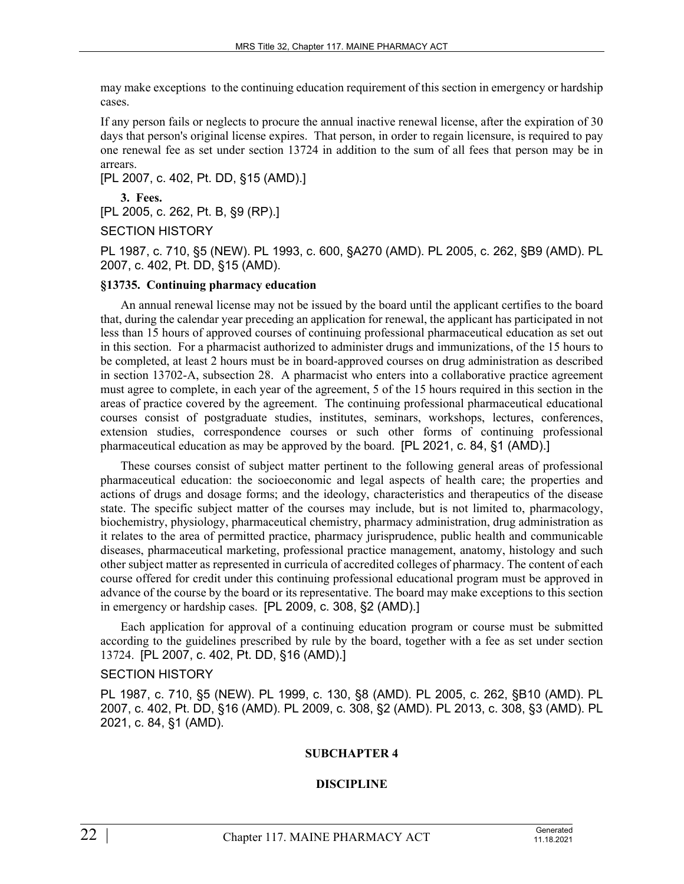may make exceptions to the continuing education requirement of this section in emergency or hardship cases.

If any person fails or neglects to procure the annual inactive renewal license, after the expiration of 30 days that person's original license expires. That person, in order to regain licensure, is required to pay one renewal fee as set under section 13724 in addition to the sum of all fees that person may be in arrears.

[PL 2007, c. 402, Pt. DD, §15 (AMD).]

**3. Fees.**  [PL 2005, c. 262, Pt. B, §9 (RP).]

SECTION HISTORY

PL 1987, c. 710, §5 (NEW). PL 1993, c. 600, §A270 (AMD). PL 2005, c. 262, §B9 (AMD). PL 2007, c. 402, Pt. DD, §15 (AMD).

#### **§13735. Continuing pharmacy education**

An annual renewal license may not be issued by the board until the applicant certifies to the board that, during the calendar year preceding an application for renewal, the applicant has participated in not less than 15 hours of approved courses of continuing professional pharmaceutical education as set out in this section. For a pharmacist authorized to administer drugs and immunizations, of the 15 hours to be completed, at least 2 hours must be in board-approved courses on drug administration as described in section 13702-A, subsection 28. A pharmacist who enters into a collaborative practice agreement must agree to complete, in each year of the agreement, 5 of the 15 hours required in this section in the areas of practice covered by the agreement. The continuing professional pharmaceutical educational courses consist of postgraduate studies, institutes, seminars, workshops, lectures, conferences, extension studies, correspondence courses or such other forms of continuing professional pharmaceutical education as may be approved by the board. [PL 2021, c. 84, §1 (AMD).]

These courses consist of subject matter pertinent to the following general areas of professional pharmaceutical education: the socioeconomic and legal aspects of health care; the properties and actions of drugs and dosage forms; and the ideology, characteristics and therapeutics of the disease state. The specific subject matter of the courses may include, but is not limited to, pharmacology, biochemistry, physiology, pharmaceutical chemistry, pharmacy administration, drug administration as it relates to the area of permitted practice, pharmacy jurisprudence, public health and communicable diseases, pharmaceutical marketing, professional practice management, anatomy, histology and such other subject matter as represented in curricula of accredited colleges of pharmacy. The content of each course offered for credit under this continuing professional educational program must be approved in advance of the course by the board or its representative. The board may make exceptions to this section in emergency or hardship cases. [PL 2009, c. 308, §2 (AMD).]

Each application for approval of a continuing education program or course must be submitted according to the guidelines prescribed by rule by the board, together with a fee as set under section 13724. [PL 2007, c. 402, Pt. DD, §16 (AMD).]

#### SECTION HISTORY

PL 1987, c. 710, §5 (NEW). PL 1999, c. 130, §8 (AMD). PL 2005, c. 262, §B10 (AMD). PL 2007, c. 402, Pt. DD, §16 (AMD). PL 2009, c. 308, §2 (AMD). PL 2013, c. 308, §3 (AMD). PL 2021, c. 84, §1 (AMD).

#### **SUBCHAPTER 4**

#### **DISCIPLINE**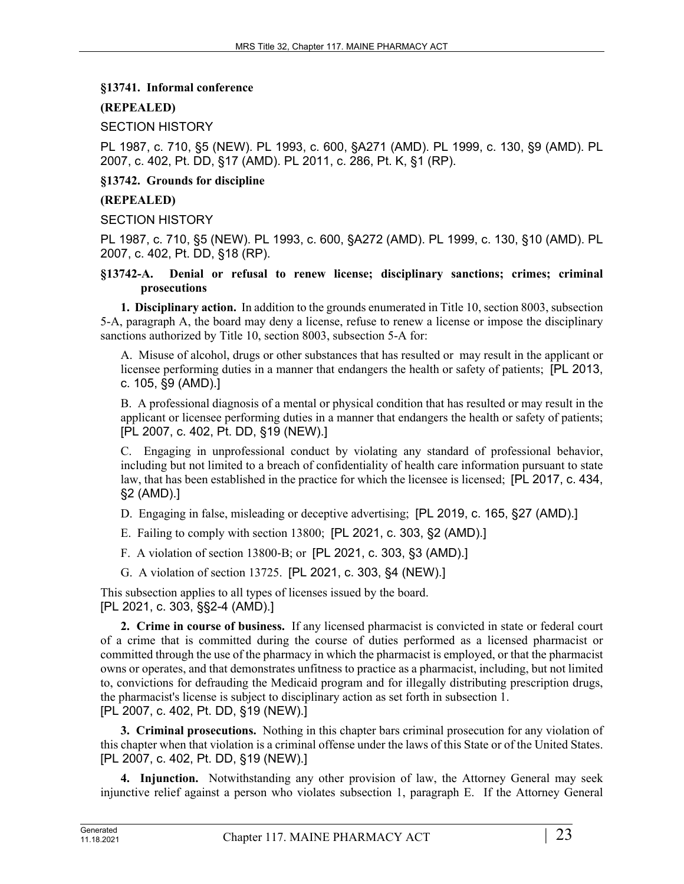## **§13741. Informal conference**

# **(REPEALED)**

SECTION HISTORY

PL 1987, c. 710, §5 (NEW). PL 1993, c. 600, §A271 (AMD). PL 1999, c. 130, §9 (AMD). PL 2007, c. 402, Pt. DD, §17 (AMD). PL 2011, c. 286, Pt. K, §1 (RP).

**§13742. Grounds for discipline**

### **(REPEALED)**

SECTION HISTORY

PL 1987, c. 710, §5 (NEW). PL 1993, c. 600, §A272 (AMD). PL 1999, c. 130, §10 (AMD). PL 2007, c. 402, Pt. DD, §18 (RP).

## **§13742-A. Denial or refusal to renew license; disciplinary sanctions; crimes; criminal prosecutions**

**1. Disciplinary action.** In addition to the grounds enumerated in Title 10, section 8003, subsection 5-A, paragraph A, the board may deny a license, refuse to renew a license or impose the disciplinary sanctions authorized by Title 10, section 8003, subsection 5-A for:

A. Misuse of alcohol, drugs or other substances that has resulted or may result in the applicant or licensee performing duties in a manner that endangers the health or safety of patients; [PL 2013, c. 105, §9 (AMD).]

B. A professional diagnosis of a mental or physical condition that has resulted or may result in the applicant or licensee performing duties in a manner that endangers the health or safety of patients; [PL 2007, c. 402, Pt. DD, §19 (NEW).]

C. Engaging in unprofessional conduct by violating any standard of professional behavior, including but not limited to a breach of confidentiality of health care information pursuant to state law, that has been established in the practice for which the licensee is licensed; [PL 2017, c. 434, §2 (AMD).]

D. Engaging in false, misleading or deceptive advertising; [PL 2019, c. 165, §27 (AMD).]

E. Failing to comply with section 13800; [PL 2021, c. 303, §2 (AMD).]

F. A violation of section 13800‑B; or [PL 2021, c. 303, §3 (AMD).]

G. A violation of section 13725. [PL 2021, c. 303, §4 (NEW).]

This subsection applies to all types of licenses issued by the board. [PL 2021, c. 303, §§2-4 (AMD).]

**2. Crime in course of business.** If any licensed pharmacist is convicted in state or federal court of a crime that is committed during the course of duties performed as a licensed pharmacist or committed through the use of the pharmacy in which the pharmacist is employed, or that the pharmacist owns or operates, and that demonstrates unfitness to practice as a pharmacist, including, but not limited to, convictions for defrauding the Medicaid program and for illegally distributing prescription drugs, the pharmacist's license is subject to disciplinary action as set forth in subsection 1. [PL 2007, c. 402, Pt. DD, §19 (NEW).]

**3. Criminal prosecutions.** Nothing in this chapter bars criminal prosecution for any violation of this chapter when that violation is a criminal offense under the laws of this State or of the United States. [PL 2007, c. 402, Pt. DD, §19 (NEW).]

**4. Injunction.** Notwithstanding any other provision of law, the Attorney General may seek injunctive relief against a person who violates subsection 1, paragraph E. If the Attorney General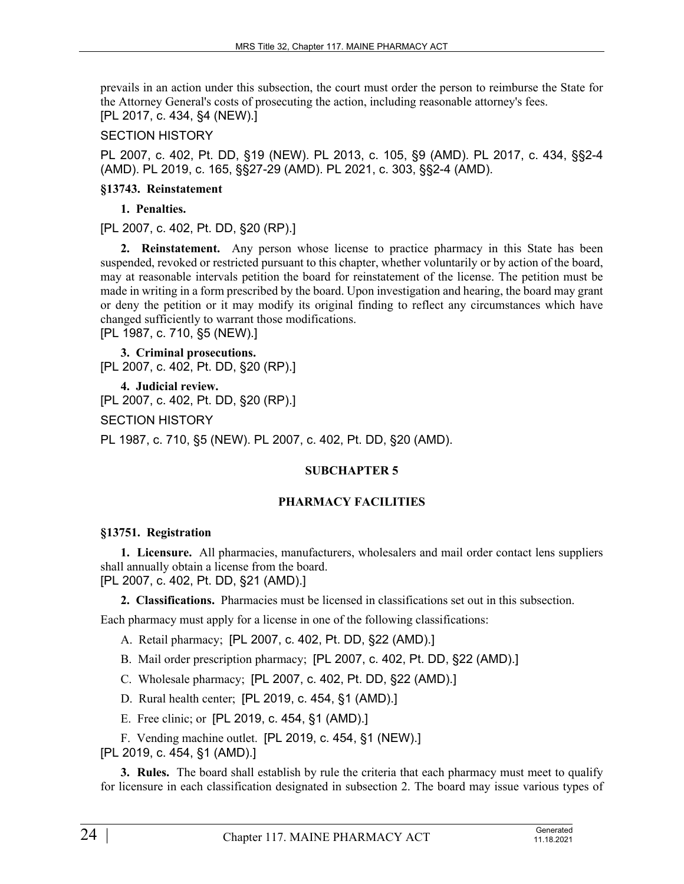prevails in an action under this subsection, the court must order the person to reimburse the State for the Attorney General's costs of prosecuting the action, including reasonable attorney's fees. [PL 2017, c. 434, §4 (NEW).]

## SECTION HISTORY

PL 2007, c. 402, Pt. DD, §19 (NEW). PL 2013, c. 105, §9 (AMD). PL 2017, c. 434, §§2-4 (AMD). PL 2019, c. 165, §§27-29 (AMD). PL 2021, c. 303, §§2-4 (AMD).

## **§13743. Reinstatement**

**1. Penalties.** 

[PL 2007, c. 402, Pt. DD, §20 (RP).]

**2. Reinstatement.** Any person whose license to practice pharmacy in this State has been suspended, revoked or restricted pursuant to this chapter, whether voluntarily or by action of the board, may at reasonable intervals petition the board for reinstatement of the license. The petition must be made in writing in a form prescribed by the board. Upon investigation and hearing, the board may grant or deny the petition or it may modify its original finding to reflect any circumstances which have changed sufficiently to warrant those modifications. [PL 1987, c. 710, §5 (NEW).]

**3. Criminal prosecutions.**  [PL 2007, c. 402, Pt. DD, §20 (RP).]

**4. Judicial review.**  [PL 2007, c. 402, Pt. DD, §20 (RP).]

SECTION HISTORY

PL 1987, c. 710, §5 (NEW). PL 2007, c. 402, Pt. DD, §20 (AMD).

# **SUBCHAPTER 5**

# **PHARMACY FACILITIES**

#### **§13751. Registration**

**1. Licensure.** All pharmacies, manufacturers, wholesalers and mail order contact lens suppliers shall annually obtain a license from the board. [PL 2007, c. 402, Pt. DD, §21 (AMD).]

**2. Classifications.** Pharmacies must be licensed in classifications set out in this subsection.

Each pharmacy must apply for a license in one of the following classifications:

A. Retail pharmacy; [PL 2007, c. 402, Pt. DD, §22 (AMD).]

- B. Mail order prescription pharmacy; [PL 2007, c. 402, Pt. DD, §22 (AMD).]
- C. Wholesale pharmacy; [PL 2007, c. 402, Pt. DD, §22 (AMD).]
- D. Rural health center; [PL 2019, c. 454, §1 (AMD).]
- E. Free clinic; or [PL 2019, c. 454, §1 (AMD).]
- F. Vending machine outlet. [PL 2019, c. 454, §1 (NEW).]
- [PL 2019, c. 454, §1 (AMD).]

**3. Rules.** The board shall establish by rule the criteria that each pharmacy must meet to qualify for licensure in each classification designated in subsection 2. The board may issue various types of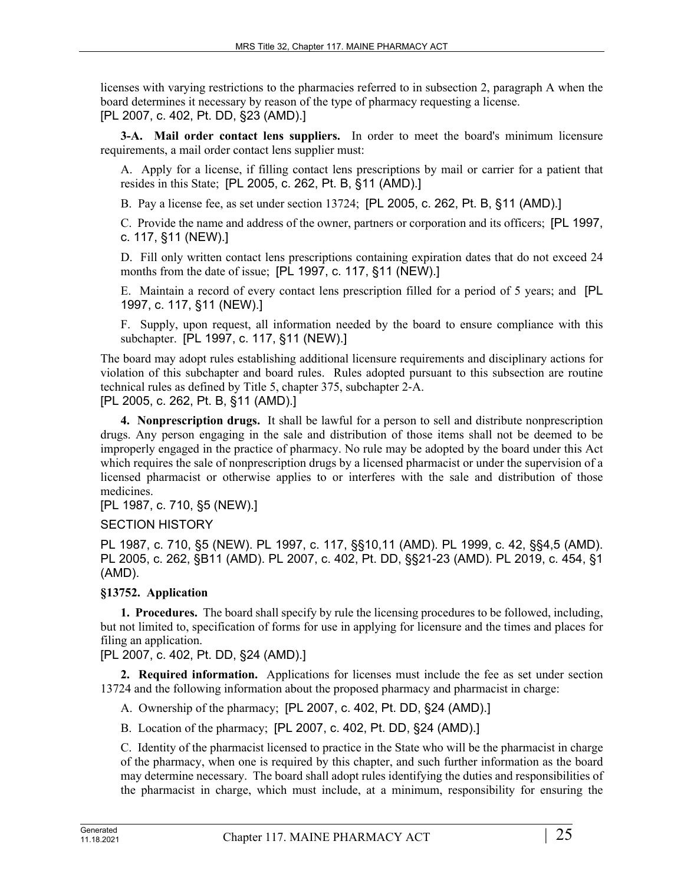licenses with varying restrictions to the pharmacies referred to in subsection 2, paragraph A when the board determines it necessary by reason of the type of pharmacy requesting a license. [PL 2007, c. 402, Pt. DD, §23 (AMD).]

**3-A. Mail order contact lens suppliers.** In order to meet the board's minimum licensure requirements, a mail order contact lens supplier must:

A. Apply for a license, if filling contact lens prescriptions by mail or carrier for a patient that resides in this State; [PL 2005, c. 262, Pt. B, §11 (AMD).]

B. Pay a license fee, as set under section 13724; [PL 2005, c. 262, Pt. B, §11 (AMD).]

C. Provide the name and address of the owner, partners or corporation and its officers; [PL 1997, c. 117, §11 (NEW).]

D. Fill only written contact lens prescriptions containing expiration dates that do not exceed 24 months from the date of issue; [PL 1997, c. 117, §11 (NEW).]

E. Maintain a record of every contact lens prescription filled for a period of 5 years; and [PL 1997, c. 117, §11 (NEW).]

F. Supply, upon request, all information needed by the board to ensure compliance with this subchapter. [PL 1997, c. 117, §11 (NEW).]

The board may adopt rules establishing additional licensure requirements and disciplinary actions for violation of this subchapter and board rules. Rules adopted pursuant to this subsection are routine technical rules as defined by Title 5, chapter 375, subchapter 2‑A.

[PL 2005, c. 262, Pt. B, §11 (AMD).]

**4. Nonprescription drugs.** It shall be lawful for a person to sell and distribute nonprescription drugs. Any person engaging in the sale and distribution of those items shall not be deemed to be improperly engaged in the practice of pharmacy. No rule may be adopted by the board under this Act which requires the sale of nonprescription drugs by a licensed pharmacist or under the supervision of a licensed pharmacist or otherwise applies to or interferes with the sale and distribution of those medicines.

[PL 1987, c. 710, §5 (NEW).]

SECTION HISTORY

PL 1987, c. 710, §5 (NEW). PL 1997, c. 117, §§10,11 (AMD). PL 1999, c. 42, §§4,5 (AMD). PL 2005, c. 262, §B11 (AMD). PL 2007, c. 402, Pt. DD, §§21-23 (AMD). PL 2019, c. 454, §1 (AMD).

# **§13752. Application**

**1. Procedures.** The board shall specify by rule the licensing procedures to be followed, including, but not limited to, specification of forms for use in applying for licensure and the times and places for filing an application.

[PL 2007, c. 402, Pt. DD, §24 (AMD).]

**2. Required information.** Applications for licenses must include the fee as set under section 13724 and the following information about the proposed pharmacy and pharmacist in charge:

A. Ownership of the pharmacy; [PL 2007, c. 402, Pt. DD, §24 (AMD).]

B. Location of the pharmacy; [PL 2007, c. 402, Pt. DD, §24 (AMD).]

C. Identity of the pharmacist licensed to practice in the State who will be the pharmacist in charge of the pharmacy, when one is required by this chapter, and such further information as the board may determine necessary. The board shall adopt rules identifying the duties and responsibilities of the pharmacist in charge, which must include, at a minimum, responsibility for ensuring the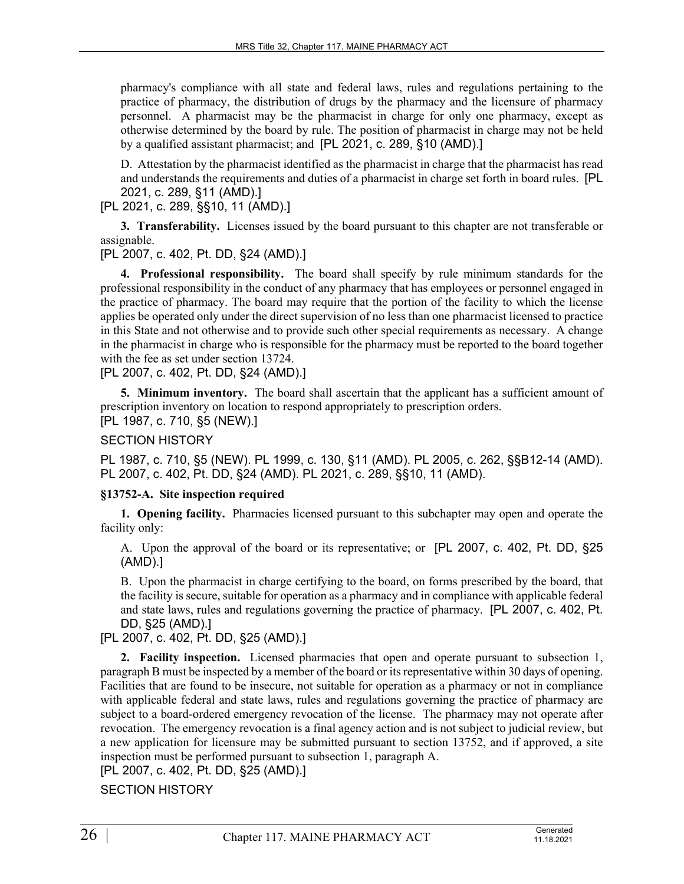pharmacy's compliance with all state and federal laws, rules and regulations pertaining to the practice of pharmacy, the distribution of drugs by the pharmacy and the licensure of pharmacy personnel. A pharmacist may be the pharmacist in charge for only one pharmacy, except as otherwise determined by the board by rule. The position of pharmacist in charge may not be held by a qualified assistant pharmacist; and [PL 2021, c. 289, §10 (AMD).]

D. Attestation by the pharmacist identified as the pharmacist in charge that the pharmacist has read and understands the requirements and duties of a pharmacist in charge set forth in board rules. [PL 2021, c. 289, §11 (AMD).]

[PL 2021, c. 289, §§10, 11 (AMD).]

**3. Transferability.** Licenses issued by the board pursuant to this chapter are not transferable or assignable.

[PL 2007, c. 402, Pt. DD, §24 (AMD).]

**4. Professional responsibility.** The board shall specify by rule minimum standards for the professional responsibility in the conduct of any pharmacy that has employees or personnel engaged in the practice of pharmacy. The board may require that the portion of the facility to which the license applies be operated only under the direct supervision of no less than one pharmacist licensed to practice in this State and not otherwise and to provide such other special requirements as necessary. A change in the pharmacist in charge who is responsible for the pharmacy must be reported to the board together with the fee as set under section 13724.

[PL 2007, c. 402, Pt. DD, §24 (AMD).]

**5. Minimum inventory.** The board shall ascertain that the applicant has a sufficient amount of prescription inventory on location to respond appropriately to prescription orders.

[PL 1987, c. 710, §5 (NEW).]

## SECTION HISTORY

PL 1987, c. 710, §5 (NEW). PL 1999, c. 130, §11 (AMD). PL 2005, c. 262, §§B12-14 (AMD). PL 2007, c. 402, Pt. DD, §24 (AMD). PL 2021, c. 289, §§10, 11 (AMD).

#### **§13752-A. Site inspection required**

**1. Opening facility.** Pharmacies licensed pursuant to this subchapter may open and operate the facility only:

A. Upon the approval of the board or its representative; or [PL 2007, c. 402, Pt. DD, §25 (AMD).]

B. Upon the pharmacist in charge certifying to the board, on forms prescribed by the board, that the facility is secure, suitable for operation as a pharmacy and in compliance with applicable federal and state laws, rules and regulations governing the practice of pharmacy. [PL 2007, c. 402, Pt. DD, §25 (AMD).]

[PL 2007, c. 402, Pt. DD, §25 (AMD).]

**2. Facility inspection.** Licensed pharmacies that open and operate pursuant to subsection 1, paragraph B must be inspected by a member of the board or its representative within 30 days of opening. Facilities that are found to be insecure, not suitable for operation as a pharmacy or not in compliance with applicable federal and state laws, rules and regulations governing the practice of pharmacy are subject to a board-ordered emergency revocation of the license. The pharmacy may not operate after revocation. The emergency revocation is a final agency action and is not subject to judicial review, but a new application for licensure may be submitted pursuant to section 13752, and if approved, a site inspection must be performed pursuant to subsection 1, paragraph A.

[PL 2007, c. 402, Pt. DD, §25 (AMD).]

SECTION HISTORY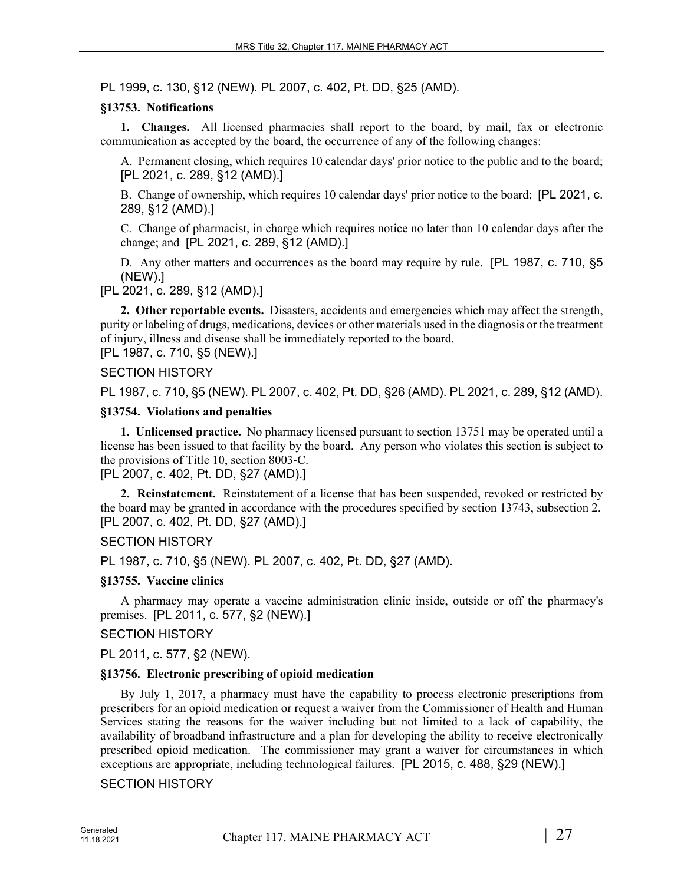PL 1999, c. 130, §12 (NEW). PL 2007, c. 402, Pt. DD, §25 (AMD).

### **§13753. Notifications**

**1. Changes.** All licensed pharmacies shall report to the board, by mail, fax or electronic communication as accepted by the board, the occurrence of any of the following changes:

A. Permanent closing, which requires 10 calendar days' prior notice to the public and to the board; [PL 2021, c. 289, §12 (AMD).]

B. Change of ownership, which requires 10 calendar days' prior notice to the board; [PL 2021, c. 289, §12 (AMD).]

C. Change of pharmacist, in charge which requires notice no later than 10 calendar days after the change; and [PL 2021, c. 289, §12 (AMD).]

D. Any other matters and occurrences as the board may require by rule. [PL 1987, c. 710, §5 (NEW).]

[PL 2021, c. 289, §12 (AMD).]

**2. Other reportable events.** Disasters, accidents and emergencies which may affect the strength, purity or labeling of drugs, medications, devices or other materials used in the diagnosis or the treatment of injury, illness and disease shall be immediately reported to the board. [PL 1987, c. 710, §5 (NEW).]

## SECTION HISTORY

PL 1987, c. 710, §5 (NEW). PL 2007, c. 402, Pt. DD, §26 (AMD). PL 2021, c. 289, §12 (AMD).

#### **§13754. Violations and penalties**

**1. Unlicensed practice.** No pharmacy licensed pursuant to section 13751 may be operated until a license has been issued to that facility by the board. Any person who violates this section is subject to the provisions of Title 10, section 8003‑C.

[PL 2007, c. 402, Pt. DD, §27 (AMD).]

**2. Reinstatement.** Reinstatement of a license that has been suspended, revoked or restricted by the board may be granted in accordance with the procedures specified by section 13743, subsection 2. [PL 2007, c. 402, Pt. DD, §27 (AMD).]

# SECTION HISTORY

PL 1987, c. 710, §5 (NEW). PL 2007, c. 402, Pt. DD, §27 (AMD).

#### **§13755. Vaccine clinics**

A pharmacy may operate a vaccine administration clinic inside, outside or off the pharmacy's premises. [PL 2011, c. 577, §2 (NEW).]

#### SECTION HISTORY

PL 2011, c. 577, §2 (NEW).

#### **§13756. Electronic prescribing of opioid medication**

By July 1, 2017, a pharmacy must have the capability to process electronic prescriptions from prescribers for an opioid medication or request a waiver from the Commissioner of Health and Human Services stating the reasons for the waiver including but not limited to a lack of capability, the availability of broadband infrastructure and a plan for developing the ability to receive electronically prescribed opioid medication. The commissioner may grant a waiver for circumstances in which exceptions are appropriate, including technological failures. [PL 2015, c. 488, §29 (NEW).]

#### SECTION HISTORY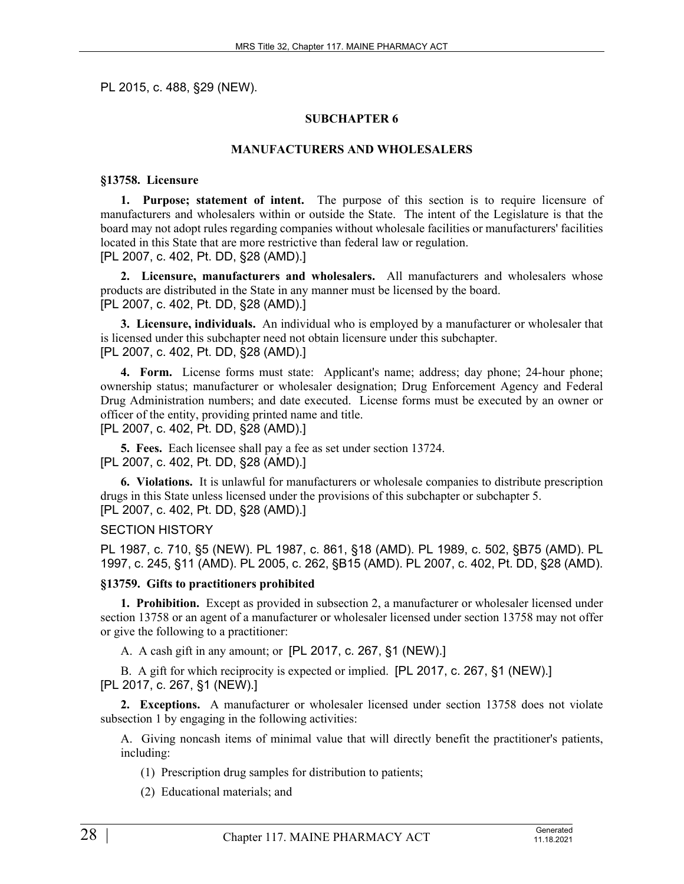PL 2015, c. 488, §29 (NEW).

#### **SUBCHAPTER 6**

#### **MANUFACTURERS AND WHOLESALERS**

#### **§13758. Licensure**

**1. Purpose; statement of intent.** The purpose of this section is to require licensure of manufacturers and wholesalers within or outside the State. The intent of the Legislature is that the board may not adopt rules regarding companies without wholesale facilities or manufacturers' facilities located in this State that are more restrictive than federal law or regulation. [PL 2007, c. 402, Pt. DD, §28 (AMD).]

**2. Licensure, manufacturers and wholesalers.** All manufacturers and wholesalers whose products are distributed in the State in any manner must be licensed by the board. [PL 2007, c. 402, Pt. DD, §28 (AMD).]

**3. Licensure, individuals.** An individual who is employed by a manufacturer or wholesaler that is licensed under this subchapter need not obtain licensure under this subchapter. [PL 2007, c. 402, Pt. DD, §28 (AMD).]

**4. Form.** License forms must state: Applicant's name; address; day phone; 24-hour phone; ownership status; manufacturer or wholesaler designation; Drug Enforcement Agency and Federal Drug Administration numbers; and date executed. License forms must be executed by an owner or officer of the entity, providing printed name and title.

[PL 2007, c. 402, Pt. DD, §28 (AMD).]

**5. Fees.** Each licensee shall pay a fee as set under section 13724. [PL 2007, c. 402, Pt. DD, §28 (AMD).]

**6. Violations.** It is unlawful for manufacturers or wholesale companies to distribute prescription drugs in this State unless licensed under the provisions of this subchapter or subchapter 5. [PL 2007, c. 402, Pt. DD, §28 (AMD).]

#### SECTION HISTORY

PL 1987, c. 710, §5 (NEW). PL 1987, c. 861, §18 (AMD). PL 1989, c. 502, §B75 (AMD). PL 1997, c. 245, §11 (AMD). PL 2005, c. 262, §B15 (AMD). PL 2007, c. 402, Pt. DD, §28 (AMD).

#### **§13759. Gifts to practitioners prohibited**

**1. Prohibition.** Except as provided in subsection 2, a manufacturer or wholesaler licensed under section 13758 or an agent of a manufacturer or wholesaler licensed under section 13758 may not offer or give the following to a practitioner:

A. A cash gift in any amount; or [PL 2017, c. 267, §1 (NEW).]

B. A gift for which reciprocity is expected or implied. [PL 2017, c. 267, §1 (NEW).] [PL 2017, c. 267, §1 (NEW).]

**2. Exceptions.** A manufacturer or wholesaler licensed under section 13758 does not violate subsection 1 by engaging in the following activities:

A. Giving noncash items of minimal value that will directly benefit the practitioner's patients, including:

(1) Prescription drug samples for distribution to patients;

(2) Educational materials; and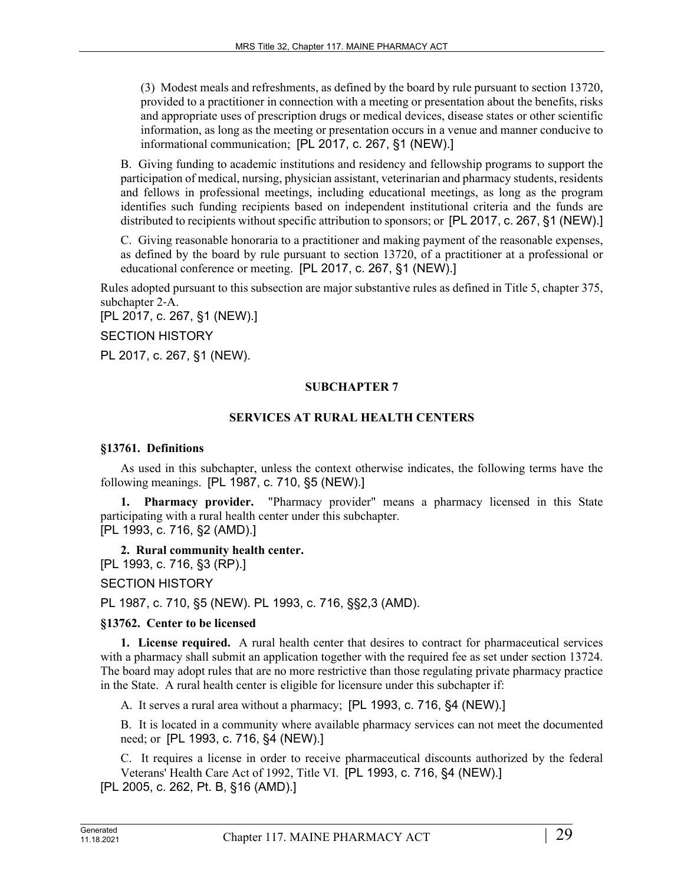(3) Modest meals and refreshments, as defined by the board by rule pursuant to section 13720, provided to a practitioner in connection with a meeting or presentation about the benefits, risks and appropriate uses of prescription drugs or medical devices, disease states or other scientific information, as long as the meeting or presentation occurs in a venue and manner conducive to informational communication; [PL 2017, c. 267, §1 (NEW).]

B. Giving funding to academic institutions and residency and fellowship programs to support the participation of medical, nursing, physician assistant, veterinarian and pharmacy students, residents and fellows in professional meetings, including educational meetings, as long as the program identifies such funding recipients based on independent institutional criteria and the funds are distributed to recipients without specific attribution to sponsors; or [PL 2017, c. 267, §1 (NEW).]

C. Giving reasonable honoraria to a practitioner and making payment of the reasonable expenses, as defined by the board by rule pursuant to section 13720, of a practitioner at a professional or educational conference or meeting. [PL 2017, c. 267, §1 (NEW).]

Rules adopted pursuant to this subsection are major substantive rules as defined in Title 5, chapter 375, subchapter 2‑A.

[PL 2017, c. 267, §1 (NEW).]

SECTION HISTORY

PL 2017, c. 267, §1 (NEW).

## **SUBCHAPTER 7**

## **SERVICES AT RURAL HEALTH CENTERS**

#### **§13761. Definitions**

As used in this subchapter, unless the context otherwise indicates, the following terms have the following meanings. [PL 1987, c. 710, §5 (NEW).]

**1. Pharmacy provider.** "Pharmacy provider" means a pharmacy licensed in this State participating with a rural health center under this subchapter.

[PL 1993, c. 716, §2 (AMD).]

**2. Rural community health center.**  [PL 1993, c. 716, §3 (RP).] SECTION HISTORY

PL 1987, c. 710, §5 (NEW). PL 1993, c. 716, §§2,3 (AMD).

#### **§13762. Center to be licensed**

**1. License required.** A rural health center that desires to contract for pharmaceutical services with a pharmacy shall submit an application together with the required fee as set under section 13724. The board may adopt rules that are no more restrictive than those regulating private pharmacy practice in the State. A rural health center is eligible for licensure under this subchapter if:

A. It serves a rural area without a pharmacy; [PL 1993, c. 716, §4 (NEW).]

B. It is located in a community where available pharmacy services can not meet the documented need; or [PL 1993, c. 716, §4 (NEW).]

C. It requires a license in order to receive pharmaceutical discounts authorized by the federal Veterans' Health Care Act of 1992, Title VI. [PL 1993, c. 716, §4 (NEW).] [PL 2005, c. 262, Pt. B, §16 (AMD).]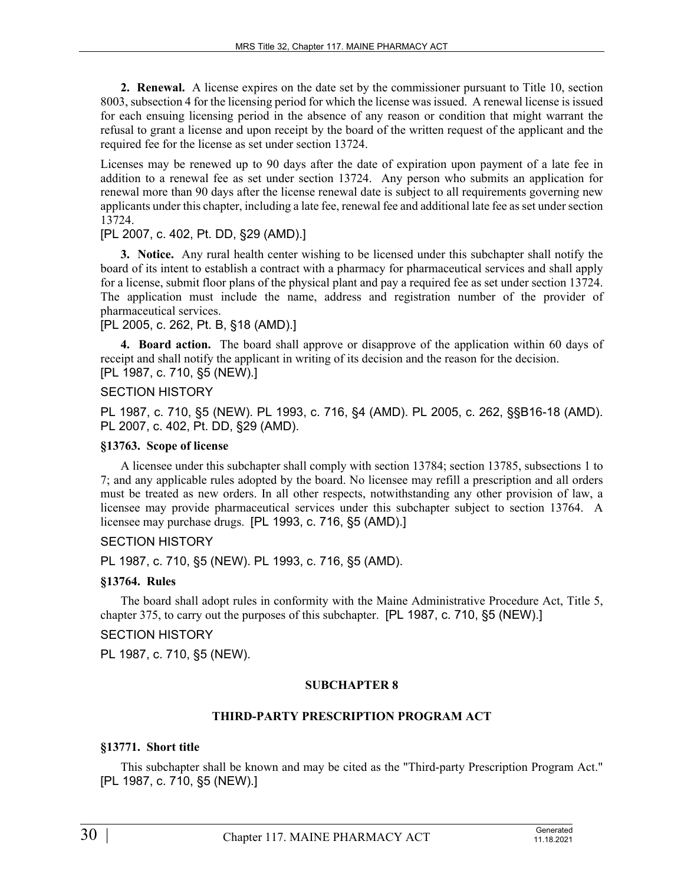**2. Renewal.** A license expires on the date set by the commissioner pursuant to Title 10, section 8003, subsection 4 for the licensing period for which the license was issued. A renewal license is issued for each ensuing licensing period in the absence of any reason or condition that might warrant the refusal to grant a license and upon receipt by the board of the written request of the applicant and the required fee for the license as set under section 13724.

Licenses may be renewed up to 90 days after the date of expiration upon payment of a late fee in addition to a renewal fee as set under section 13724. Any person who submits an application for renewal more than 90 days after the license renewal date is subject to all requirements governing new applicants under this chapter, including a late fee, renewal fee and additional late fee as set under section 13724.

## [PL 2007, c. 402, Pt. DD, §29 (AMD).]

**3. Notice.** Any rural health center wishing to be licensed under this subchapter shall notify the board of its intent to establish a contract with a pharmacy for pharmaceutical services and shall apply for a license, submit floor plans of the physical plant and pay a required fee as set under section 13724. The application must include the name, address and registration number of the provider of pharmaceutical services.

[PL 2005, c. 262, Pt. B, §18 (AMD).]

**4. Board action.** The board shall approve or disapprove of the application within 60 days of receipt and shall notify the applicant in writing of its decision and the reason for the decision. [PL 1987, c. 710, §5 (NEW).]

## SECTION HISTORY

PL 1987, c. 710, §5 (NEW). PL 1993, c. 716, §4 (AMD). PL 2005, c. 262, §§B16-18 (AMD). PL 2007, c. 402, Pt. DD, §29 (AMD).

#### **§13763. Scope of license**

A licensee under this subchapter shall comply with section 13784; section 13785, subsections 1 to 7; and any applicable rules adopted by the board. No licensee may refill a prescription and all orders must be treated as new orders. In all other respects, notwithstanding any other provision of law, a licensee may provide pharmaceutical services under this subchapter subject to section 13764. A licensee may purchase drugs. [PL 1993, c. 716, §5 (AMD).]

# SECTION HISTORY

PL 1987, c. 710, §5 (NEW). PL 1993, c. 716, §5 (AMD).

#### **§13764. Rules**

The board shall adopt rules in conformity with the Maine Administrative Procedure Act, Title 5, chapter 375, to carry out the purposes of this subchapter. [PL 1987, c. 710, §5 (NEW).]

### SECTION HISTORY

PL 1987, c. 710, §5 (NEW).

#### **SUBCHAPTER 8**

### **THIRD-PARTY PRESCRIPTION PROGRAM ACT**

#### **§13771. Short title**

This subchapter shall be known and may be cited as the "Third-party Prescription Program Act." [PL 1987, c. 710, §5 (NEW).]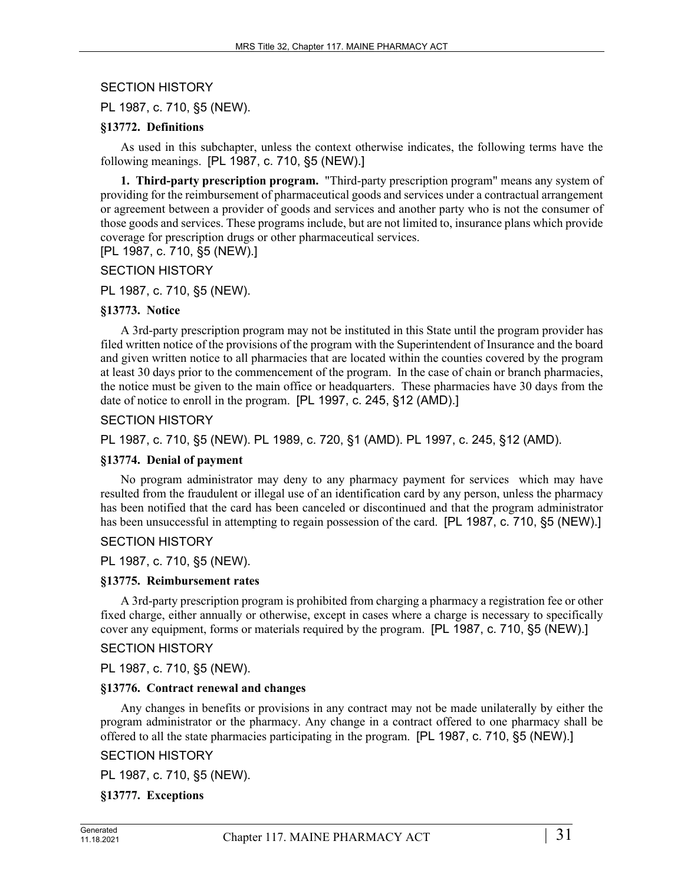# SECTION HISTORY

PL 1987, c. 710, §5 (NEW).

#### **§13772. Definitions**

As used in this subchapter, unless the context otherwise indicates, the following terms have the following meanings. [PL 1987, c. 710, §5 (NEW).]

**1. Third-party prescription program.** "Third-party prescription program" means any system of providing for the reimbursement of pharmaceutical goods and services under a contractual arrangement or agreement between a provider of goods and services and another party who is not the consumer of those goods and services. These programs include, but are not limited to, insurance plans which provide coverage for prescription drugs or other pharmaceutical services.

[PL 1987, c. 710, §5 (NEW).]

SECTION HISTORY

PL 1987, c. 710, §5 (NEW).

## **§13773. Notice**

A 3rd-party prescription program may not be instituted in this State until the program provider has filed written notice of the provisions of the program with the Superintendent of Insurance and the board and given written notice to all pharmacies that are located within the counties covered by the program at least 30 days prior to the commencement of the program. In the case of chain or branch pharmacies, the notice must be given to the main office or headquarters. These pharmacies have 30 days from the date of notice to enroll in the program. [PL 1997, c. 245, §12 (AMD).]

## SECTION HISTORY

PL 1987, c. 710, §5 (NEW). PL 1989, c. 720, §1 (AMD). PL 1997, c. 245, §12 (AMD).

#### **§13774. Denial of payment**

No program administrator may deny to any pharmacy payment for services which may have resulted from the fraudulent or illegal use of an identification card by any person, unless the pharmacy has been notified that the card has been canceled or discontinued and that the program administrator has been unsuccessful in attempting to regain possession of the card. [PL 1987, c. 710, §5 (NEW).]

# SECTION HISTORY

PL 1987, c. 710, §5 (NEW).

#### **§13775. Reimbursement rates**

A 3rd-party prescription program is prohibited from charging a pharmacy a registration fee or other fixed charge, either annually or otherwise, except in cases where a charge is necessary to specifically cover any equipment, forms or materials required by the program. [PL 1987, c. 710, §5 (NEW).]

#### SECTION HISTORY

PL 1987, c. 710, §5 (NEW).

#### **§13776. Contract renewal and changes**

Any changes in benefits or provisions in any contract may not be made unilaterally by either the program administrator or the pharmacy. Any change in a contract offered to one pharmacy shall be offered to all the state pharmacies participating in the program. [PL 1987, c. 710, §5 (NEW).]

# SECTION HISTORY

PL 1987, c. 710, §5 (NEW).

# **§13777. Exceptions**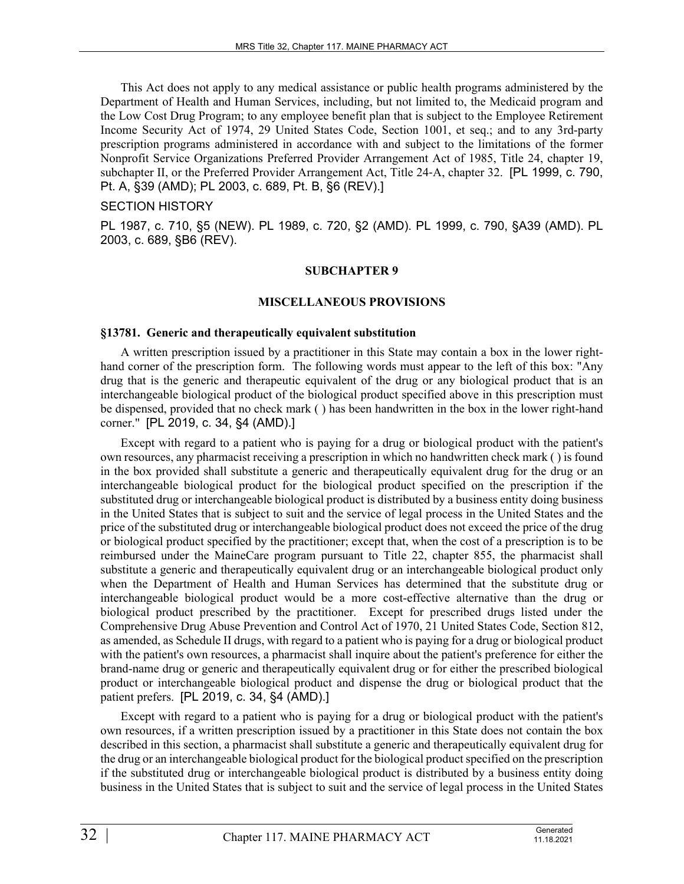This Act does not apply to any medical assistance or public health programs administered by the Department of Health and Human Services, including, but not limited to, the Medicaid program and the Low Cost Drug Program; to any employee benefit plan that is subject to the Employee Retirement Income Security Act of 1974, 29 United States Code, Section 1001, et seq.; and to any 3rd-party prescription programs administered in accordance with and subject to the limitations of the former Nonprofit Service Organizations Preferred Provider Arrangement Act of 1985, Title 24, chapter 19, subchapter II, or the Preferred Provider Arrangement Act, Title 24‑A, chapter 32. [PL 1999, c. 790, Pt. A, §39 (AMD); PL 2003, c. 689, Pt. B, §6 (REV).]

### SECTION HISTORY

PL 1987, c. 710, §5 (NEW). PL 1989, c. 720, §2 (AMD). PL 1999, c. 790, §A39 (AMD). PL 2003, c. 689, §B6 (REV).

#### **SUBCHAPTER 9**

#### **MISCELLANEOUS PROVISIONS**

#### **§13781. Generic and therapeutically equivalent substitution**

A written prescription issued by a practitioner in this State may contain a box in the lower righthand corner of the prescription form. The following words must appear to the left of this box: "Any drug that is the generic and therapeutic equivalent of the drug or any biological product that is an interchangeable biological product of the biological product specified above in this prescription must be dispensed, provided that no check mark ( ) has been handwritten in the box in the lower right-hand corner." [PL 2019, c. 34, §4 (AMD).]

Except with regard to a patient who is paying for a drug or biological product with the patient's own resources, any pharmacist receiving a prescription in which no handwritten check mark ( ) is found in the box provided shall substitute a generic and therapeutically equivalent drug for the drug or an interchangeable biological product for the biological product specified on the prescription if the substituted drug or interchangeable biological product is distributed by a business entity doing business in the United States that is subject to suit and the service of legal process in the United States and the price of the substituted drug or interchangeable biological product does not exceed the price of the drug or biological product specified by the practitioner; except that, when the cost of a prescription is to be reimbursed under the MaineCare program pursuant to Title 22, chapter 855, the pharmacist shall substitute a generic and therapeutically equivalent drug or an interchangeable biological product only when the Department of Health and Human Services has determined that the substitute drug or interchangeable biological product would be a more cost-effective alternative than the drug or biological product prescribed by the practitioner. Except for prescribed drugs listed under the Comprehensive Drug Abuse Prevention and Control Act of 1970, 21 United States Code, Section 812, as amended, as Schedule II drugs, with regard to a patient who is paying for a drug or biological product with the patient's own resources, a pharmacist shall inquire about the patient's preference for either the brand-name drug or generic and therapeutically equivalent drug or for either the prescribed biological product or interchangeable biological product and dispense the drug or biological product that the patient prefers. [PL 2019, c. 34, §4 (AMD).]

Except with regard to a patient who is paying for a drug or biological product with the patient's own resources, if a written prescription issued by a practitioner in this State does not contain the box described in this section, a pharmacist shall substitute a generic and therapeutically equivalent drug for the drug or an interchangeable biological product for the biological product specified on the prescription if the substituted drug or interchangeable biological product is distributed by a business entity doing business in the United States that is subject to suit and the service of legal process in the United States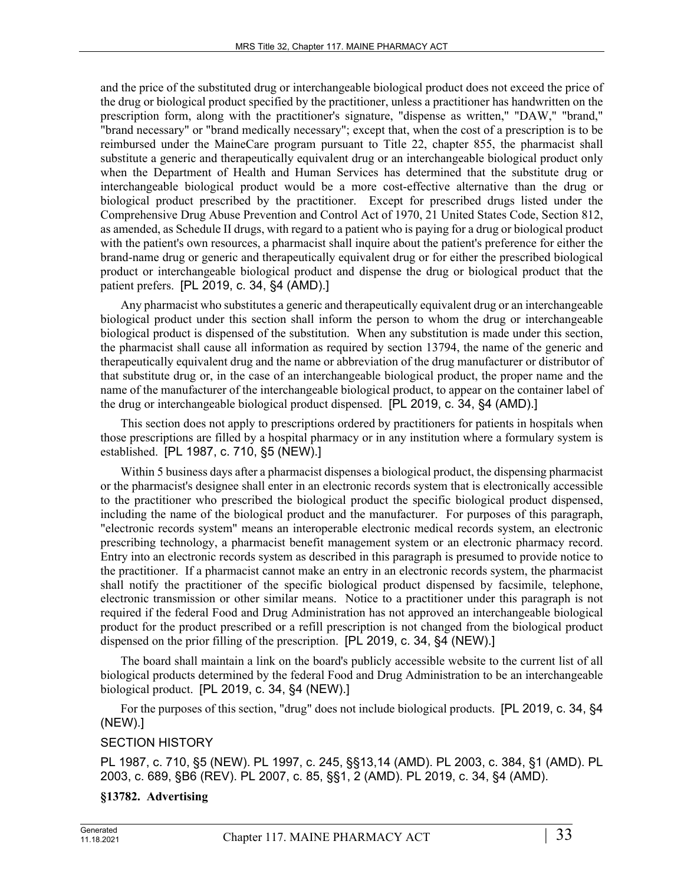and the price of the substituted drug or interchangeable biological product does not exceed the price of the drug or biological product specified by the practitioner, unless a practitioner has handwritten on the prescription form, along with the practitioner's signature, "dispense as written," "DAW," "brand," "brand necessary" or "brand medically necessary"; except that, when the cost of a prescription is to be reimbursed under the MaineCare program pursuant to Title 22, chapter 855, the pharmacist shall substitute a generic and therapeutically equivalent drug or an interchangeable biological product only when the Department of Health and Human Services has determined that the substitute drug or interchangeable biological product would be a more cost-effective alternative than the drug or biological product prescribed by the practitioner. Except for prescribed drugs listed under the Comprehensive Drug Abuse Prevention and Control Act of 1970, 21 United States Code, Section 812, as amended, as Schedule II drugs, with regard to a patient who is paying for a drug or biological product with the patient's own resources, a pharmacist shall inquire about the patient's preference for either the brand-name drug or generic and therapeutically equivalent drug or for either the prescribed biological product or interchangeable biological product and dispense the drug or biological product that the patient prefers. [PL 2019, c. 34, §4 (AMD).]

Any pharmacist who substitutes a generic and therapeutically equivalent drug or an interchangeable biological product under this section shall inform the person to whom the drug or interchangeable biological product is dispensed of the substitution. When any substitution is made under this section, the pharmacist shall cause all information as required by section 13794, the name of the generic and therapeutically equivalent drug and the name or abbreviation of the drug manufacturer or distributor of that substitute drug or, in the case of an interchangeable biological product, the proper name and the name of the manufacturer of the interchangeable biological product, to appear on the container label of the drug or interchangeable biological product dispensed. [PL 2019, c. 34, §4 (AMD).]

This section does not apply to prescriptions ordered by practitioners for patients in hospitals when those prescriptions are filled by a hospital pharmacy or in any institution where a formulary system is established. [PL 1987, c. 710, §5 (NEW).]

Within 5 business days after a pharmacist dispenses a biological product, the dispensing pharmacist or the pharmacist's designee shall enter in an electronic records system that is electronically accessible to the practitioner who prescribed the biological product the specific biological product dispensed, including the name of the biological product and the manufacturer. For purposes of this paragraph, "electronic records system" means an interoperable electronic medical records system, an electronic prescribing technology, a pharmacist benefit management system or an electronic pharmacy record. Entry into an electronic records system as described in this paragraph is presumed to provide notice to the practitioner. If a pharmacist cannot make an entry in an electronic records system, the pharmacist shall notify the practitioner of the specific biological product dispensed by facsimile, telephone, electronic transmission or other similar means. Notice to a practitioner under this paragraph is not required if the federal Food and Drug Administration has not approved an interchangeable biological product for the product prescribed or a refill prescription is not changed from the biological product dispensed on the prior filling of the prescription. [PL 2019, c. 34, §4 (NEW).]

The board shall maintain a link on the board's publicly accessible website to the current list of all biological products determined by the federal Food and Drug Administration to be an interchangeable biological product. [PL 2019, c. 34, §4 (NEW).]

For the purposes of this section, "drug" does not include biological products. [PL 2019, c. 34, §4 (NEW).]

# SECTION HISTORY

PL 1987, c. 710, §5 (NEW). PL 1997, c. 245, §§13,14 (AMD). PL 2003, c. 384, §1 (AMD). PL 2003, c. 689, §B6 (REV). PL 2007, c. 85, §§1, 2 (AMD). PL 2019, c. 34, §4 (AMD).

# **§13782. Advertising**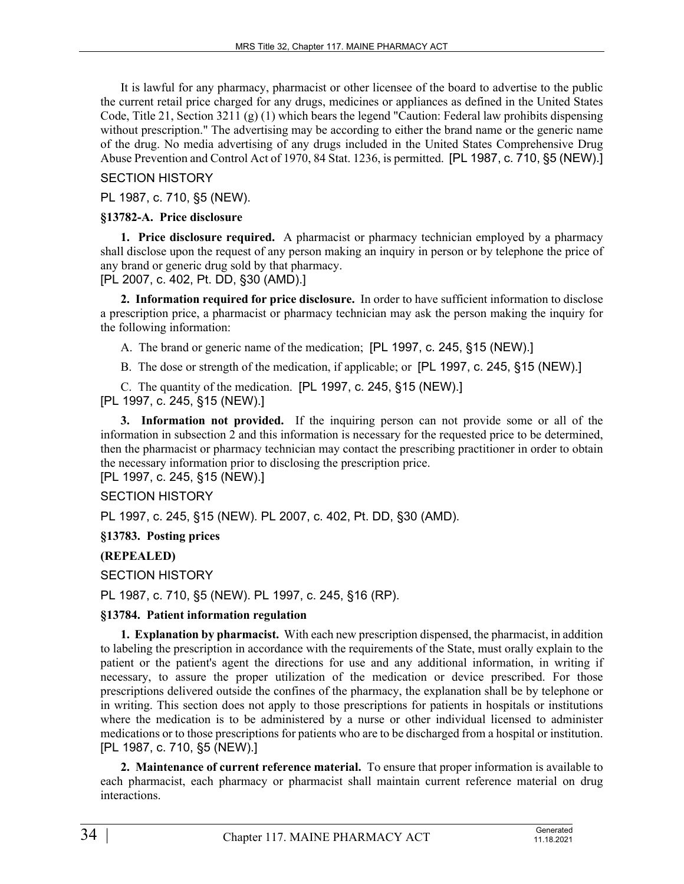It is lawful for any pharmacy, pharmacist or other licensee of the board to advertise to the public the current retail price charged for any drugs, medicines or appliances as defined in the United States Code, Title 21, Section 3211 (g) (1) which bears the legend "Caution: Federal law prohibits dispensing without prescription." The advertising may be according to either the brand name or the generic name of the drug. No media advertising of any drugs included in the United States Comprehensive Drug Abuse Prevention and Control Act of 1970, 84 Stat. 1236, is permitted. [PL 1987, c. 710, §5 (NEW).]

# SECTION HISTORY

PL 1987, c. 710, §5 (NEW).

### **§13782-A. Price disclosure**

**1. Price disclosure required.** A pharmacist or pharmacy technician employed by a pharmacy shall disclose upon the request of any person making an inquiry in person or by telephone the price of any brand or generic drug sold by that pharmacy.

[PL 2007, c. 402, Pt. DD, §30 (AMD).]

**2. Information required for price disclosure.** In order to have sufficient information to disclose a prescription price, a pharmacist or pharmacy technician may ask the person making the inquiry for the following information:

A. The brand or generic name of the medication; [PL 1997, c. 245, §15 (NEW).]

B. The dose or strength of the medication, if applicable; or [PL 1997, c. 245, §15 (NEW).]

C. The quantity of the medication. [PL 1997, c. 245, §15 (NEW).]

[PL 1997, c. 245, §15 (NEW).]

**3. Information not provided.** If the inquiring person can not provide some or all of the information in subsection 2 and this information is necessary for the requested price to be determined, then the pharmacist or pharmacy technician may contact the prescribing practitioner in order to obtain the necessary information prior to disclosing the prescription price.

[PL 1997, c. 245, §15 (NEW).]

# SECTION HISTORY

PL 1997, c. 245, §15 (NEW). PL 2007, c. 402, Pt. DD, §30 (AMD).

**§13783. Posting prices**

# **(REPEALED)**

SECTION HISTORY

PL 1987, c. 710, §5 (NEW). PL 1997, c. 245, §16 (RP).

# **§13784. Patient information regulation**

**1. Explanation by pharmacist.** With each new prescription dispensed, the pharmacist, in addition to labeling the prescription in accordance with the requirements of the State, must orally explain to the patient or the patient's agent the directions for use and any additional information, in writing if necessary, to assure the proper utilization of the medication or device prescribed. For those prescriptions delivered outside the confines of the pharmacy, the explanation shall be by telephone or in writing. This section does not apply to those prescriptions for patients in hospitals or institutions where the medication is to be administered by a nurse or other individual licensed to administer medications or to those prescriptions for patients who are to be discharged from a hospital or institution. [PL 1987, c. 710, §5 (NEW).]

**2. Maintenance of current reference material.** To ensure that proper information is available to each pharmacist, each pharmacy or pharmacist shall maintain current reference material on drug interactions.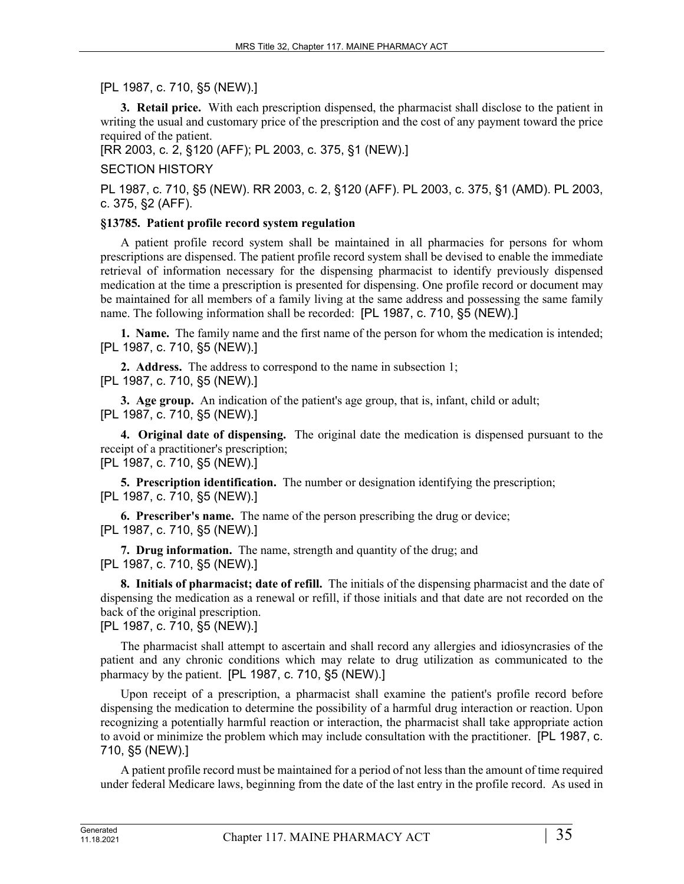# [PL 1987, c. 710, §5 (NEW).]

**3. Retail price.** With each prescription dispensed, the pharmacist shall disclose to the patient in writing the usual and customary price of the prescription and the cost of any payment toward the price required of the patient.

[RR 2003, c. 2, §120 (AFF); PL 2003, c. 375, §1 (NEW).]

# SECTION HISTORY

PL 1987, c. 710, §5 (NEW). RR 2003, c. 2, §120 (AFF). PL 2003, c. 375, §1 (AMD). PL 2003, c. 375, §2 (AFF).

# **§13785. Patient profile record system regulation**

A patient profile record system shall be maintained in all pharmacies for persons for whom prescriptions are dispensed. The patient profile record system shall be devised to enable the immediate retrieval of information necessary for the dispensing pharmacist to identify previously dispensed medication at the time a prescription is presented for dispensing. One profile record or document may be maintained for all members of a family living at the same address and possessing the same family name. The following information shall be recorded: [PL 1987, c. 710, §5 (NEW).]

**1. Name.** The family name and the first name of the person for whom the medication is intended; [PL 1987, c. 710, §5 (NEW).]

**2. Address.** The address to correspond to the name in subsection 1; [PL 1987, c. 710, §5 (NEW).]

**3. Age group.** An indication of the patient's age group, that is, infant, child or adult; [PL 1987, c. 710, §5 (NEW).]

**4. Original date of dispensing.** The original date the medication is dispensed pursuant to the receipt of a practitioner's prescription; [PL 1987, c. 710, §5 (NEW).]

**5. Prescription identification.** The number or designation identifying the prescription; [PL 1987, c. 710, §5 (NEW).]

**6. Prescriber's name.** The name of the person prescribing the drug or device; [PL 1987, c. 710, §5 (NEW).]

**7. Drug information.** The name, strength and quantity of the drug; and [PL 1987, c. 710, §5 (NEW).]

**8. Initials of pharmacist; date of refill.** The initials of the dispensing pharmacist and the date of dispensing the medication as a renewal or refill, if those initials and that date are not recorded on the back of the original prescription.

[PL 1987, c. 710, §5 (NEW).]

The pharmacist shall attempt to ascertain and shall record any allergies and idiosyncrasies of the patient and any chronic conditions which may relate to drug utilization as communicated to the pharmacy by the patient. [PL 1987, c. 710, §5 (NEW).]

Upon receipt of a prescription, a pharmacist shall examine the patient's profile record before dispensing the medication to determine the possibility of a harmful drug interaction or reaction. Upon recognizing a potentially harmful reaction or interaction, the pharmacist shall take appropriate action to avoid or minimize the problem which may include consultation with the practitioner. [PL 1987, c. 710, §5 (NEW).]

A patient profile record must be maintained for a period of not less than the amount of time required under federal Medicare laws, beginning from the date of the last entry in the profile record. As used in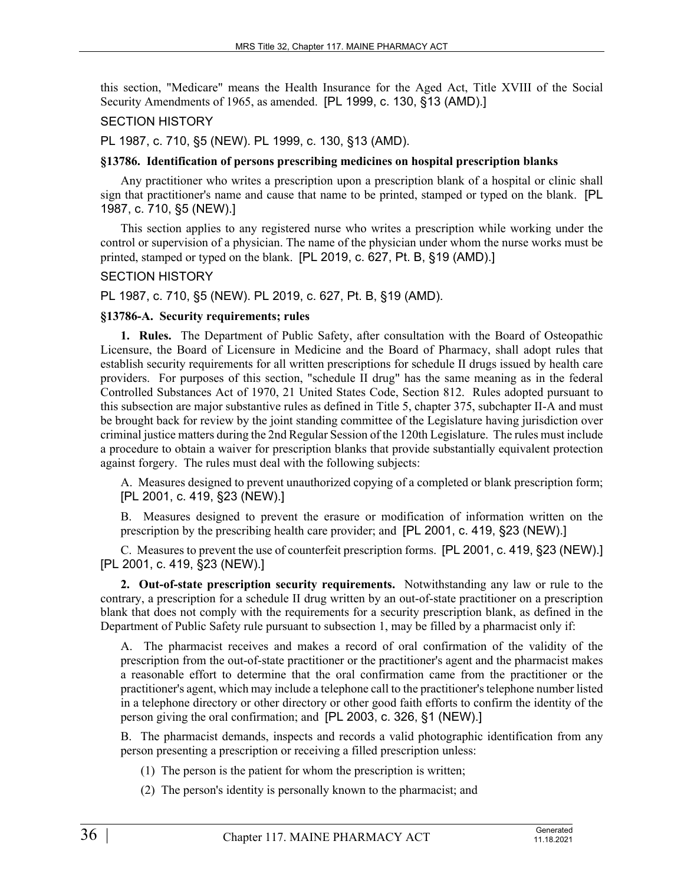this section, "Medicare" means the Health Insurance for the Aged Act, Title XVIII of the Social Security Amendments of 1965, as amended. [PL 1999, c. 130, §13 (AMD).]

### SECTION HISTORY

PL 1987, c. 710, §5 (NEW). PL 1999, c. 130, §13 (AMD).

#### **§13786. Identification of persons prescribing medicines on hospital prescription blanks**

Any practitioner who writes a prescription upon a prescription blank of a hospital or clinic shall sign that practitioner's name and cause that name to be printed, stamped or typed on the blank. [PL 1987, c. 710, §5 (NEW).]

This section applies to any registered nurse who writes a prescription while working under the control or supervision of a physician. The name of the physician under whom the nurse works must be printed, stamped or typed on the blank. [PL 2019, c. 627, Pt. B, §19 (AMD).]

# SECTION HISTORY

PL 1987, c. 710, §5 (NEW). PL 2019, c. 627, Pt. B, §19 (AMD).

## **§13786-A. Security requirements; rules**

**1. Rules.** The Department of Public Safety, after consultation with the Board of Osteopathic Licensure, the Board of Licensure in Medicine and the Board of Pharmacy, shall adopt rules that establish security requirements for all written prescriptions for schedule II drugs issued by health care providers. For purposes of this section, "schedule II drug" has the same meaning as in the federal Controlled Substances Act of 1970, 21 United States Code, Section 812. Rules adopted pursuant to this subsection are major substantive rules as defined in Title 5, chapter 375, subchapter II-A and must be brought back for review by the joint standing committee of the Legislature having jurisdiction over criminal justice matters during the 2nd Regular Session of the 120th Legislature. The rules must include a procedure to obtain a waiver for prescription blanks that provide substantially equivalent protection against forgery. The rules must deal with the following subjects:

A. Measures designed to prevent unauthorized copying of a completed or blank prescription form; [PL 2001, c. 419, §23 (NEW).]

B. Measures designed to prevent the erasure or modification of information written on the prescription by the prescribing health care provider; and [PL 2001, c. 419, §23 (NEW).]

C. Measures to prevent the use of counterfeit prescription forms. [PL 2001, c. 419, §23 (NEW).] [PL 2001, c. 419, §23 (NEW).]

**2. Out-of-state prescription security requirements.** Notwithstanding any law or rule to the contrary, a prescription for a schedule II drug written by an out-of-state practitioner on a prescription blank that does not comply with the requirements for a security prescription blank, as defined in the Department of Public Safety rule pursuant to subsection 1, may be filled by a pharmacist only if:

A. The pharmacist receives and makes a record of oral confirmation of the validity of the prescription from the out-of-state practitioner or the practitioner's agent and the pharmacist makes a reasonable effort to determine that the oral confirmation came from the practitioner or the practitioner's agent, which may include a telephone call to the practitioner's telephone number listed in a telephone directory or other directory or other good faith efforts to confirm the identity of the person giving the oral confirmation; and [PL 2003, c. 326, §1 (NEW).]

B. The pharmacist demands, inspects and records a valid photographic identification from any person presenting a prescription or receiving a filled prescription unless:

- (1) The person is the patient for whom the prescription is written;
- (2) The person's identity is personally known to the pharmacist; and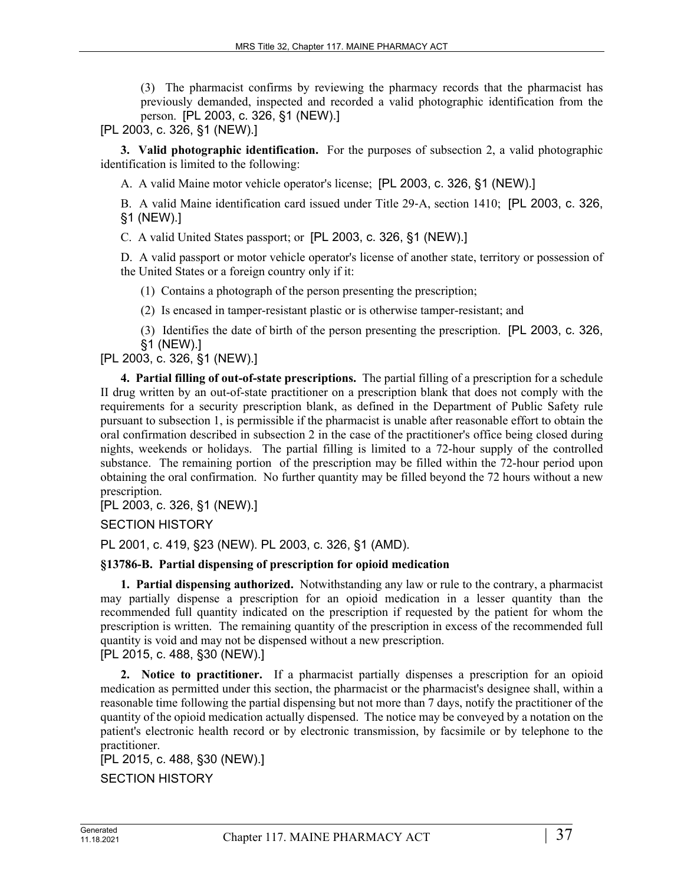(3) The pharmacist confirms by reviewing the pharmacy records that the pharmacist has previously demanded, inspected and recorded a valid photographic identification from the person. [PL 2003, c. 326, §1 (NEW).]

[PL 2003, c. 326, §1 (NEW).]

**3. Valid photographic identification.** For the purposes of subsection 2, a valid photographic identification is limited to the following:

A. A valid Maine motor vehicle operator's license; [PL 2003, c. 326, §1 (NEW).]

B. A valid Maine identification card issued under Title 29-A, section 1410; [PL 2003, c. 326, §1 (NEW).]

C. A valid United States passport; or [PL 2003, c. 326, §1 (NEW).]

D. A valid passport or motor vehicle operator's license of another state, territory or possession of the United States or a foreign country only if it:

(1) Contains a photograph of the person presenting the prescription;

(2) Is encased in tamper-resistant plastic or is otherwise tamper-resistant; and

(3) Identifies the date of birth of the person presenting the prescription. [PL 2003, c. 326, §1 (NEW).]

[PL 2003, c. 326, §1 (NEW).]

**4. Partial filling of out-of-state prescriptions.** The partial filling of a prescription for a schedule II drug written by an out-of-state practitioner on a prescription blank that does not comply with the requirements for a security prescription blank, as defined in the Department of Public Safety rule pursuant to subsection 1, is permissible if the pharmacist is unable after reasonable effort to obtain the oral confirmation described in subsection 2 in the case of the practitioner's office being closed during nights, weekends or holidays. The partial filling is limited to a 72-hour supply of the controlled substance. The remaining portion of the prescription may be filled within the 72-hour period upon obtaining the oral confirmation. No further quantity may be filled beyond the 72 hours without a new prescription.

[PL 2003, c. 326, §1 (NEW).]

SECTION HISTORY

PL 2001, c. 419, §23 (NEW). PL 2003, c. 326, §1 (AMD).

#### **§13786-B. Partial dispensing of prescription for opioid medication**

**1. Partial dispensing authorized.** Notwithstanding any law or rule to the contrary, a pharmacist may partially dispense a prescription for an opioid medication in a lesser quantity than the recommended full quantity indicated on the prescription if requested by the patient for whom the prescription is written. The remaining quantity of the prescription in excess of the recommended full quantity is void and may not be dispensed without a new prescription.

[PL 2015, c. 488, §30 (NEW).]

**2. Notice to practitioner.** If a pharmacist partially dispenses a prescription for an opioid medication as permitted under this section, the pharmacist or the pharmacist's designee shall, within a reasonable time following the partial dispensing but not more than 7 days, notify the practitioner of the quantity of the opioid medication actually dispensed. The notice may be conveyed by a notation on the patient's electronic health record or by electronic transmission, by facsimile or by telephone to the practitioner.

[PL 2015, c. 488, §30 (NEW).] SECTION HISTORY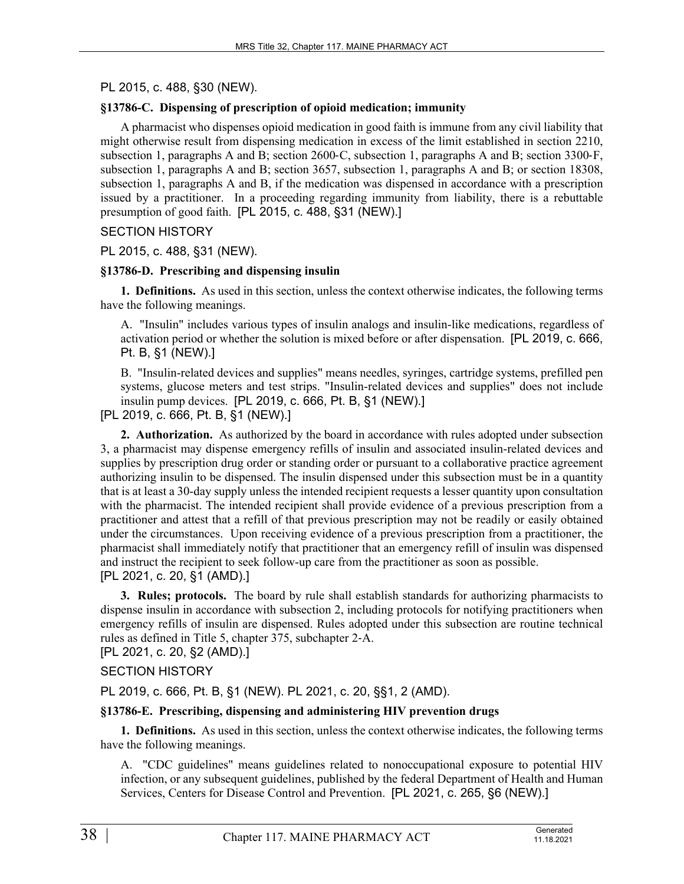PL 2015, c. 488, §30 (NEW).

# **§13786-C. Dispensing of prescription of opioid medication; immunity**

A pharmacist who dispenses opioid medication in good faith is immune from any civil liability that might otherwise result from dispensing medication in excess of the limit established in section 2210, subsection 1, paragraphs A and B; section 2600–C, subsection 1, paragraphs A and B; section 3300–F, subsection 1, paragraphs A and B; section 3657, subsection 1, paragraphs A and B; or section 18308, subsection 1, paragraphs A and B, if the medication was dispensed in accordance with a prescription issued by a practitioner. In a proceeding regarding immunity from liability, there is a rebuttable presumption of good faith. [PL 2015, c. 488, §31 (NEW).]

## SECTION HISTORY

## PL 2015, c. 488, §31 (NEW).

## **§13786-D. Prescribing and dispensing insulin**

**1. Definitions.** As used in this section, unless the context otherwise indicates, the following terms have the following meanings.

A. "Insulin" includes various types of insulin analogs and insulin-like medications, regardless of activation period or whether the solution is mixed before or after dispensation. [PL 2019, c. 666, Pt. B, §1 (NEW).]

B. "Insulin-related devices and supplies" means needles, syringes, cartridge systems, prefilled pen systems, glucose meters and test strips. "Insulin-related devices and supplies" does not include insulin pump devices. [PL 2019, c. 666, Pt. B, §1 (NEW).]

[PL 2019, c. 666, Pt. B, §1 (NEW).]

**2. Authorization.** As authorized by the board in accordance with rules adopted under subsection 3, a pharmacist may dispense emergency refills of insulin and associated insulin-related devices and supplies by prescription drug order or standing order or pursuant to a collaborative practice agreement authorizing insulin to be dispensed. The insulin dispensed under this subsection must be in a quantity that is at least a 30-day supply unless the intended recipient requests a lesser quantity upon consultation with the pharmacist. The intended recipient shall provide evidence of a previous prescription from a practitioner and attest that a refill of that previous prescription may not be readily or easily obtained under the circumstances. Upon receiving evidence of a previous prescription from a practitioner, the pharmacist shall immediately notify that practitioner that an emergency refill of insulin was dispensed and instruct the recipient to seek follow-up care from the practitioner as soon as possible. [PL 2021, c. 20, §1 (AMD).]

**3. Rules; protocols.** The board by rule shall establish standards for authorizing pharmacists to dispense insulin in accordance with subsection 2, including protocols for notifying practitioners when emergency refills of insulin are dispensed. Rules adopted under this subsection are routine technical rules as defined in Title 5, chapter 375, subchapter 2‑A.

[PL 2021, c. 20, §2 (AMD).]

# SECTION HISTORY

PL 2019, c. 666, Pt. B, §1 (NEW). PL 2021, c. 20, §§1, 2 (AMD).

#### **§13786-E. Prescribing, dispensing and administering HIV prevention drugs**

**1. Definitions.** As used in this section, unless the context otherwise indicates, the following terms have the following meanings.

A. "CDC guidelines" means guidelines related to nonoccupational exposure to potential HIV infection, or any subsequent guidelines, published by the federal Department of Health and Human Services, Centers for Disease Control and Prevention. [PL 2021, c. 265, §6 (NEW).]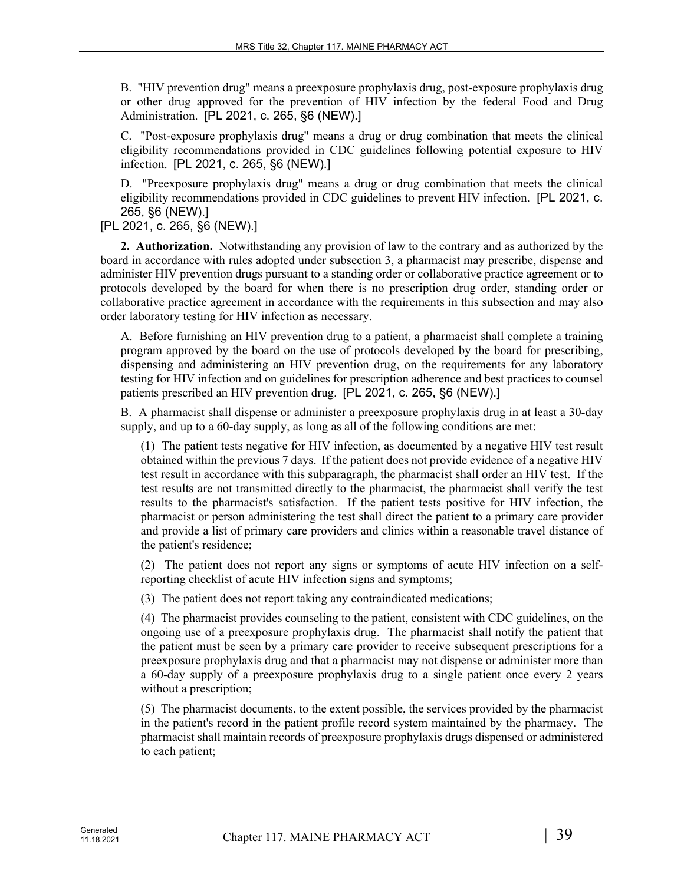B. "HIV prevention drug" means a preexposure prophylaxis drug, post-exposure prophylaxis drug or other drug approved for the prevention of HIV infection by the federal Food and Drug Administration. [PL 2021, c. 265, §6 (NEW).]

C. "Post-exposure prophylaxis drug" means a drug or drug combination that meets the clinical eligibility recommendations provided in CDC guidelines following potential exposure to HIV infection. [PL 2021, c. 265, §6 (NEW).]

D. "Preexposure prophylaxis drug" means a drug or drug combination that meets the clinical eligibility recommendations provided in CDC guidelines to prevent HIV infection. [PL 2021, c. 265, §6 (NEW).]

[PL 2021, c. 265, §6 (NEW).]

**2. Authorization.** Notwithstanding any provision of law to the contrary and as authorized by the board in accordance with rules adopted under subsection 3, a pharmacist may prescribe, dispense and administer HIV prevention drugs pursuant to a standing order or collaborative practice agreement or to protocols developed by the board for when there is no prescription drug order, standing order or collaborative practice agreement in accordance with the requirements in this subsection and may also order laboratory testing for HIV infection as necessary.

A. Before furnishing an HIV prevention drug to a patient, a pharmacist shall complete a training program approved by the board on the use of protocols developed by the board for prescribing, dispensing and administering an HIV prevention drug, on the requirements for any laboratory testing for HIV infection and on guidelines for prescription adherence and best practices to counsel patients prescribed an HIV prevention drug. [PL 2021, c. 265, §6 (NEW).]

B. A pharmacist shall dispense or administer a preexposure prophylaxis drug in at least a 30-day supply, and up to a 60-day supply, as long as all of the following conditions are met:

(1) The patient tests negative for HIV infection, as documented by a negative HIV test result obtained within the previous 7 days. If the patient does not provide evidence of a negative HIV test result in accordance with this subparagraph, the pharmacist shall order an HIV test. If the test results are not transmitted directly to the pharmacist, the pharmacist shall verify the test results to the pharmacist's satisfaction. If the patient tests positive for HIV infection, the pharmacist or person administering the test shall direct the patient to a primary care provider and provide a list of primary care providers and clinics within a reasonable travel distance of the patient's residence;

(2) The patient does not report any signs or symptoms of acute HIV infection on a selfreporting checklist of acute HIV infection signs and symptoms;

(3) The patient does not report taking any contraindicated medications;

(4) The pharmacist provides counseling to the patient, consistent with CDC guidelines, on the ongoing use of a preexposure prophylaxis drug. The pharmacist shall notify the patient that the patient must be seen by a primary care provider to receive subsequent prescriptions for a preexposure prophylaxis drug and that a pharmacist may not dispense or administer more than a 60-day supply of a preexposure prophylaxis drug to a single patient once every 2 years without a prescription;

(5) The pharmacist documents, to the extent possible, the services provided by the pharmacist in the patient's record in the patient profile record system maintained by the pharmacy. The pharmacist shall maintain records of preexposure prophylaxis drugs dispensed or administered to each patient;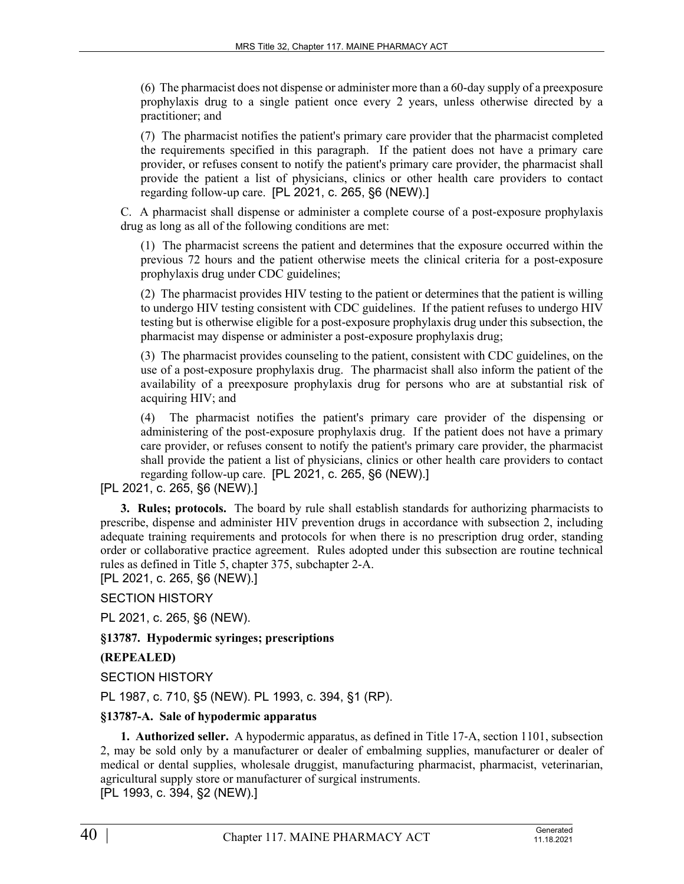(6) The pharmacist does not dispense or administer more than a 60-day supply of a preexposure prophylaxis drug to a single patient once every 2 years, unless otherwise directed by a practitioner; and

(7) The pharmacist notifies the patient's primary care provider that the pharmacist completed the requirements specified in this paragraph. If the patient does not have a primary care provider, or refuses consent to notify the patient's primary care provider, the pharmacist shall provide the patient a list of physicians, clinics or other health care providers to contact regarding follow-up care. [PL 2021, c. 265, §6 (NEW).]

C. A pharmacist shall dispense or administer a complete course of a post-exposure prophylaxis drug as long as all of the following conditions are met:

(1) The pharmacist screens the patient and determines that the exposure occurred within the previous 72 hours and the patient otherwise meets the clinical criteria for a post-exposure prophylaxis drug under CDC guidelines;

(2) The pharmacist provides HIV testing to the patient or determines that the patient is willing to undergo HIV testing consistent with CDC guidelines. If the patient refuses to undergo HIV testing but is otherwise eligible for a post-exposure prophylaxis drug under this subsection, the pharmacist may dispense or administer a post-exposure prophylaxis drug;

(3) The pharmacist provides counseling to the patient, consistent with CDC guidelines, on the use of a post-exposure prophylaxis drug. The pharmacist shall also inform the patient of the availability of a preexposure prophylaxis drug for persons who are at substantial risk of acquiring HIV; and

(4) The pharmacist notifies the patient's primary care provider of the dispensing or administering of the post-exposure prophylaxis drug. If the patient does not have a primary care provider, or refuses consent to notify the patient's primary care provider, the pharmacist shall provide the patient a list of physicians, clinics or other health care providers to contact regarding follow-up care. [PL 2021, c. 265, §6 (NEW).]

[PL 2021, c. 265, §6 (NEW).]

**3. Rules; protocols.** The board by rule shall establish standards for authorizing pharmacists to prescribe, dispense and administer HIV prevention drugs in accordance with subsection 2, including adequate training requirements and protocols for when there is no prescription drug order, standing order or collaborative practice agreement. Rules adopted under this subsection are routine technical rules as defined in Title 5, chapter 375, subchapter 2-A.

[PL 2021, c. 265, §6 (NEW).]

SECTION HISTORY

PL 2021, c. 265, §6 (NEW).

**§13787. Hypodermic syringes; prescriptions**

# **(REPEALED)**

SECTION HISTORY

PL 1987, c. 710, §5 (NEW). PL 1993, c. 394, §1 (RP).

#### **§13787-A. Sale of hypodermic apparatus**

**1. Authorized seller.** A hypodermic apparatus, as defined in Title 17‑A, section 1101, subsection 2, may be sold only by a manufacturer or dealer of embalming supplies, manufacturer or dealer of medical or dental supplies, wholesale druggist, manufacturing pharmacist, pharmacist, veterinarian, agricultural supply store or manufacturer of surgical instruments.

[PL 1993, c. 394, §2 (NEW).]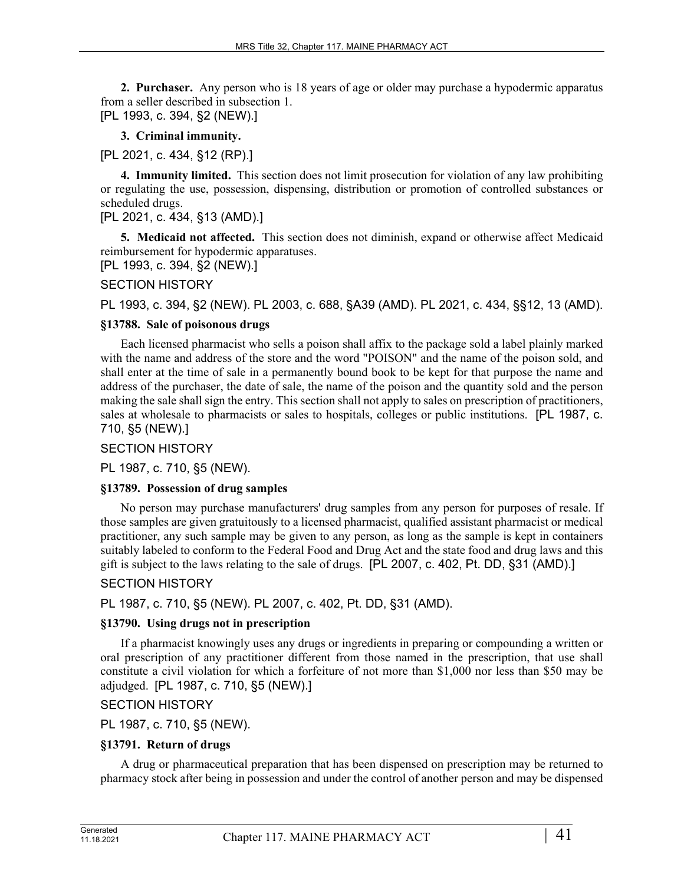**2. Purchaser.** Any person who is 18 years of age or older may purchase a hypodermic apparatus from a seller described in subsection 1. [PL 1993, c. 394, §2 (NEW).]

**3. Criminal immunity.** 

[PL 2021, c. 434, §12 (RP).]

**4. Immunity limited.** This section does not limit prosecution for violation of any law prohibiting or regulating the use, possession, dispensing, distribution or promotion of controlled substances or scheduled drugs.

# [PL 2021, c. 434, §13 (AMD).]

**5. Medicaid not affected.** This section does not diminish, expand or otherwise affect Medicaid reimbursement for hypodermic apparatuses.

[PL 1993, c. 394, §2 (NEW).]

## SECTION HISTORY

PL 1993, c. 394, §2 (NEW). PL 2003, c. 688, §A39 (AMD). PL 2021, c. 434, §§12, 13 (AMD).

#### **§13788. Sale of poisonous drugs**

Each licensed pharmacist who sells a poison shall affix to the package sold a label plainly marked with the name and address of the store and the word "POISON" and the name of the poison sold, and shall enter at the time of sale in a permanently bound book to be kept for that purpose the name and address of the purchaser, the date of sale, the name of the poison and the quantity sold and the person making the sale shall sign the entry. This section shall not apply to sales on prescription of practitioners, sales at wholesale to pharmacists or sales to hospitals, colleges or public institutions. [PL 1987, c. 710, §5 (NEW).]

### SECTION HISTORY

PL 1987, c. 710, §5 (NEW).

#### **§13789. Possession of drug samples**

No person may purchase manufacturers' drug samples from any person for purposes of resale. If those samples are given gratuitously to a licensed pharmacist, qualified assistant pharmacist or medical practitioner, any such sample may be given to any person, as long as the sample is kept in containers suitably labeled to conform to the Federal Food and Drug Act and the state food and drug laws and this gift is subject to the laws relating to the sale of drugs. [PL 2007, c. 402, Pt. DD, §31 (AMD).]

# SECTION HISTORY

PL 1987, c. 710, §5 (NEW). PL 2007, c. 402, Pt. DD, §31 (AMD).

#### **§13790. Using drugs not in prescription**

If a pharmacist knowingly uses any drugs or ingredients in preparing or compounding a written or oral prescription of any practitioner different from those named in the prescription, that use shall constitute a civil violation for which a forfeiture of not more than \$1,000 nor less than \$50 may be adjudged. [PL 1987, c. 710, §5 (NEW).]

SECTION HISTORY

PL 1987, c. 710, §5 (NEW).

#### **§13791. Return of drugs**

A drug or pharmaceutical preparation that has been dispensed on prescription may be returned to pharmacy stock after being in possession and under the control of another person and may be dispensed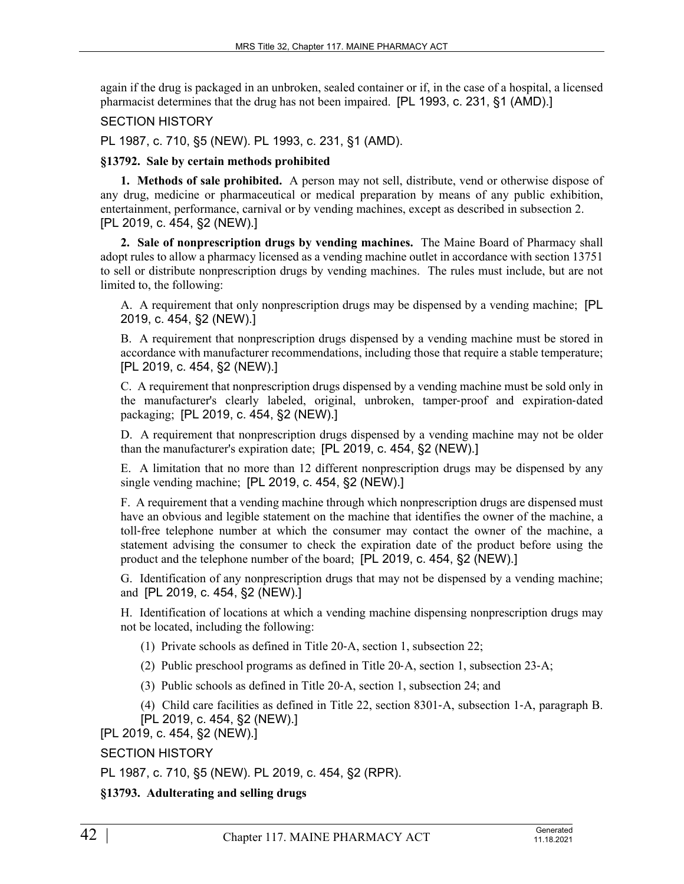again if the drug is packaged in an unbroken, sealed container or if, in the case of a hospital, a licensed pharmacist determines that the drug has not been impaired. [PL 1993, c. 231, §1 (AMD).]

### SECTION HISTORY

PL 1987, c. 710, §5 (NEW). PL 1993, c. 231, §1 (AMD).

### **§13792. Sale by certain methods prohibited**

**1. Methods of sale prohibited.** A person may not sell, distribute, vend or otherwise dispose of any drug, medicine or pharmaceutical or medical preparation by means of any public exhibition, entertainment, performance, carnival or by vending machines, except as described in subsection 2. [PL 2019, c. 454, §2 (NEW).]

**2. Sale of nonprescription drugs by vending machines.** The Maine Board of Pharmacy shall adopt rules to allow a pharmacy licensed as a vending machine outlet in accordance with section 13751 to sell or distribute nonprescription drugs by vending machines. The rules must include, but are not limited to, the following:

A. A requirement that only nonprescription drugs may be dispensed by a vending machine; [PL 2019, c. 454, §2 (NEW).]

B. A requirement that nonprescription drugs dispensed by a vending machine must be stored in accordance with manufacturer recommendations, including those that require a stable temperature; [PL 2019, c. 454, §2 (NEW).]

C. A requirement that nonprescription drugs dispensed by a vending machine must be sold only in the manufacturer's clearly labeled, original, unbroken, tamper-proof and expiration-dated packaging; [PL 2019, c. 454, §2 (NEW).]

D. A requirement that nonprescription drugs dispensed by a vending machine may not be older than the manufacturer's expiration date; [PL 2019, c. 454, §2 (NEW).]

E. A limitation that no more than 12 different nonprescription drugs may be dispensed by any single vending machine; [PL 2019, c. 454, §2 (NEW).]

F. A requirement that a vending machine through which nonprescription drugs are dispensed must have an obvious and legible statement on the machine that identifies the owner of the machine, a toll‑free telephone number at which the consumer may contact the owner of the machine, a statement advising the consumer to check the expiration date of the product before using the product and the telephone number of the board; [PL 2019, c. 454, §2 (NEW).]

G. Identification of any nonprescription drugs that may not be dispensed by a vending machine; and [PL 2019, c. 454, §2 (NEW).]

H. Identification of locations at which a vending machine dispensing nonprescription drugs may not be located, including the following:

- (1) Private schools as defined in Title 20‑A, section 1, subsection 22;
- (2) Public preschool programs as defined in Title 20‑A, section 1, subsection 23‑A;
- (3) Public schools as defined in Title 20‑A, section 1, subsection 24; and
- (4) Child care facilities as defined in Title 22, section 8301‑A, subsection 1‑A, paragraph B.

[PL 2019, c. 454, §2 (NEW).]

[PL 2019, c. 454, §2 (NEW).]

SECTION HISTORY

PL 1987, c. 710, §5 (NEW). PL 2019, c. 454, §2 (RPR).

**§13793. Adulterating and selling drugs**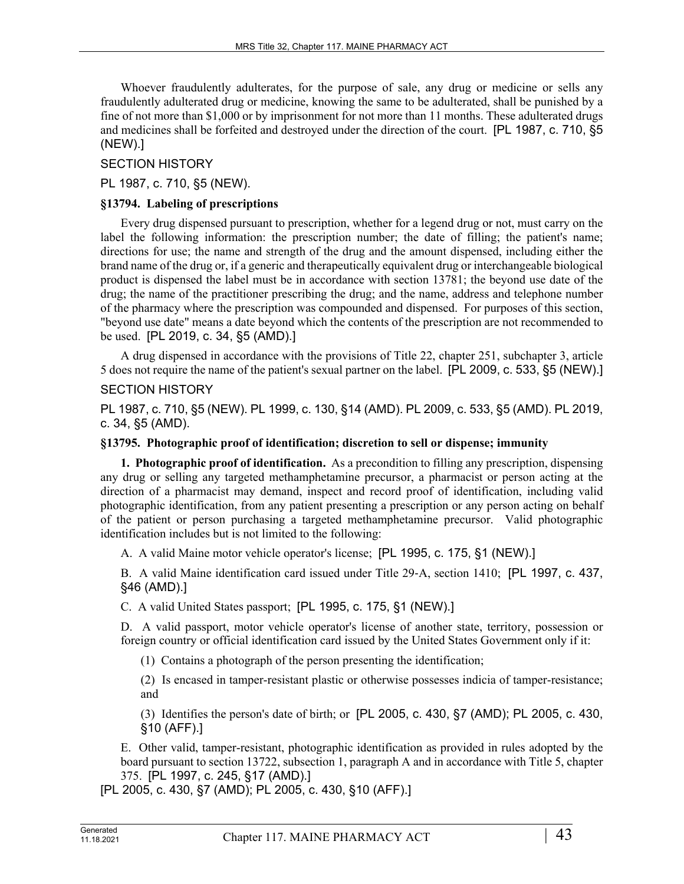Whoever fraudulently adulterates, for the purpose of sale, any drug or medicine or sells any fraudulently adulterated drug or medicine, knowing the same to be adulterated, shall be punished by a fine of not more than \$1,000 or by imprisonment for not more than 11 months. These adulterated drugs and medicines shall be forfeited and destroyed under the direction of the court. [PL 1987, c. 710, §5 (NEW).]

## SECTION HISTORY

PL 1987, c. 710, §5 (NEW).

### **§13794. Labeling of prescriptions**

Every drug dispensed pursuant to prescription, whether for a legend drug or not, must carry on the label the following information: the prescription number; the date of filling; the patient's name; directions for use; the name and strength of the drug and the amount dispensed, including either the brand name of the drug or, if a generic and therapeutically equivalent drug or interchangeable biological product is dispensed the label must be in accordance with section 13781; the beyond use date of the drug; the name of the practitioner prescribing the drug; and the name, address and telephone number of the pharmacy where the prescription was compounded and dispensed. For purposes of this section, "beyond use date" means a date beyond which the contents of the prescription are not recommended to be used. [PL 2019, c. 34, §5 (AMD).]

A drug dispensed in accordance with the provisions of Title 22, chapter 251, subchapter 3, article 5 does not require the name of the patient's sexual partner on the label. [PL 2009, c. 533, §5 (NEW).]

## SECTION HISTORY

PL 1987, c. 710, §5 (NEW). PL 1999, c. 130, §14 (AMD). PL 2009, c. 533, §5 (AMD). PL 2019, c. 34, §5 (AMD).

#### **§13795. Photographic proof of identification; discretion to sell or dispense; immunity**

**1. Photographic proof of identification.** As a precondition to filling any prescription, dispensing any drug or selling any targeted methamphetamine precursor, a pharmacist or person acting at the direction of a pharmacist may demand, inspect and record proof of identification, including valid photographic identification, from any patient presenting a prescription or any person acting on behalf of the patient or person purchasing a targeted methamphetamine precursor. Valid photographic identification includes but is not limited to the following:

A. A valid Maine motor vehicle operator's license; [PL 1995, c. 175, §1 (NEW).]

B. A valid Maine identification card issued under Title 29‑A, section 1410; [PL 1997, c. 437, §46 (AMD).]

C. A valid United States passport; [PL 1995, c. 175, §1 (NEW).]

D. A valid passport, motor vehicle operator's license of another state, territory, possession or foreign country or official identification card issued by the United States Government only if it:

(1) Contains a photograph of the person presenting the identification;

(2) Is encased in tamper-resistant plastic or otherwise possesses indicia of tamper-resistance; and

(3) Identifies the person's date of birth; or [PL 2005, c. 430, §7 (AMD); PL 2005, c. 430, §10 (AFF).]

E. Other valid, tamper-resistant, photographic identification as provided in rules adopted by the board pursuant to section 13722, subsection 1, paragraph A and in accordance with Title 5, chapter 375. [PL 1997, c. 245, §17 (AMD).]

[PL 2005, c. 430, §7 (AMD); PL 2005, c. 430, §10 (AFF).]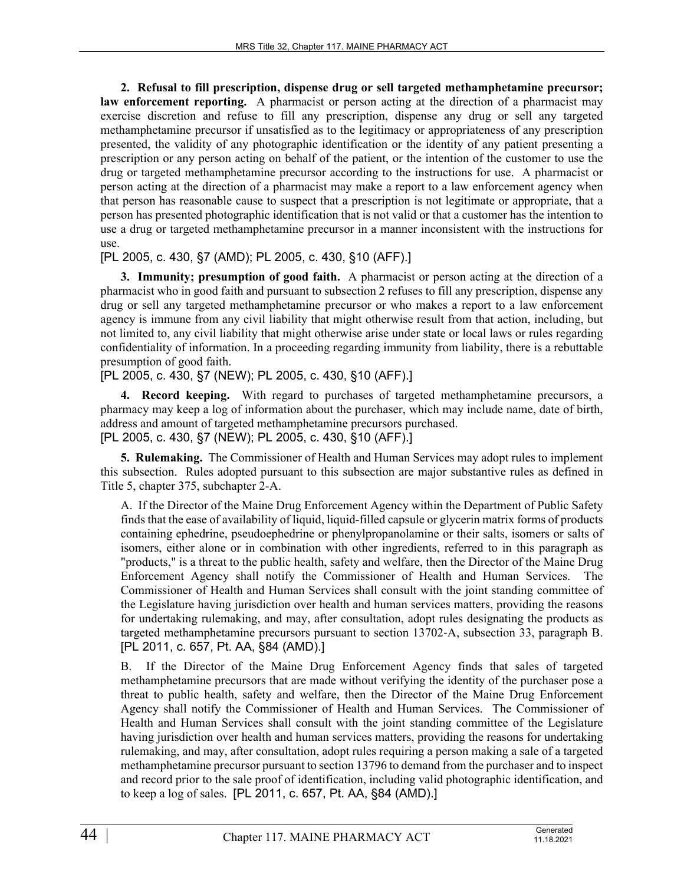**2. Refusal to fill prescription, dispense drug or sell targeted methamphetamine precursor; law enforcement reporting.** A pharmacist or person acting at the direction of a pharmacist may exercise discretion and refuse to fill any prescription, dispense any drug or sell any targeted methamphetamine precursor if unsatisfied as to the legitimacy or appropriateness of any prescription presented, the validity of any photographic identification or the identity of any patient presenting a prescription or any person acting on behalf of the patient, or the intention of the customer to use the drug or targeted methamphetamine precursor according to the instructions for use. A pharmacist or person acting at the direction of a pharmacist may make a report to a law enforcement agency when that person has reasonable cause to suspect that a prescription is not legitimate or appropriate, that a person has presented photographic identification that is not valid or that a customer has the intention to use a drug or targeted methamphetamine precursor in a manner inconsistent with the instructions for use.

[PL 2005, c. 430, §7 (AMD); PL 2005, c. 430, §10 (AFF).]

**3. Immunity; presumption of good faith.** A pharmacist or person acting at the direction of a pharmacist who in good faith and pursuant to subsection 2 refuses to fill any prescription, dispense any drug or sell any targeted methamphetamine precursor or who makes a report to a law enforcement agency is immune from any civil liability that might otherwise result from that action, including, but not limited to, any civil liability that might otherwise arise under state or local laws or rules regarding confidentiality of information. In a proceeding regarding immunity from liability, there is a rebuttable presumption of good faith.

[PL 2005, c. 430, §7 (NEW); PL 2005, c. 430, §10 (AFF).]

**4. Record keeping.** With regard to purchases of targeted methamphetamine precursors, a pharmacy may keep a log of information about the purchaser, which may include name, date of birth, address and amount of targeted methamphetamine precursors purchased. [PL 2005, c. 430, §7 (NEW); PL 2005, c. 430, §10 (AFF).]

**5. Rulemaking.** The Commissioner of Health and Human Services may adopt rules to implement this subsection. Rules adopted pursuant to this subsection are major substantive rules as defined in Title 5, chapter 375, subchapter 2-A.

A. If the Director of the Maine Drug Enforcement Agency within the Department of Public Safety finds that the ease of availability of liquid, liquid-filled capsule or glycerin matrix forms of products containing ephedrine, pseudoephedrine or phenylpropanolamine or their salts, isomers or salts of isomers, either alone or in combination with other ingredients, referred to in this paragraph as "products," is a threat to the public health, safety and welfare, then the Director of the Maine Drug Enforcement Agency shall notify the Commissioner of Health and Human Services. The Commissioner of Health and Human Services shall consult with the joint standing committee of the Legislature having jurisdiction over health and human services matters, providing the reasons for undertaking rulemaking, and may, after consultation, adopt rules designating the products as targeted methamphetamine precursors pursuant to section 13702‑A, subsection 33, paragraph B. [PL 2011, c. 657, Pt. AA, §84 (AMD).]

B. If the Director of the Maine Drug Enforcement Agency finds that sales of targeted methamphetamine precursors that are made without verifying the identity of the purchaser pose a threat to public health, safety and welfare, then the Director of the Maine Drug Enforcement Agency shall notify the Commissioner of Health and Human Services. The Commissioner of Health and Human Services shall consult with the joint standing committee of the Legislature having jurisdiction over health and human services matters, providing the reasons for undertaking rulemaking, and may, after consultation, adopt rules requiring a person making a sale of a targeted methamphetamine precursor pursuant to section 13796 to demand from the purchaser and to inspect and record prior to the sale proof of identification, including valid photographic identification, and to keep a log of sales. [PL 2011, c. 657, Pt. AA, §84 (AMD).]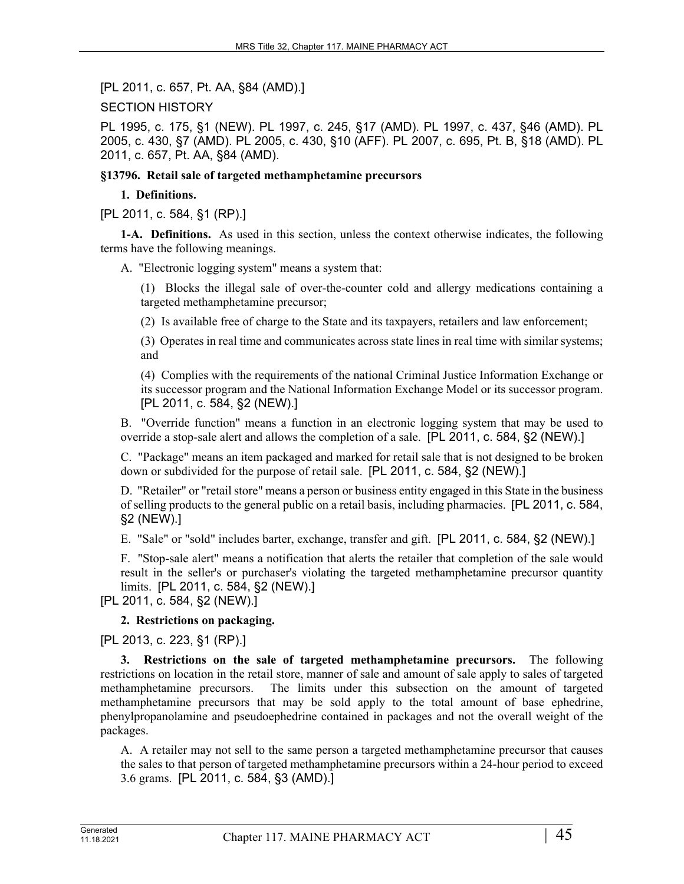[PL 2011, c. 657, Pt. AA, §84 (AMD).]

SECTION HISTORY

PL 1995, c. 175, §1 (NEW). PL 1997, c. 245, §17 (AMD). PL 1997, c. 437, §46 (AMD). PL 2005, c. 430, §7 (AMD). PL 2005, c. 430, §10 (AFF). PL 2007, c. 695, Pt. B, §18 (AMD). PL 2011, c. 657, Pt. AA, §84 (AMD).

**§13796. Retail sale of targeted methamphetamine precursors**

#### **1. Definitions.**

[PL 2011, c. 584, §1 (RP).]

**1-A. Definitions.** As used in this section, unless the context otherwise indicates, the following terms have the following meanings.

A. "Electronic logging system" means a system that:

(1) Blocks the illegal sale of over-the-counter cold and allergy medications containing a targeted methamphetamine precursor;

(2) Is available free of charge to the State and its taxpayers, retailers and law enforcement;

(3) Operates in real time and communicates across state lines in real time with similar systems; and

(4) Complies with the requirements of the national Criminal Justice Information Exchange or its successor program and the National Information Exchange Model or its successor program. [PL 2011, c. 584, §2 (NEW).]

B. "Override function" means a function in an electronic logging system that may be used to override a stop-sale alert and allows the completion of a sale. [PL 2011, c. 584, §2 (NEW).]

C. "Package" means an item packaged and marked for retail sale that is not designed to be broken down or subdivided for the purpose of retail sale. [PL 2011, c. 584, §2 (NEW).]

D. "Retailer" or "retail store" means a person or business entity engaged in this State in the business of selling products to the general public on a retail basis, including pharmacies. [PL 2011, c. 584, §2 (NEW).]

E. "Sale" or "sold" includes barter, exchange, transfer and gift. [PL 2011, c. 584, §2 (NEW).]

F. "Stop-sale alert" means a notification that alerts the retailer that completion of the sale would result in the seller's or purchaser's violating the targeted methamphetamine precursor quantity limits. [PL 2011, c. 584, §2 (NEW).]

[PL 2011, c. 584, §2 (NEW).]

#### **2. Restrictions on packaging.**

[PL 2013, c. 223, §1 (RP).]

**3. Restrictions on the sale of targeted methamphetamine precursors.** The following restrictions on location in the retail store, manner of sale and amount of sale apply to sales of targeted methamphetamine precursors. The limits under this subsection on the amount of targeted methamphetamine precursors that may be sold apply to the total amount of base ephedrine, phenylpropanolamine and pseudoephedrine contained in packages and not the overall weight of the packages.

A. A retailer may not sell to the same person a targeted methamphetamine precursor that causes the sales to that person of targeted methamphetamine precursors within a 24-hour period to exceed 3.6 grams. [PL 2011, c. 584, §3 (AMD).]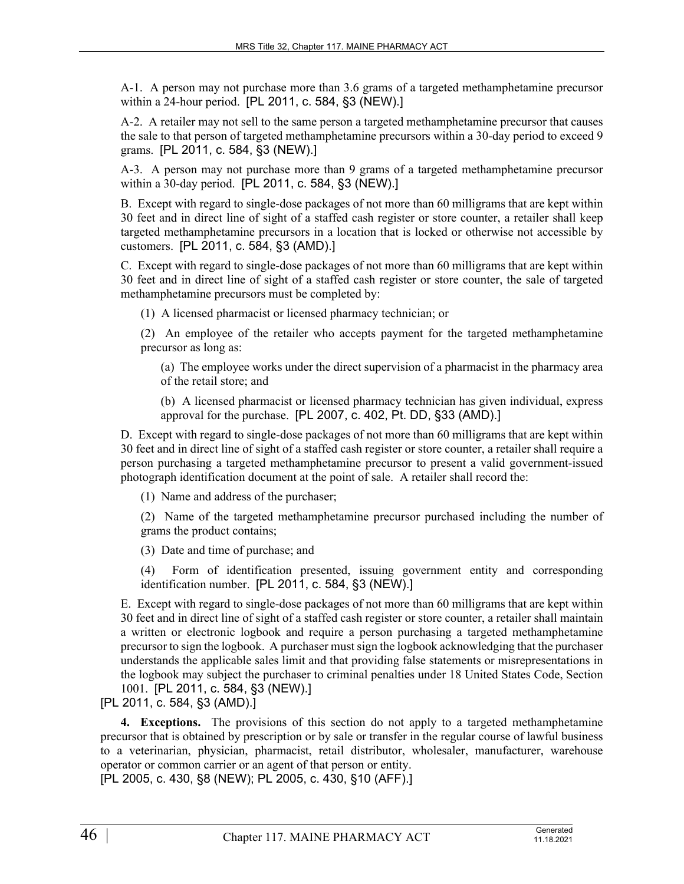A-1. A person may not purchase more than 3.6 grams of a targeted methamphetamine precursor within a 24-hour period. [PL 2011, c. 584, §3 (NEW).]

A-2. A retailer may not sell to the same person a targeted methamphetamine precursor that causes the sale to that person of targeted methamphetamine precursors within a 30-day period to exceed 9 grams. [PL 2011, c. 584, §3 (NEW).]

A-3. A person may not purchase more than 9 grams of a targeted methamphetamine precursor within a 30-day period. [PL 2011, c. 584, §3 (NEW).]

B. Except with regard to single-dose packages of not more than 60 milligrams that are kept within 30 feet and in direct line of sight of a staffed cash register or store counter, a retailer shall keep targeted methamphetamine precursors in a location that is locked or otherwise not accessible by customers. [PL 2011, c. 584, §3 (AMD).]

C. Except with regard to single-dose packages of not more than 60 milligrams that are kept within 30 feet and in direct line of sight of a staffed cash register or store counter, the sale of targeted methamphetamine precursors must be completed by:

(1) A licensed pharmacist or licensed pharmacy technician; or

(2) An employee of the retailer who accepts payment for the targeted methamphetamine precursor as long as:

(a) The employee works under the direct supervision of a pharmacist in the pharmacy area of the retail store; and

(b) A licensed pharmacist or licensed pharmacy technician has given individual, express approval for the purchase. [PL 2007, c. 402, Pt. DD, §33 (AMD).]

D. Except with regard to single-dose packages of not more than 60 milligrams that are kept within 30 feet and in direct line of sight of a staffed cash register or store counter, a retailer shall require a person purchasing a targeted methamphetamine precursor to present a valid government-issued photograph identification document at the point of sale. A retailer shall record the:

(1) Name and address of the purchaser;

(2) Name of the targeted methamphetamine precursor purchased including the number of grams the product contains;

(3) Date and time of purchase; and

(4) Form of identification presented, issuing government entity and corresponding identification number. [PL 2011, c. 584, §3 (NEW).]

E. Except with regard to single-dose packages of not more than 60 milligrams that are kept within 30 feet and in direct line of sight of a staffed cash register or store counter, a retailer shall maintain a written or electronic logbook and require a person purchasing a targeted methamphetamine precursor to sign the logbook. A purchaser must sign the logbook acknowledging that the purchaser understands the applicable sales limit and that providing false statements or misrepresentations in the logbook may subject the purchaser to criminal penalties under 18 United States Code, Section 1001. [PL 2011, c. 584, §3 (NEW).]

[PL 2011, c. 584, §3 (AMD).]

**4. Exceptions.** The provisions of this section do not apply to a targeted methamphetamine precursor that is obtained by prescription or by sale or transfer in the regular course of lawful business to a veterinarian, physician, pharmacist, retail distributor, wholesaler, manufacturer, warehouse operator or common carrier or an agent of that person or entity.

[PL 2005, c. 430, §8 (NEW); PL 2005, c. 430, §10 (AFF).]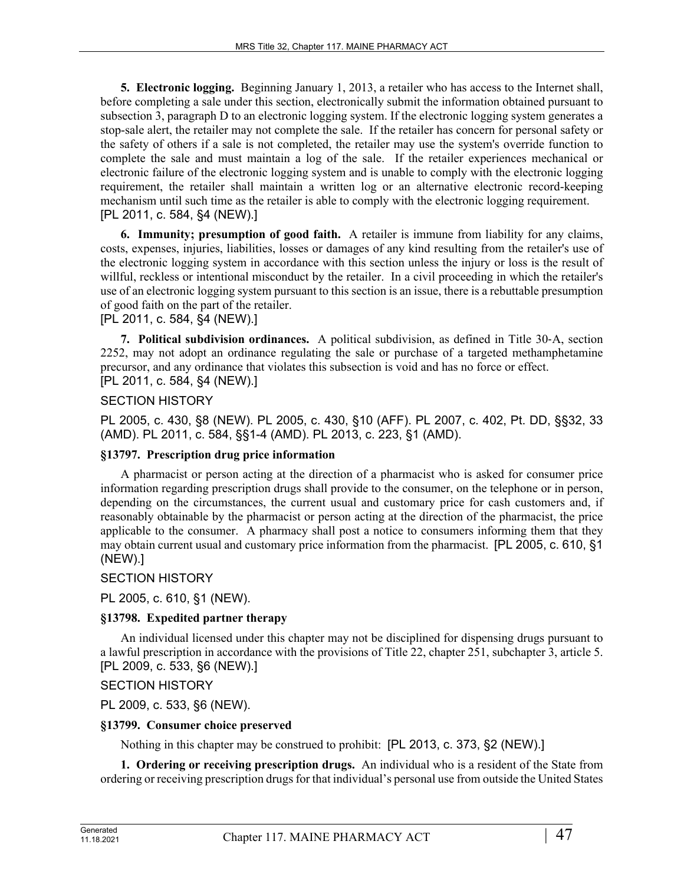**5. Electronic logging.** Beginning January 1, 2013, a retailer who has access to the Internet shall, before completing a sale under this section, electronically submit the information obtained pursuant to subsection 3, paragraph D to an electronic logging system. If the electronic logging system generates a stop-sale alert, the retailer may not complete the sale. If the retailer has concern for personal safety or the safety of others if a sale is not completed, the retailer may use the system's override function to complete the sale and must maintain a log of the sale. If the retailer experiences mechanical or electronic failure of the electronic logging system and is unable to comply with the electronic logging requirement, the retailer shall maintain a written log or an alternative electronic record-keeping mechanism until such time as the retailer is able to comply with the electronic logging requirement. [PL 2011, c. 584, §4 (NEW).]

**6. Immunity; presumption of good faith.** A retailer is immune from liability for any claims, costs, expenses, injuries, liabilities, losses or damages of any kind resulting from the retailer's use of the electronic logging system in accordance with this section unless the injury or loss is the result of willful, reckless or intentional misconduct by the retailer. In a civil proceeding in which the retailer's use of an electronic logging system pursuant to this section is an issue, there is a rebuttable presumption of good faith on the part of the retailer.

[PL 2011, c. 584, §4 (NEW).]

**7. Political subdivision ordinances.** A political subdivision, as defined in Title 30‑A, section 2252, may not adopt an ordinance regulating the sale or purchase of a targeted methamphetamine precursor, and any ordinance that violates this subsection is void and has no force or effect. [PL 2011, c. 584, §4 (NEW).]

# SECTION HISTORY

PL 2005, c. 430, §8 (NEW). PL 2005, c. 430, §10 (AFF). PL 2007, c. 402, Pt. DD, §§32, 33 (AMD). PL 2011, c. 584, §§1-4 (AMD). PL 2013, c. 223, §1 (AMD).

# **§13797. Prescription drug price information**

A pharmacist or person acting at the direction of a pharmacist who is asked for consumer price information regarding prescription drugs shall provide to the consumer, on the telephone or in person, depending on the circumstances, the current usual and customary price for cash customers and, if reasonably obtainable by the pharmacist or person acting at the direction of the pharmacist, the price applicable to the consumer. A pharmacy shall post a notice to consumers informing them that they may obtain current usual and customary price information from the pharmacist. [PL 2005, c. 610, §1 (NEW).]

# SECTION HISTORY

PL 2005, c. 610, §1 (NEW).

# **§13798. Expedited partner therapy**

An individual licensed under this chapter may not be disciplined for dispensing drugs pursuant to a lawful prescription in accordance with the provisions of Title 22, chapter 251, subchapter 3, article 5. [PL 2009, c. 533, §6 (NEW).]

SECTION HISTORY

PL 2009, c. 533, §6 (NEW).

# **§13799. Consumer choice preserved**

Nothing in this chapter may be construed to prohibit: [PL 2013, c. 373, §2 (NEW).]

**1. Ordering or receiving prescription drugs.** An individual who is a resident of the State from ordering or receiving prescription drugs for that individual's personal use from outside the United States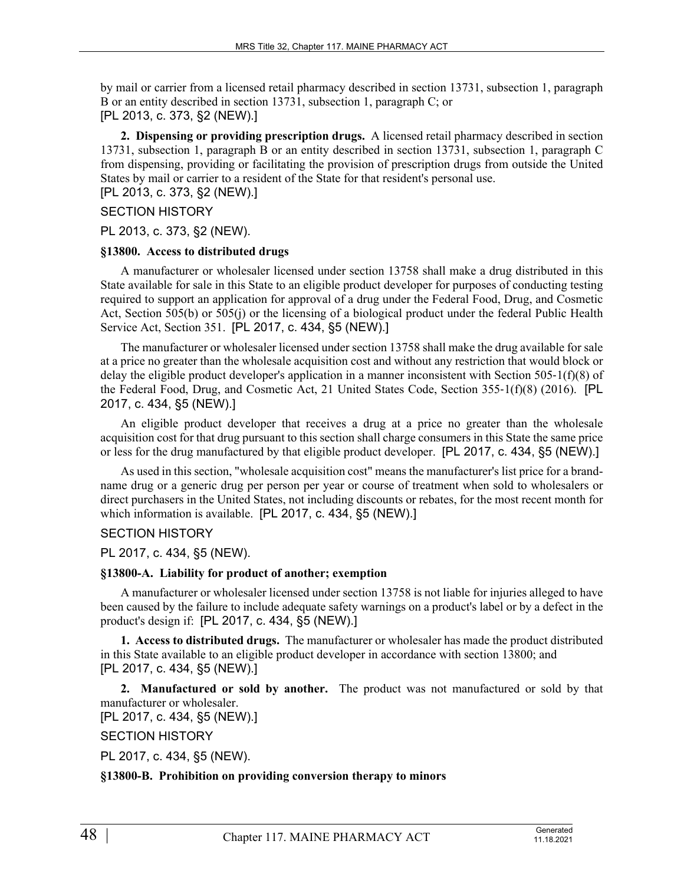by mail or carrier from a licensed retail pharmacy described in section 13731, subsection 1, paragraph B or an entity described in section 13731, subsection 1, paragraph C; or [PL 2013, c. 373, §2 (NEW).]

**2. Dispensing or providing prescription drugs.** A licensed retail pharmacy described in section 13731, subsection 1, paragraph B or an entity described in section 13731, subsection 1, paragraph C from dispensing, providing or facilitating the provision of prescription drugs from outside the United States by mail or carrier to a resident of the State for that resident's personal use. [PL 2013, c. 373, §2 (NEW).]

### SECTION HISTORY

PL 2013, c. 373, §2 (NEW).

#### **§13800. Access to distributed drugs**

A manufacturer or wholesaler licensed under section 13758 shall make a drug distributed in this State available for sale in this State to an eligible product developer for purposes of conducting testing required to support an application for approval of a drug under the Federal Food, Drug, and Cosmetic Act, Section 505(b) or 505(j) or the licensing of a biological product under the federal Public Health Service Act, Section 351. [PL 2017, c. 434, §5 (NEW).]

The manufacturer or wholesaler licensed under section 13758 shall make the drug available for sale at a price no greater than the wholesale acquisition cost and without any restriction that would block or delay the eligible product developer's application in a manner inconsistent with Section 505-1( $f(x)$ ) of the Federal Food, Drug, and Cosmetic Act, 21 United States Code, Section 355‑1(f)(8) (2016). [PL 2017, c. 434, §5 (NEW).]

An eligible product developer that receives a drug at a price no greater than the wholesale acquisition cost for that drug pursuant to this section shall charge consumers in this State the same price or less for the drug manufactured by that eligible product developer. [PL 2017, c. 434, §5 (NEW).]

As used in this section, "wholesale acquisition cost" means the manufacturer's list price for a brandname drug or a generic drug per person per year or course of treatment when sold to wholesalers or direct purchasers in the United States, not including discounts or rebates, for the most recent month for which information is available. [PL 2017, c. 434, §5 (NEW).]

### SECTION HISTORY

PL 2017, c. 434, §5 (NEW).

#### **§13800-A. Liability for product of another; exemption**

A manufacturer or wholesaler licensed under section 13758 is not liable for injuries alleged to have been caused by the failure to include adequate safety warnings on a product's label or by a defect in the product's design if: [PL 2017, c. 434, §5 (NEW).]

**1. Access to distributed drugs.** The manufacturer or wholesaler has made the product distributed in this State available to an eligible product developer in accordance with section 13800; and [PL 2017, c. 434, §5 (NEW).]

**2. Manufactured or sold by another.** The product was not manufactured or sold by that manufacturer or wholesaler.

[PL 2017, c. 434, §5 (NEW).]

SECTION HISTORY

PL 2017, c. 434, §5 (NEW).

#### **§13800-B. Prohibition on providing conversion therapy to minors**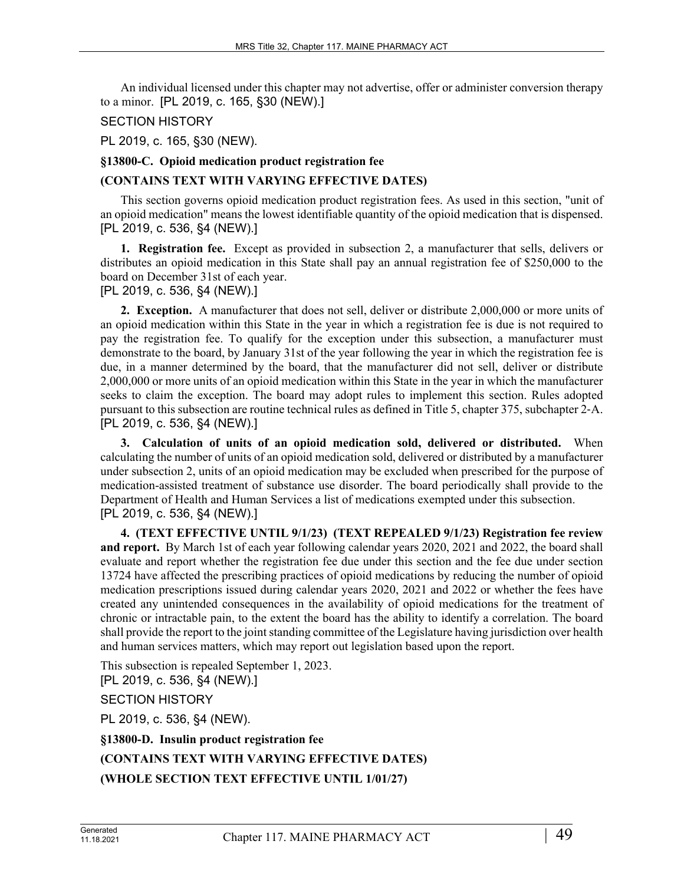An individual licensed under this chapter may not advertise, offer or administer conversion therapy to a minor. [PL 2019, c. 165, §30 (NEW).]

#### SECTION HISTORY

PL 2019, c. 165, §30 (NEW).

#### **§13800-C. Opioid medication product registration fee**

### **(CONTAINS TEXT WITH VARYING EFFECTIVE DATES)**

This section governs opioid medication product registration fees. As used in this section, "unit of an opioid medication" means the lowest identifiable quantity of the opioid medication that is dispensed. [PL 2019, c. 536, §4 (NEW).]

**1. Registration fee.** Except as provided in subsection 2, a manufacturer that sells, delivers or distributes an opioid medication in this State shall pay an annual registration fee of \$250,000 to the board on December 31st of each year.

[PL 2019, c. 536, §4 (NEW).]

**2. Exception.** A manufacturer that does not sell, deliver or distribute 2,000,000 or more units of an opioid medication within this State in the year in which a registration fee is due is not required to pay the registration fee. To qualify for the exception under this subsection, a manufacturer must demonstrate to the board, by January 31st of the year following the year in which the registration fee is due, in a manner determined by the board, that the manufacturer did not sell, deliver or distribute 2,000,000 or more units of an opioid medication within this State in the year in which the manufacturer seeks to claim the exception. The board may adopt rules to implement this section. Rules adopted pursuant to this subsection are routine technical rules as defined in Title 5, chapter 375, subchapter 2‑A. [PL 2019, c. 536, §4 (NEW).]

**3. Calculation of units of an opioid medication sold, delivered or distributed.** When calculating the number of units of an opioid medication sold, delivered or distributed by a manufacturer under subsection 2, units of an opioid medication may be excluded when prescribed for the purpose of medication-assisted treatment of substance use disorder. The board periodically shall provide to the Department of Health and Human Services a list of medications exempted under this subsection. [PL 2019, c. 536, §4 (NEW).]

**4. (TEXT EFFECTIVE UNTIL 9/1/23) (TEXT REPEALED 9/1/23) Registration fee review and report.** By March 1st of each year following calendar years 2020, 2021 and 2022, the board shall evaluate and report whether the registration fee due under this section and the fee due under section 13724 have affected the prescribing practices of opioid medications by reducing the number of opioid medication prescriptions issued during calendar years 2020, 2021 and 2022 or whether the fees have created any unintended consequences in the availability of opioid medications for the treatment of chronic or intractable pain, to the extent the board has the ability to identify a correlation. The board shall provide the report to the joint standing committee of the Legislature having jurisdiction over health and human services matters, which may report out legislation based upon the report.

This subsection is repealed September 1, 2023. [PL 2019, c. 536, §4 (NEW).]

SECTION HISTORY

PL 2019, c. 536, §4 (NEW).

# **§13800-D. Insulin product registration fee (CONTAINS TEXT WITH VARYING EFFECTIVE DATES) (WHOLE SECTION TEXT EFFECTIVE UNTIL 1/01/27)**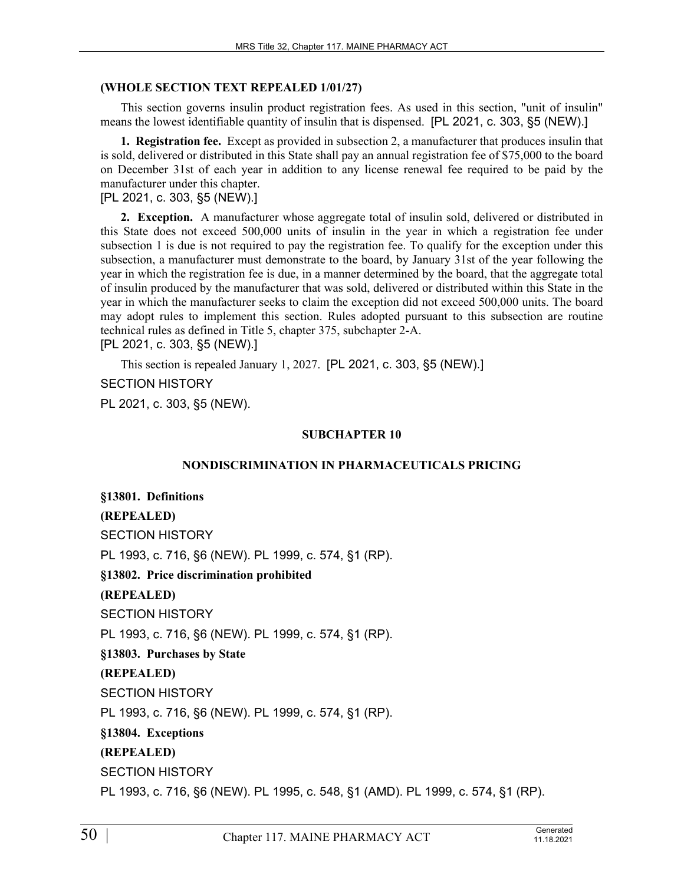#### **(WHOLE SECTION TEXT REPEALED 1/01/27)**

This section governs insulin product registration fees. As used in this section, "unit of insulin" means the lowest identifiable quantity of insulin that is dispensed. [PL 2021, c. 303, §5 (NEW).]

**1. Registration fee.** Except as provided in subsection 2, a manufacturer that produces insulin that is sold, delivered or distributed in this State shall pay an annual registration fee of \$75,000 to the board on December 31st of each year in addition to any license renewal fee required to be paid by the manufacturer under this chapter.

[PL 2021, c. 303, §5 (NEW).]

**2. Exception.** A manufacturer whose aggregate total of insulin sold, delivered or distributed in this State does not exceed 500,000 units of insulin in the year in which a registration fee under subsection 1 is due is not required to pay the registration fee. To qualify for the exception under this subsection, a manufacturer must demonstrate to the board, by January 31st of the year following the year in which the registration fee is due, in a manner determined by the board, that the aggregate total of insulin produced by the manufacturer that was sold, delivered or distributed within this State in the year in which the manufacturer seeks to claim the exception did not exceed 500,000 units. The board may adopt rules to implement this section. Rules adopted pursuant to this subsection are routine technical rules as defined in Title 5, chapter 375, subchapter 2-A. [PL 2021, c. 303, §5 (NEW).]

This section is repealed January 1, 2027. [PL 2021, c. 303, §5 (NEW).]

SECTION HISTORY

PL 2021, c. 303, §5 (NEW).

#### **SUBCHAPTER 10**

#### **NONDISCRIMINATION IN PHARMACEUTICALS PRICING**

**§13801. Definitions (REPEALED)** SECTION HISTORY PL 1993, c. 716, §6 (NEW). PL 1999, c. 574, §1 (RP). **§13802. Price discrimination prohibited (REPEALED)** SECTION HISTORY PL 1993, c. 716, §6 (NEW). PL 1999, c. 574, §1 (RP). **§13803. Purchases by State (REPEALED)** SECTION HISTORY PL 1993, c. 716, §6 (NEW). PL 1999, c. 574, §1 (RP). **§13804. Exceptions (REPEALED)** SECTION HISTORY PL 1993, c. 716, §6 (NEW). PL 1995, c. 548, §1 (AMD). PL 1999, c. 574, §1 (RP).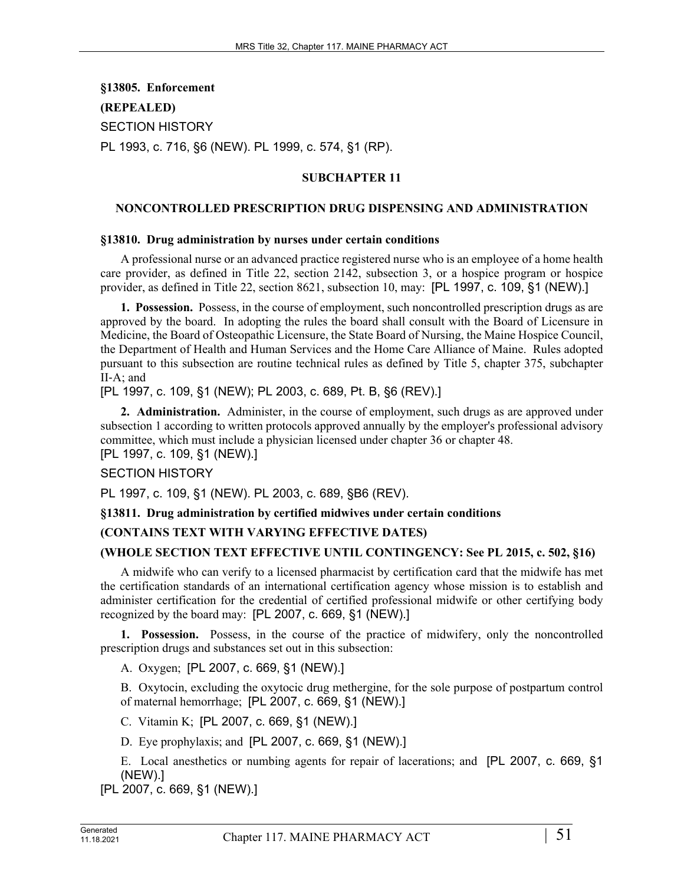**§13805. Enforcement (REPEALED)** SECTION HISTORY PL 1993, c. 716, §6 (NEW). PL 1999, c. 574, §1 (RP).

# **SUBCHAPTER 11**

#### **NONCONTROLLED PRESCRIPTION DRUG DISPENSING AND ADMINISTRATION**

#### **§13810. Drug administration by nurses under certain conditions**

A professional nurse or an advanced practice registered nurse who is an employee of a home health care provider, as defined in Title 22, section 2142, subsection 3, or a hospice program or hospice provider, as defined in Title 22, section 8621, subsection 10, may: [PL 1997, c. 109, §1 (NEW).]

**1. Possession.** Possess, in the course of employment, such noncontrolled prescription drugs as are approved by the board. In adopting the rules the board shall consult with the Board of Licensure in Medicine, the Board of Osteopathic Licensure, the State Board of Nursing, the Maine Hospice Council, the Department of Health and Human Services and the Home Care Alliance of Maine. Rules adopted pursuant to this subsection are routine technical rules as defined by Title 5, chapter 375, subchapter II‑A; and

[PL 1997, c. 109, §1 (NEW); PL 2003, c. 689, Pt. B, §6 (REV).]

**2. Administration.** Administer, in the course of employment, such drugs as are approved under subsection 1 according to written protocols approved annually by the employer's professional advisory committee, which must include a physician licensed under chapter 36 or chapter 48. [PL 1997, c. 109, §1 (NEW).]

#### SECTION HISTORY

PL 1997, c. 109, §1 (NEW). PL 2003, c. 689, §B6 (REV).

#### **§13811. Drug administration by certified midwives under certain conditions**

#### **(CONTAINS TEXT WITH VARYING EFFECTIVE DATES)**

#### **(WHOLE SECTION TEXT EFFECTIVE UNTIL CONTINGENCY: See PL 2015, c. 502, §16)**

A midwife who can verify to a licensed pharmacist by certification card that the midwife has met the certification standards of an international certification agency whose mission is to establish and administer certification for the credential of certified professional midwife or other certifying body recognized by the board may: [PL 2007, c. 669, §1 (NEW).]

**1. Possession.** Possess, in the course of the practice of midwifery, only the noncontrolled prescription drugs and substances set out in this subsection:

A. Oxygen; [PL 2007, c. 669, §1 (NEW).]

B. Oxytocin, excluding the oxytocic drug methergine, for the sole purpose of postpartum control of maternal hemorrhage; [PL 2007, c. 669, §1 (NEW).]

C. Vitamin K; [PL 2007, c. 669, §1 (NEW).]

D. Eye prophylaxis; and [PL 2007, c. 669, §1 (NEW).]

E. Local anesthetics or numbing agents for repair of lacerations; and [PL 2007, c. 669, §1 (NEW).]

[PL 2007, c. 669, §1 (NEW).]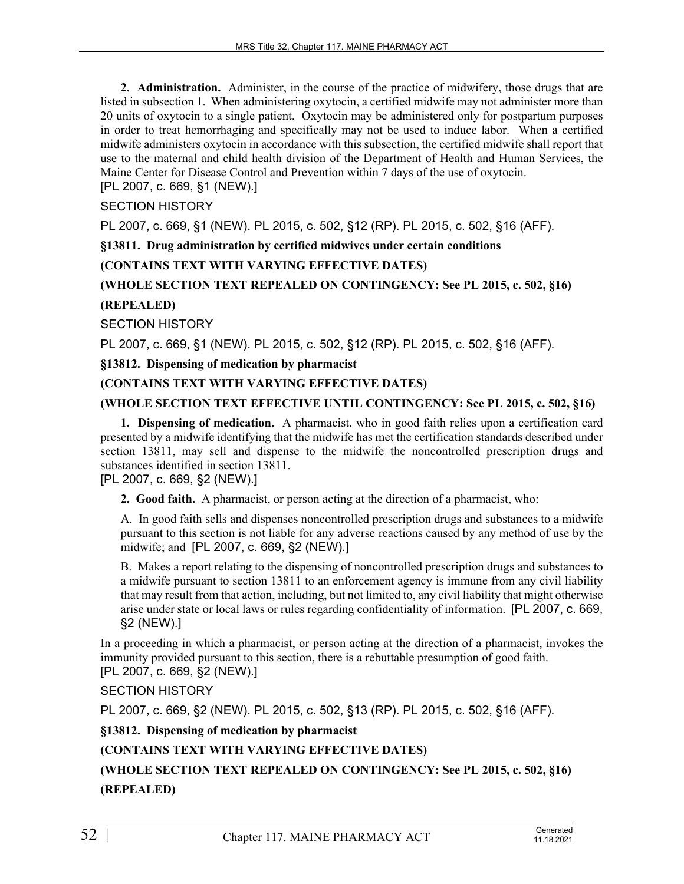**2. Administration.** Administer, in the course of the practice of midwifery, those drugs that are listed in subsection 1. When administering oxytocin, a certified midwife may not administer more than 20 units of oxytocin to a single patient. Oxytocin may be administered only for postpartum purposes in order to treat hemorrhaging and specifically may not be used to induce labor. When a certified midwife administers oxytocin in accordance with this subsection, the certified midwife shall report that use to the maternal and child health division of the Department of Health and Human Services, the Maine Center for Disease Control and Prevention within 7 days of the use of oxytocin.

[PL 2007, c. 669, §1 (NEW).]

# SECTION HISTORY

PL 2007, c. 669, §1 (NEW). PL 2015, c. 502, §12 (RP). PL 2015, c. 502, §16 (AFF).

**§13811. Drug administration by certified midwives under certain conditions**

## **(CONTAINS TEXT WITH VARYING EFFECTIVE DATES)**

# **(WHOLE SECTION TEXT REPEALED ON CONTINGENCY: See PL 2015, c. 502, §16)**

## **(REPEALED)**

SECTION HISTORY

PL 2007, c. 669, §1 (NEW). PL 2015, c. 502, §12 (RP). PL 2015, c. 502, §16 (AFF).

**§13812. Dispensing of medication by pharmacist**

## **(CONTAINS TEXT WITH VARYING EFFECTIVE DATES)**

## **(WHOLE SECTION TEXT EFFECTIVE UNTIL CONTINGENCY: See PL 2015, c. 502, §16)**

**1. Dispensing of medication.** A pharmacist, who in good faith relies upon a certification card presented by a midwife identifying that the midwife has met the certification standards described under section 13811, may sell and dispense to the midwife the noncontrolled prescription drugs and substances identified in section 13811.

[PL 2007, c. 669, §2 (NEW).]

**2. Good faith.** A pharmacist, or person acting at the direction of a pharmacist, who:

A. In good faith sells and dispenses noncontrolled prescription drugs and substances to a midwife pursuant to this section is not liable for any adverse reactions caused by any method of use by the midwife; and [PL 2007, c. 669, §2 (NEW).]

B. Makes a report relating to the dispensing of noncontrolled prescription drugs and substances to a midwife pursuant to section 13811 to an enforcement agency is immune from any civil liability that may result from that action, including, but not limited to, any civil liability that might otherwise arise under state or local laws or rules regarding confidentiality of information. [PL 2007, c. 669, §2 (NEW).]

In a proceeding in which a pharmacist, or person acting at the direction of a pharmacist, invokes the immunity provided pursuant to this section, there is a rebuttable presumption of good faith. [PL 2007, c. 669, §2 (NEW).]

# SECTION HISTORY

PL 2007, c. 669, §2 (NEW). PL 2015, c. 502, §13 (RP). PL 2015, c. 502, §16 (AFF).

**§13812. Dispensing of medication by pharmacist**

# **(CONTAINS TEXT WITH VARYING EFFECTIVE DATES)**

**(WHOLE SECTION TEXT REPEALED ON CONTINGENCY: See PL 2015, c. 502, §16) (REPEALED)**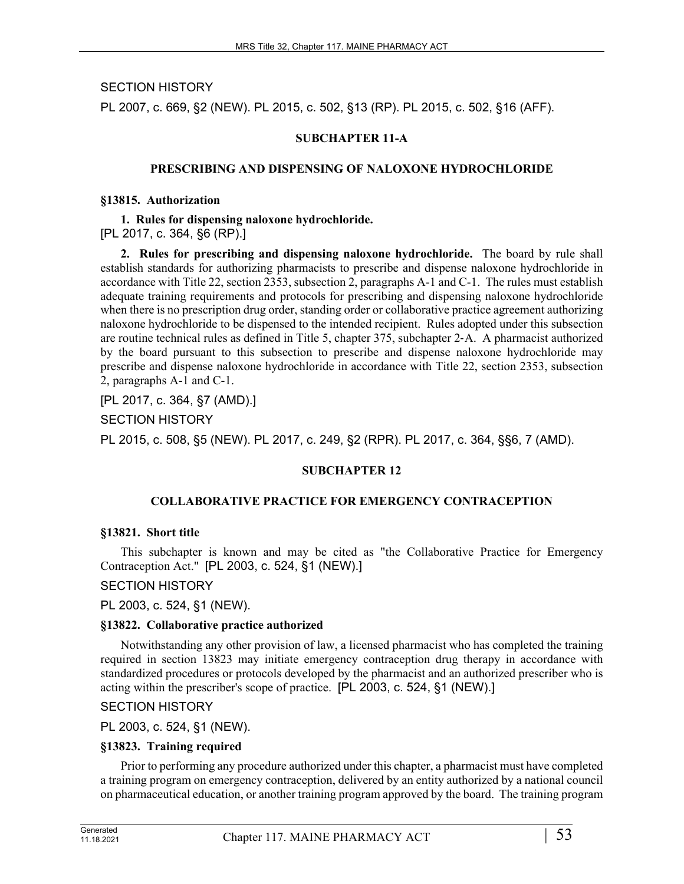SECTION HISTORY

PL 2007, c. 669, §2 (NEW). PL 2015, c. 502, §13 (RP). PL 2015, c. 502, §16 (AFF).

# **SUBCHAPTER 11-A**

### **PRESCRIBING AND DISPENSING OF NALOXONE HYDROCHLORIDE**

#### **§13815. Authorization**

#### **1. Rules for dispensing naloxone hydrochloride.**

[PL 2017, c. 364, §6 (RP).]

**2. Rules for prescribing and dispensing naloxone hydrochloride.** The board by rule shall establish standards for authorizing pharmacists to prescribe and dispense naloxone hydrochloride in accordance with Title 22, section 2353, subsection 2, paragraphs A-1 and C-1. The rules must establish adequate training requirements and protocols for prescribing and dispensing naloxone hydrochloride when there is no prescription drug order, standing order or collaborative practice agreement authorizing naloxone hydrochloride to be dispensed to the intended recipient. Rules adopted under this subsection are routine technical rules as defined in Title 5, chapter 375, subchapter 2‑A. A pharmacist authorized by the board pursuant to this subsection to prescribe and dispense naloxone hydrochloride may prescribe and dispense naloxone hydrochloride in accordance with Title 22, section 2353, subsection 2, paragraphs A-1 and C-1.

[PL 2017, c. 364, §7 (AMD).]

SECTION HISTORY

PL 2015, c. 508, §5 (NEW). PL 2017, c. 249, §2 (RPR). PL 2017, c. 364, §§6, 7 (AMD).

#### **SUBCHAPTER 12**

#### **COLLABORATIVE PRACTICE FOR EMERGENCY CONTRACEPTION**

#### **§13821. Short title**

This subchapter is known and may be cited as "the Collaborative Practice for Emergency Contraception Act." [PL 2003, c. 524, §1 (NEW).]

# SECTION HISTORY

PL 2003, c. 524, §1 (NEW).

#### **§13822. Collaborative practice authorized**

Notwithstanding any other provision of law, a licensed pharmacist who has completed the training required in section 13823 may initiate emergency contraception drug therapy in accordance with standardized procedures or protocols developed by the pharmacist and an authorized prescriber who is acting within the prescriber's scope of practice. [PL 2003, c. 524, §1 (NEW).]

#### SECTION HISTORY

PL 2003, c. 524, §1 (NEW).

# **§13823. Training required**

Prior to performing any procedure authorized under this chapter, a pharmacist must have completed a training program on emergency contraception, delivered by an entity authorized by a national council on pharmaceutical education, or another training program approved by the board. The training program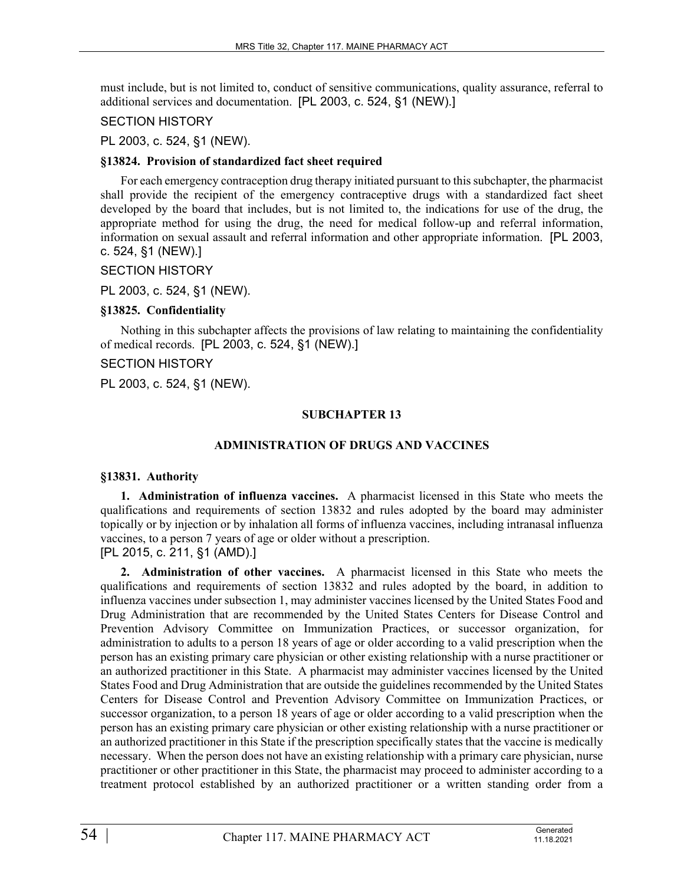must include, but is not limited to, conduct of sensitive communications, quality assurance, referral to additional services and documentation. [PL 2003, c. 524, §1 (NEW).]

### SECTION HISTORY

PL 2003, c. 524, §1 (NEW).

### **§13824. Provision of standardized fact sheet required**

For each emergency contraception drug therapy initiated pursuant to this subchapter, the pharmacist shall provide the recipient of the emergency contraceptive drugs with a standardized fact sheet developed by the board that includes, but is not limited to, the indications for use of the drug, the appropriate method for using the drug, the need for medical follow-up and referral information, information on sexual assault and referral information and other appropriate information. [PL 2003, c. 524, §1 (NEW).]

## SECTION HISTORY

PL 2003, c. 524, §1 (NEW).

# **§13825. Confidentiality**

Nothing in this subchapter affects the provisions of law relating to maintaining the confidentiality of medical records. [PL 2003, c. 524, §1 (NEW).]

## SECTION HISTORY

PL 2003, c. 524, §1 (NEW).

# **SUBCHAPTER 13**

# **ADMINISTRATION OF DRUGS AND VACCINES**

# **§13831. Authority**

**1. Administration of influenza vaccines.** A pharmacist licensed in this State who meets the qualifications and requirements of section 13832 and rules adopted by the board may administer topically or by injection or by inhalation all forms of influenza vaccines, including intranasal influenza vaccines, to a person 7 years of age or older without a prescription.

[PL 2015, c. 211, §1 (AMD).]

**2. Administration of other vaccines.** A pharmacist licensed in this State who meets the qualifications and requirements of section 13832 and rules adopted by the board, in addition to influenza vaccines under subsection 1, may administer vaccines licensed by the United States Food and Drug Administration that are recommended by the United States Centers for Disease Control and Prevention Advisory Committee on Immunization Practices, or successor organization, for administration to adults to a person 18 years of age or older according to a valid prescription when the person has an existing primary care physician or other existing relationship with a nurse practitioner or an authorized practitioner in this State. A pharmacist may administer vaccines licensed by the United States Food and Drug Administration that are outside the guidelines recommended by the United States Centers for Disease Control and Prevention Advisory Committee on Immunization Practices, or successor organization, to a person 18 years of age or older according to a valid prescription when the person has an existing primary care physician or other existing relationship with a nurse practitioner or an authorized practitioner in this State if the prescription specifically states that the vaccine is medically necessary. When the person does not have an existing relationship with a primary care physician, nurse practitioner or other practitioner in this State, the pharmacist may proceed to administer according to a treatment protocol established by an authorized practitioner or a written standing order from a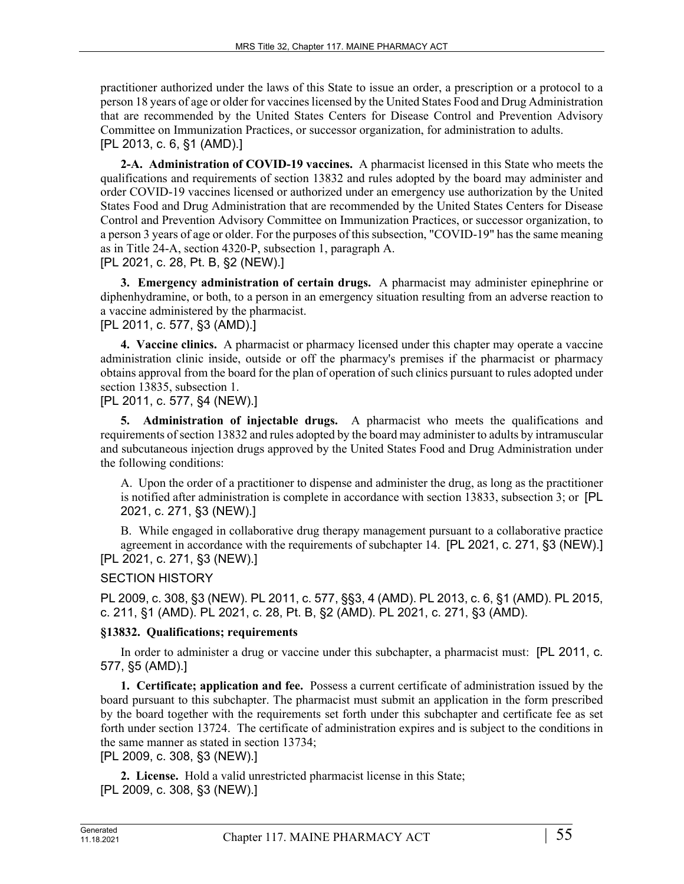practitioner authorized under the laws of this State to issue an order, a prescription or a protocol to a person 18 years of age or older for vaccines licensed by the United States Food and Drug Administration that are recommended by the United States Centers for Disease Control and Prevention Advisory Committee on Immunization Practices, or successor organization, for administration to adults. [PL 2013, c. 6, §1 (AMD).]

**2-A. Administration of COVID-19 vaccines.** A pharmacist licensed in this State who meets the qualifications and requirements of section 13832 and rules adopted by the board may administer and order COVID-19 vaccines licensed or authorized under an emergency use authorization by the United States Food and Drug Administration that are recommended by the United States Centers for Disease Control and Prevention Advisory Committee on Immunization Practices, or successor organization, to a person 3 years of age or older. For the purposes of this subsection, "COVID-19" has the same meaning as in Title 24-A, section 4320-P, subsection 1, paragraph A. [PL 2021, c. 28, Pt. B, §2 (NEW).]

**3. Emergency administration of certain drugs.** A pharmacist may administer epinephrine or diphenhydramine, or both, to a person in an emergency situation resulting from an adverse reaction to a vaccine administered by the pharmacist.

# [PL 2011, c. 577, §3 (AMD).]

**4. Vaccine clinics.** A pharmacist or pharmacy licensed under this chapter may operate a vaccine administration clinic inside, outside or off the pharmacy's premises if the pharmacist or pharmacy obtains approval from the board for the plan of operation of such clinics pursuant to rules adopted under section 13835, subsection 1.

## [PL 2011, c. 577, §4 (NEW).]

**5. Administration of injectable drugs.** A pharmacist who meets the qualifications and requirements of section 13832 and rules adopted by the board may administer to adults by intramuscular and subcutaneous injection drugs approved by the United States Food and Drug Administration under the following conditions:

A. Upon the order of a practitioner to dispense and administer the drug, as long as the practitioner is notified after administration is complete in accordance with section 13833, subsection 3; or [PL 2021, c. 271, §3 (NEW).]

B. While engaged in collaborative drug therapy management pursuant to a collaborative practice agreement in accordance with the requirements of subchapter 14. [PL 2021, c. 271, §3 (NEW).] [PL 2021, c. 271, §3 (NEW).]

# SECTION HISTORY

PL 2009, c. 308, §3 (NEW). PL 2011, c. 577, §§3, 4 (AMD). PL 2013, c. 6, §1 (AMD). PL 2015, c. 211, §1 (AMD). PL 2021, c. 28, Pt. B, §2 (AMD). PL 2021, c. 271, §3 (AMD).

# **§13832. Qualifications; requirements**

In order to administer a drug or vaccine under this subchapter, a pharmacist must: [PL 2011, c. 577, §5 (AMD).]

**1. Certificate; application and fee.** Possess a current certificate of administration issued by the board pursuant to this subchapter. The pharmacist must submit an application in the form prescribed by the board together with the requirements set forth under this subchapter and certificate fee as set forth under section 13724. The certificate of administration expires and is subject to the conditions in the same manner as stated in section 13734;

[PL 2009, c. 308, §3 (NEW).]

**2. License.** Hold a valid unrestricted pharmacist license in this State; [PL 2009, c. 308, §3 (NEW).]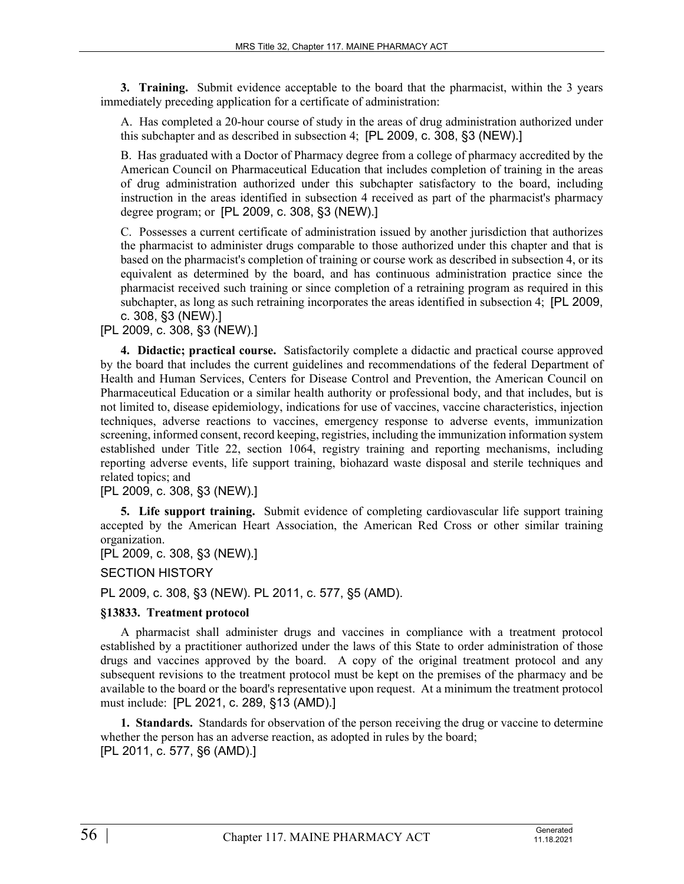**3. Training.** Submit evidence acceptable to the board that the pharmacist, within the 3 years immediately preceding application for a certificate of administration:

A. Has completed a 20-hour course of study in the areas of drug administration authorized under this subchapter and as described in subsection 4; [PL 2009, c. 308, §3 (NEW).]

B. Has graduated with a Doctor of Pharmacy degree from a college of pharmacy accredited by the American Council on Pharmaceutical Education that includes completion of training in the areas of drug administration authorized under this subchapter satisfactory to the board, including instruction in the areas identified in subsection 4 received as part of the pharmacist's pharmacy degree program; or [PL 2009, c. 308, §3 (NEW).]

C. Possesses a current certificate of administration issued by another jurisdiction that authorizes the pharmacist to administer drugs comparable to those authorized under this chapter and that is based on the pharmacist's completion of training or course work as described in subsection 4, or its equivalent as determined by the board, and has continuous administration practice since the pharmacist received such training or since completion of a retraining program as required in this subchapter, as long as such retraining incorporates the areas identified in subsection 4; [PL 2009, c. 308, §3 (NEW).]

[PL 2009, c. 308, §3 (NEW).]

**4. Didactic; practical course.** Satisfactorily complete a didactic and practical course approved by the board that includes the current guidelines and recommendations of the federal Department of Health and Human Services, Centers for Disease Control and Prevention, the American Council on Pharmaceutical Education or a similar health authority or professional body, and that includes, but is not limited to, disease epidemiology, indications for use of vaccines, vaccine characteristics, injection techniques, adverse reactions to vaccines, emergency response to adverse events, immunization screening, informed consent, record keeping, registries, including the immunization information system established under Title 22, section 1064, registry training and reporting mechanisms, including reporting adverse events, life support training, biohazard waste disposal and sterile techniques and related topics; and

[PL 2009, c. 308, §3 (NEW).]

**5. Life support training.** Submit evidence of completing cardiovascular life support training accepted by the American Heart Association, the American Red Cross or other similar training organization.

[PL 2009, c. 308, §3 (NEW).]

SECTION HISTORY

PL 2009, c. 308, §3 (NEW). PL 2011, c. 577, §5 (AMD).

#### **§13833. Treatment protocol**

A pharmacist shall administer drugs and vaccines in compliance with a treatment protocol established by a practitioner authorized under the laws of this State to order administration of those drugs and vaccines approved by the board. A copy of the original treatment protocol and any subsequent revisions to the treatment protocol must be kept on the premises of the pharmacy and be available to the board or the board's representative upon request. At a minimum the treatment protocol must include: [PL 2021, c. 289, §13 (AMD).]

**1. Standards.** Standards for observation of the person receiving the drug or vaccine to determine whether the person has an adverse reaction, as adopted in rules by the board; [PL 2011, c. 577, §6 (AMD).]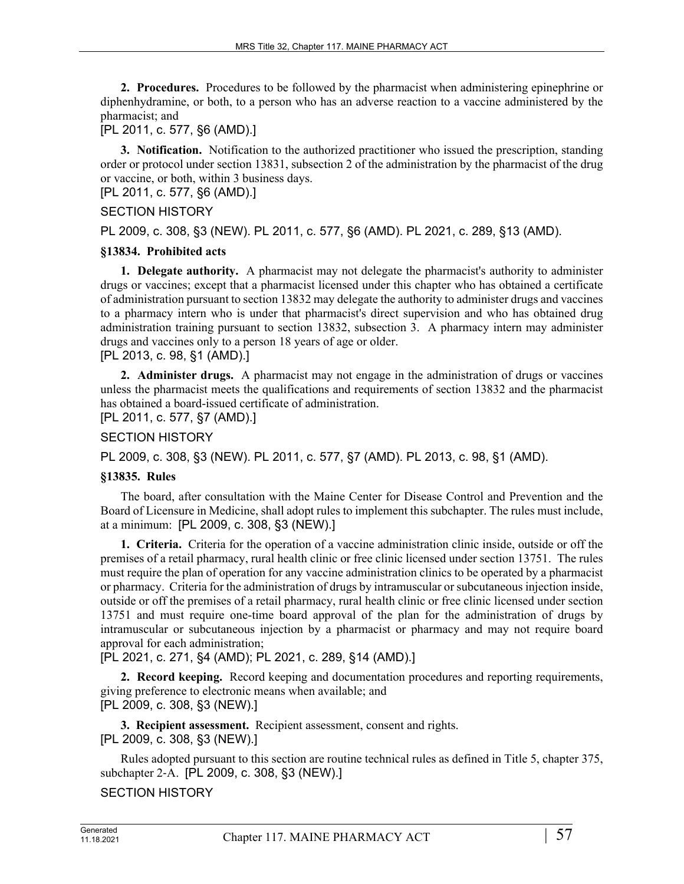**2. Procedures.** Procedures to be followed by the pharmacist when administering epinephrine or diphenhydramine, or both, to a person who has an adverse reaction to a vaccine administered by the pharmacist; and

[PL 2011, c. 577, §6 (AMD).]

**3. Notification.** Notification to the authorized practitioner who issued the prescription, standing order or protocol under section 13831, subsection 2 of the administration by the pharmacist of the drug or vaccine, or both, within 3 business days.

[PL 2011, c. 577, §6 (AMD).]

#### SECTION HISTORY

PL 2009, c. 308, §3 (NEW). PL 2011, c. 577, §6 (AMD). PL 2021, c. 289, §13 (AMD).

#### **§13834. Prohibited acts**

**1. Delegate authority.** A pharmacist may not delegate the pharmacist's authority to administer drugs or vaccines; except that a pharmacist licensed under this chapter who has obtained a certificate of administration pursuant to section 13832 may delegate the authority to administer drugs and vaccines to a pharmacy intern who is under that pharmacist's direct supervision and who has obtained drug administration training pursuant to section 13832, subsection 3. A pharmacy intern may administer drugs and vaccines only to a person 18 years of age or older.

[PL 2013, c. 98, §1 (AMD).]

**2. Administer drugs.** A pharmacist may not engage in the administration of drugs or vaccines unless the pharmacist meets the qualifications and requirements of section 13832 and the pharmacist has obtained a board-issued certificate of administration.

[PL 2011, c. 577, §7 (AMD).]

# SECTION HISTORY

PL 2009, c. 308, §3 (NEW). PL 2011, c. 577, §7 (AMD). PL 2013, c. 98, §1 (AMD).

#### **§13835. Rules**

The board, after consultation with the Maine Center for Disease Control and Prevention and the Board of Licensure in Medicine, shall adopt rules to implement this subchapter. The rules must include, at a minimum: [PL 2009, c. 308, §3 (NEW).]

**1. Criteria.** Criteria for the operation of a vaccine administration clinic inside, outside or off the premises of a retail pharmacy, rural health clinic or free clinic licensed under section 13751. The rules must require the plan of operation for any vaccine administration clinics to be operated by a pharmacist or pharmacy. Criteria for the administration of drugs by intramuscular or subcutaneous injection inside, outside or off the premises of a retail pharmacy, rural health clinic or free clinic licensed under section 13751 and must require one-time board approval of the plan for the administration of drugs by intramuscular or subcutaneous injection by a pharmacist or pharmacy and may not require board approval for each administration;

[PL 2021, c. 271, §4 (AMD); PL 2021, c. 289, §14 (AMD).]

**2. Record keeping.** Record keeping and documentation procedures and reporting requirements, giving preference to electronic means when available; and [PL 2009, c. 308, §3 (NEW).]

**3. Recipient assessment.** Recipient assessment, consent and rights. [PL 2009, c. 308, §3 (NEW).]

Rules adopted pursuant to this section are routine technical rules as defined in Title 5, chapter 375, subchapter 2‑A. [PL 2009, c. 308, §3 (NEW).]

SECTION HISTORY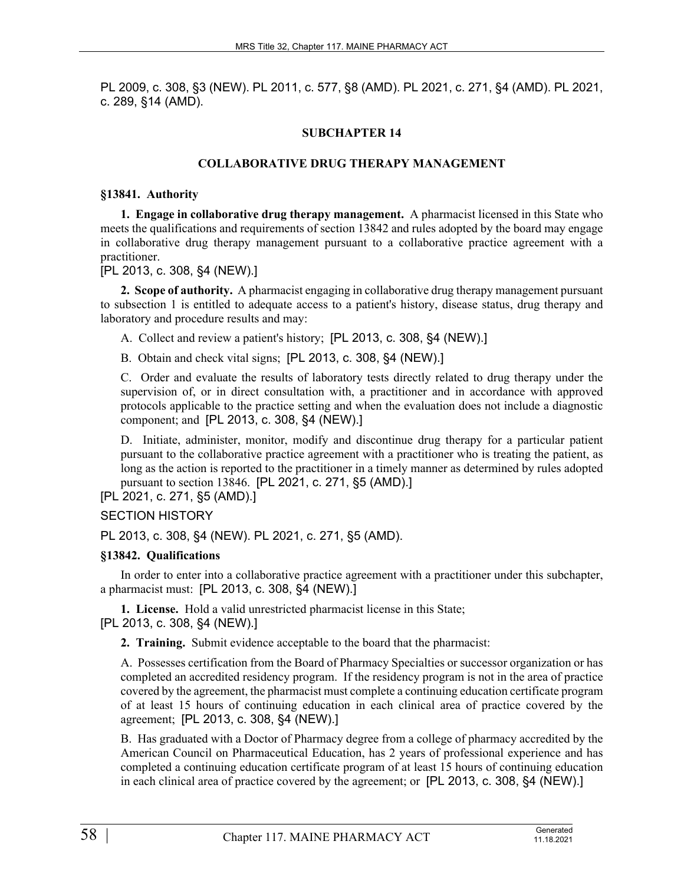PL 2009, c. 308, §3 (NEW). PL 2011, c. 577, §8 (AMD). PL 2021, c. 271, §4 (AMD). PL 2021, c. 289, §14 (AMD).

# **SUBCHAPTER 14**

# **COLLABORATIVE DRUG THERAPY MANAGEMENT**

#### **§13841. Authority**

**1. Engage in collaborative drug therapy management.** A pharmacist licensed in this State who meets the qualifications and requirements of section 13842 and rules adopted by the board may engage in collaborative drug therapy management pursuant to a collaborative practice agreement with a practitioner.

[PL 2013, c. 308, §4 (NEW).]

**2. Scope of authority.** A pharmacist engaging in collaborative drug therapy management pursuant to subsection 1 is entitled to adequate access to a patient's history, disease status, drug therapy and laboratory and procedure results and may:

A. Collect and review a patient's history; [PL 2013, c. 308, §4 (NEW).]

B. Obtain and check vital signs; [PL 2013, c. 308, §4 (NEW).]

C. Order and evaluate the results of laboratory tests directly related to drug therapy under the supervision of, or in direct consultation with, a practitioner and in accordance with approved protocols applicable to the practice setting and when the evaluation does not include a diagnostic component; and [PL 2013, c. 308, §4 (NEW).]

D. Initiate, administer, monitor, modify and discontinue drug therapy for a particular patient pursuant to the collaborative practice agreement with a practitioner who is treating the patient, as long as the action is reported to the practitioner in a timely manner as determined by rules adopted pursuant to section 13846. [PL 2021, c. 271, §5 (AMD).]

[PL 2021, c. 271, §5 (AMD).]

# SECTION HISTORY

PL 2013, c. 308, §4 (NEW). PL 2021, c. 271, §5 (AMD).

# **§13842. Qualifications**

In order to enter into a collaborative practice agreement with a practitioner under this subchapter, a pharmacist must: [PL 2013, c. 308, §4 (NEW).]

**1. License.** Hold a valid unrestricted pharmacist license in this State; [PL 2013, c. 308, §4 (NEW).]

**2. Training.** Submit evidence acceptable to the board that the pharmacist:

A. Possesses certification from the Board of Pharmacy Specialties or successor organization or has completed an accredited residency program. If the residency program is not in the area of practice covered by the agreement, the pharmacist must complete a continuing education certificate program of at least 15 hours of continuing education in each clinical area of practice covered by the agreement; [PL 2013, c. 308, §4 (NEW).]

B. Has graduated with a Doctor of Pharmacy degree from a college of pharmacy accredited by the American Council on Pharmaceutical Education, has 2 years of professional experience and has completed a continuing education certificate program of at least 15 hours of continuing education in each clinical area of practice covered by the agreement; or [PL 2013, c. 308, §4 (NEW).]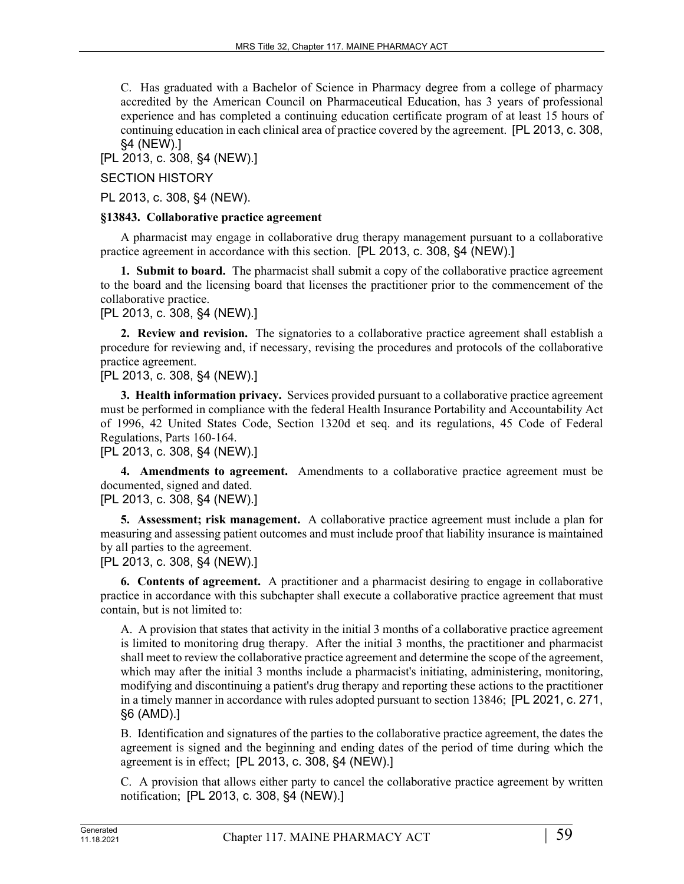C. Has graduated with a Bachelor of Science in Pharmacy degree from a college of pharmacy accredited by the American Council on Pharmaceutical Education, has 3 years of professional experience and has completed a continuing education certificate program of at least 15 hours of continuing education in each clinical area of practice covered by the agreement. [PL 2013, c. 308, §4 (NEW).]

[PL 2013, c. 308, §4 (NEW).]

SECTION HISTORY

PL 2013, c. 308, §4 (NEW).

#### **§13843. Collaborative practice agreement**

A pharmacist may engage in collaborative drug therapy management pursuant to a collaborative practice agreement in accordance with this section. [PL 2013, c. 308, §4 (NEW).]

**1. Submit to board.** The pharmacist shall submit a copy of the collaborative practice agreement to the board and the licensing board that licenses the practitioner prior to the commencement of the collaborative practice.

# [PL 2013, c. 308, §4 (NEW).]

**2. Review and revision.** The signatories to a collaborative practice agreement shall establish a procedure for reviewing and, if necessary, revising the procedures and protocols of the collaborative practice agreement.

# [PL 2013, c. 308, §4 (NEW).]

**3. Health information privacy.** Services provided pursuant to a collaborative practice agreement must be performed in compliance with the federal Health Insurance Portability and Accountability Act of 1996, 42 United States Code, Section 1320d et seq. and its regulations, 45 Code of Federal Regulations, Parts 160-164.

[PL 2013, c. 308, §4 (NEW).]

**4. Amendments to agreement.** Amendments to a collaborative practice agreement must be documented, signed and dated.

# [PL 2013, c. 308, §4 (NEW).]

**5. Assessment; risk management.** A collaborative practice agreement must include a plan for measuring and assessing patient outcomes and must include proof that liability insurance is maintained by all parties to the agreement.

[PL 2013, c. 308, §4 (NEW).]

**6. Contents of agreement.** A practitioner and a pharmacist desiring to engage in collaborative practice in accordance with this subchapter shall execute a collaborative practice agreement that must contain, but is not limited to:

A. A provision that states that activity in the initial 3 months of a collaborative practice agreement is limited to monitoring drug therapy. After the initial 3 months, the practitioner and pharmacist shall meet to review the collaborative practice agreement and determine the scope of the agreement, which may after the initial 3 months include a pharmacist's initiating, administering, monitoring, modifying and discontinuing a patient's drug therapy and reporting these actions to the practitioner in a timely manner in accordance with rules adopted pursuant to section 13846; [PL 2021, c. 271, §6 (AMD).]

B. Identification and signatures of the parties to the collaborative practice agreement, the dates the agreement is signed and the beginning and ending dates of the period of time during which the agreement is in effect; [PL 2013, c. 308, §4 (NEW).]

C. A provision that allows either party to cancel the collaborative practice agreement by written notification; [PL 2013, c. 308, §4 (NEW).]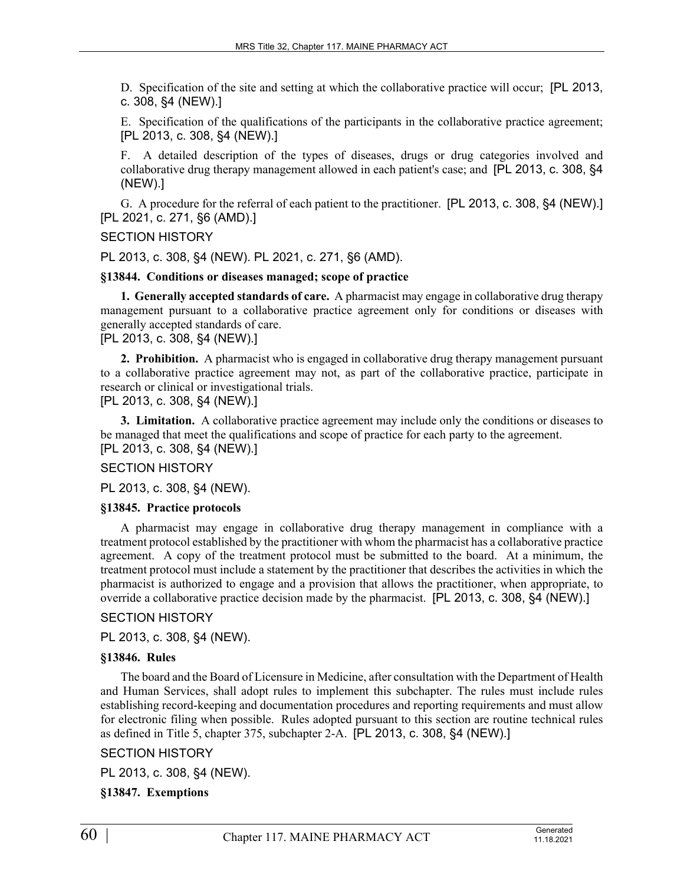D. Specification of the site and setting at which the collaborative practice will occur; [PL 2013, c. 308, §4 (NEW).]

E. Specification of the qualifications of the participants in the collaborative practice agreement; [PL 2013, c. 308, §4 (NEW).]

F. A detailed description of the types of diseases, drugs or drug categories involved and collaborative drug therapy management allowed in each patient's case; and [PL 2013, c. 308, §4 (NEW).]

G. A procedure for the referral of each patient to the practitioner. [PL 2013, c. 308, §4 (NEW).] [PL 2021, c. 271, §6 (AMD).]

#### SECTION HISTORY

PL 2013, c. 308, §4 (NEW). PL 2021, c. 271, §6 (AMD).

**§13844. Conditions or diseases managed; scope of practice**

**1. Generally accepted standards of care.** A pharmacist may engage in collaborative drug therapy management pursuant to a collaborative practice agreement only for conditions or diseases with generally accepted standards of care.

[PL 2013, c. 308, §4 (NEW).]

**2. Prohibition.** A pharmacist who is engaged in collaborative drug therapy management pursuant to a collaborative practice agreement may not, as part of the collaborative practice, participate in research or clinical or investigational trials.

[PL 2013, c. 308, §4 (NEW).]

**3. Limitation.** A collaborative practice agreement may include only the conditions or diseases to be managed that meet the qualifications and scope of practice for each party to the agreement. [PL 2013, c. 308, §4 (NEW).]

#### SECTION HISTORY

PL 2013, c. 308, §4 (NEW).

#### **§13845. Practice protocols**

A pharmacist may engage in collaborative drug therapy management in compliance with a treatment protocol established by the practitioner with whom the pharmacist has a collaborative practice agreement. A copy of the treatment protocol must be submitted to the board. At a minimum, the treatment protocol must include a statement by the practitioner that describes the activities in which the pharmacist is authorized to engage and a provision that allows the practitioner, when appropriate, to override a collaborative practice decision made by the pharmacist. [PL 2013, c. 308, §4 (NEW).]

#### SECTION HISTORY

PL 2013, c. 308, §4 (NEW).

#### **§13846. Rules**

The board and the Board of Licensure in Medicine, after consultation with the Department of Health and Human Services, shall adopt rules to implement this subchapter. The rules must include rules establishing record-keeping and documentation procedures and reporting requirements and must allow for electronic filing when possible. Rules adopted pursuant to this section are routine technical rules as defined in Title 5, chapter 375, subchapter 2-A. [PL 2013, c. 308, §4 (NEW).]

#### SECTION HISTORY

PL 2013, c. 308, §4 (NEW).

#### **§13847. Exemptions**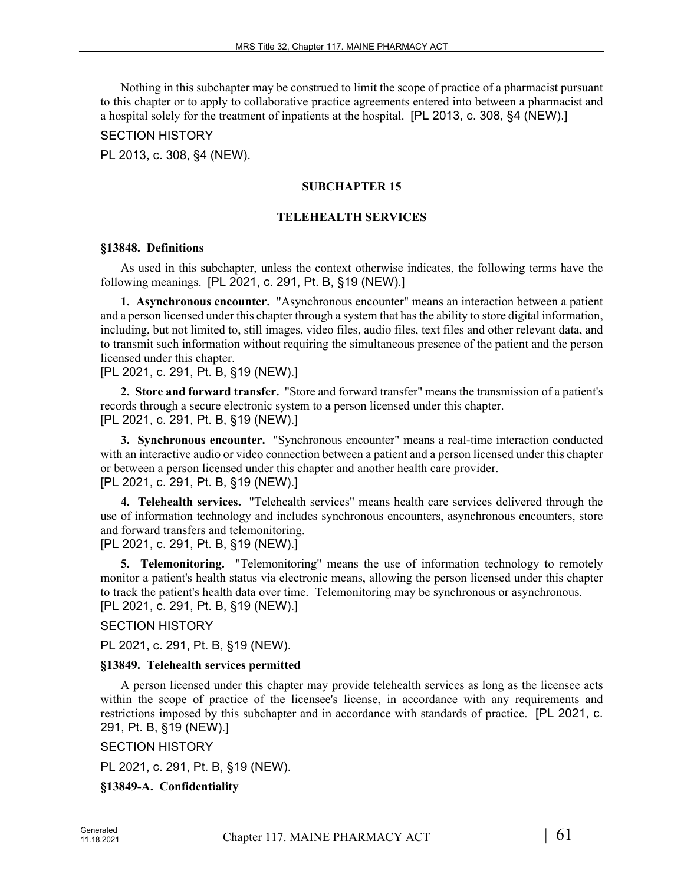Nothing in this subchapter may be construed to limit the scope of practice of a pharmacist pursuant to this chapter or to apply to collaborative practice agreements entered into between a pharmacist and a hospital solely for the treatment of inpatients at the hospital. [PL 2013, c. 308, §4 (NEW).]

SECTION HISTORY

PL 2013, c. 308, §4 (NEW).

### **SUBCHAPTER 15**

### **TELEHEALTH SERVICES**

#### **§13848. Definitions**

As used in this subchapter, unless the context otherwise indicates, the following terms have the following meanings. [PL 2021, c. 291, Pt. B, §19 (NEW).]

**1. Asynchronous encounter.** "Asynchronous encounter" means an interaction between a patient and a person licensed under this chapter through a system that has the ability to store digital information, including, but not limited to, still images, video files, audio files, text files and other relevant data, and to transmit such information without requiring the simultaneous presence of the patient and the person licensed under this chapter.

[PL 2021, c. 291, Pt. B, §19 (NEW).]

**2. Store and forward transfer.** "Store and forward transfer" means the transmission of a patient's records through a secure electronic system to a person licensed under this chapter. [PL 2021, c. 291, Pt. B, §19 (NEW).]

**3. Synchronous encounter.** "Synchronous encounter" means a real-time interaction conducted with an interactive audio or video connection between a patient and a person licensed under this chapter or between a person licensed under this chapter and another health care provider. [PL 2021, c. 291, Pt. B, §19 (NEW).]

**4. Telehealth services.** "Telehealth services" means health care services delivered through the use of information technology and includes synchronous encounters, asynchronous encounters, store and forward transfers and telemonitoring.

[PL 2021, c. 291, Pt. B, §19 (NEW).]

**5. Telemonitoring.** "Telemonitoring" means the use of information technology to remotely monitor a patient's health status via electronic means, allowing the person licensed under this chapter to track the patient's health data over time. Telemonitoring may be synchronous or asynchronous. [PL 2021, c. 291, Pt. B, §19 (NEW).]

### SECTION HISTORY

PL 2021, c. 291, Pt. B, §19 (NEW).

#### **§13849. Telehealth services permitted**

A person licensed under this chapter may provide telehealth services as long as the licensee acts within the scope of practice of the licensee's license, in accordance with any requirements and restrictions imposed by this subchapter and in accordance with standards of practice. [PL 2021, c. 291, Pt. B, §19 (NEW).]

SECTION HISTORY

PL 2021, c. 291, Pt. B, §19 (NEW).

**§13849-A. Confidentiality**